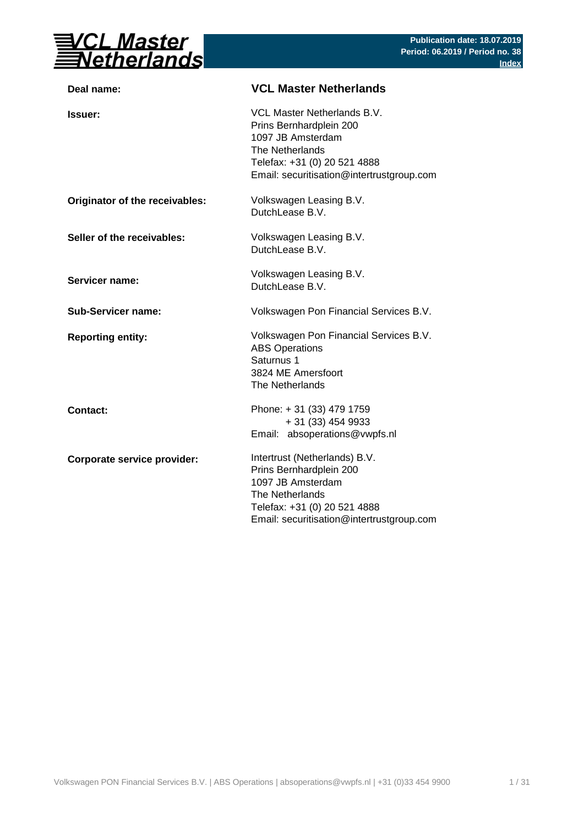

| Deal name:                     | <b>VCL Master Netherlands</b>                                                                                                                                                 |
|--------------------------------|-------------------------------------------------------------------------------------------------------------------------------------------------------------------------------|
| <b>Issuer:</b>                 | VCL Master Netherlands B.V.<br>Prins Bernhardplein 200<br>1097 JB Amsterdam<br>The Netherlands<br>Telefax: +31 (0) 20 521 4888<br>Email: securitisation@intertrustgroup.com   |
| Originator of the receivables: | Volkswagen Leasing B.V.<br>DutchLease B.V.                                                                                                                                    |
| Seller of the receivables:     | Volkswagen Leasing B.V.<br>DutchLease B.V.                                                                                                                                    |
| <b>Servicer name:</b>          | Volkswagen Leasing B.V.<br>DutchLease B.V.                                                                                                                                    |
| <b>Sub-Servicer name:</b>      | Volkswagen Pon Financial Services B.V.                                                                                                                                        |
| <b>Reporting entity:</b>       | Volkswagen Pon Financial Services B.V.<br><b>ABS Operations</b><br>Saturnus 1<br>3824 ME Amersfoort<br>The Netherlands                                                        |
| <b>Contact:</b>                | Phone: +31 (33) 479 1759<br>+ 31 (33) 454 9933<br>Email: absoperations@vwpfs.nl                                                                                               |
| Corporate service provider:    | Intertrust (Netherlands) B.V.<br>Prins Bernhardplein 200<br>1097 JB Amsterdam<br>The Netherlands<br>Telefax: +31 (0) 20 521 4888<br>Email: securitisation@intertrustgroup.com |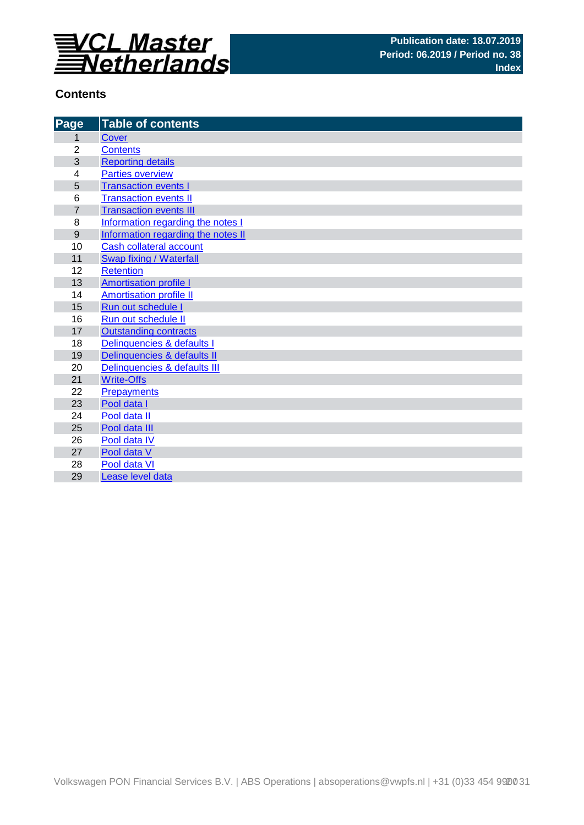

## **Contents**

| Page           | <b>Table of contents</b>           |
|----------------|------------------------------------|
| 1              | <b>Cover</b>                       |
| $\overline{2}$ | <b>Contents</b>                    |
| 3              | <b>Reporting details</b>           |
| 4              | <b>Parties overview</b>            |
| 5              | <b>Transaction events I</b>        |
| 6              | <b>Transaction events II</b>       |
| $\overline{7}$ | <b>Transaction events III</b>      |
| 8              | Information regarding the notes I  |
| 9              | Information regarding the notes II |
| 10             | Cash collateral account            |
| 11             | Swap fixing / Waterfall            |
| 12             | <b>Retention</b>                   |
| 13             | <b>Amortisation profile I</b>      |
| 14             | <b>Amortisation profile II</b>     |
| 15             | Run out schedule I                 |
| 16             | Run out schedule II                |
| 17             | <b>Outstanding contracts</b>       |
| 18             | Delinquencies & defaults I         |
| 19             | Delinquencies & defaults II        |
| 20             | Delinquencies & defaults III       |
| 21             | <b>Write-Offs</b>                  |
| 22             | <b>Prepayments</b>                 |
| 23             | Pool data I                        |
| 24             | Pool data II                       |
| 25             | Pool data III                      |
| 26             | Pool data IV                       |
| 27<br>28       | Pool data V<br>Pool data VI        |
|                |                                    |
| 29             | Lease level data                   |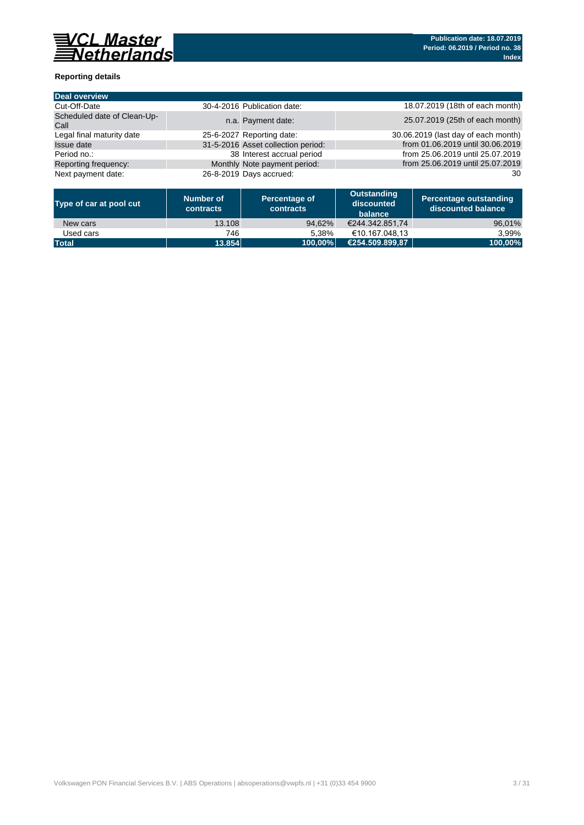

### **Reporting details**

| <b>Deal overview</b>                |                                    |                                     |
|-------------------------------------|------------------------------------|-------------------------------------|
| Cut-Off-Date                        | 30-4-2016 Publication date:        | 18.07.2019 (18th of each month)     |
| Scheduled date of Clean-Up-<br>Call | n.a. Payment date:                 | 25.07.2019 (25th of each month)     |
| Legal final maturity date           | 25-6-2027 Reporting date:          | 30.06.2019 (last day of each month) |
| Issue date                          | 31-5-2016 Asset collection period: | from 01.06.2019 until 30.06.2019    |
| Period no.:                         | 38 Interest accrual period         | from 25.06.2019 until 25.07.2019    |
| Reporting frequency:                | Monthly Note payment period:       | from 25.06.2019 until 25.07.2019    |
| Next payment date:                  | 26-8-2019 Days accrued:            | 30                                  |

| Type of car at pool cut | Number of<br>contracts | Percentage of<br>contracts | Outstanding<br>discounted<br>balance | <b>Percentage outstanding</b><br>l discounted balance \ |
|-------------------------|------------------------|----------------------------|--------------------------------------|---------------------------------------------------------|
| New cars                | 13.108                 | 94.62%                     | €244.342.851.74                      | 96,01%                                                  |
| Used cars               | 746                    | 5.38%                      | €10.167.048.13                       | 3.99%                                                   |
| <b>Total</b>            | 13.854                 | 100.00%                    | €254.509.899.87                      | 100,00%                                                 |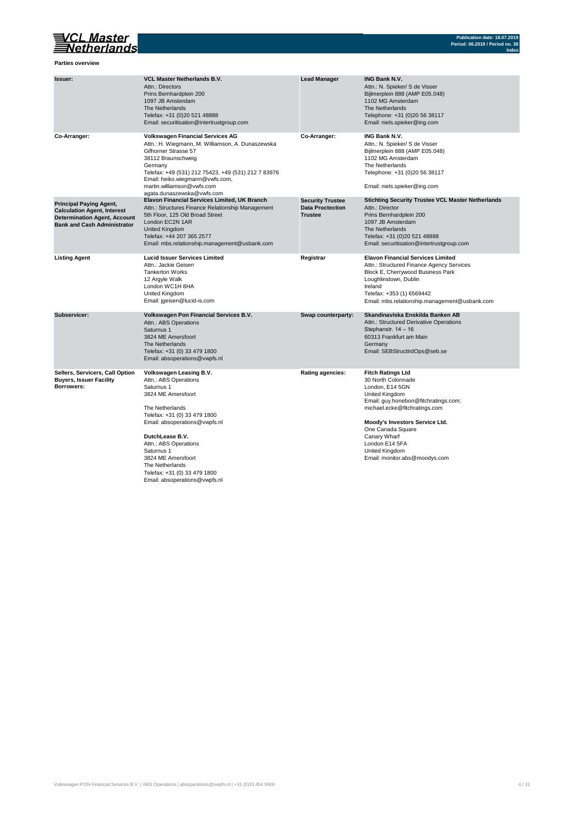

**Parties overview**

| Issuer:                                                                                                                                           | <b>VCL Master Netherlands B.V.</b><br>Attn.: Directors<br>Prins Bernhardplein 200<br>1097 JB Amsterdam<br>The Netherlands<br>Telefax: +31 (0)20 521 48888<br>Email: securitisation@intertrustgroup.com                                                                                                                                       | <b>Lead Manager</b>                                                  | <b>ING Bank N.V.</b><br>Attn.: N. Spieker/ S de Visser<br>Bijlmerplein 888 (AMP E05.048)<br>1102 MG Amsterdam<br>The Netherlands<br>Telephone: +31 (0)20 56 38117<br>Email: niels.spieker@ing.com                                                                                                        |
|---------------------------------------------------------------------------------------------------------------------------------------------------|----------------------------------------------------------------------------------------------------------------------------------------------------------------------------------------------------------------------------------------------------------------------------------------------------------------------------------------------|----------------------------------------------------------------------|----------------------------------------------------------------------------------------------------------------------------------------------------------------------------------------------------------------------------------------------------------------------------------------------------------|
| Co-Arranger:                                                                                                                                      | <b>Volkswagen Financial Services AG</b><br>Attn.: H. Wiegmann, M. Williamson, A. Dunaszewska<br>Gifhorner Strasse 57<br>38112 Braunschweig<br>Germany<br>Telefax: +49 (531) 212 75423, +49 (531) 212 7 83976<br>Email: heiko.wiegmann@vwfs.com,<br>martin.williamson@vwfs.com<br>agata.dunaszewska@vwfs.com                                  | Co-Arranger:                                                         | <b>ING Bank N.V.</b><br>Attn.: N. Spieker/ S de Visser<br>Bijlmerplein 888 (AMP E05.048)<br>1102 MG Amsterdam<br>The Netherlands<br>Telephone: +31 (0)20 56 38117<br>Email: niels.spieker@ing.com                                                                                                        |
| <b>Principal Paying Agent,</b><br><b>Calculation Agent, Interest</b><br><b>Determination Agent, Account</b><br><b>Bank and Cash Administrator</b> | <b>Elavon Financial Services Limited, UK Branch</b><br>Attn.: Structures Finance Relationship Management<br>5th Floor, 125 Old Broad Street<br>London EC2N 1AR<br><b>United Kingdom</b><br>Telefax: +44 207 365 2577<br>Email: mbs.relationship.management@usbank.com                                                                        | <b>Security Trustee</b><br><b>Data Proctection</b><br><b>Trustee</b> | <b>Stichting Security Trustee VCL Master Netherlands</b><br>Attn.: Director<br>Prins Bernhardplein 200<br>1097 JB Amsterdam<br>The Netherlands<br>Telefax: +31 (0)20 521 48888<br>Email: securitisation@intertrustgroup.com                                                                              |
| <b>Listing Agent</b>                                                                                                                              | <b>Lucid Issuer Services Limited</b><br>Attn.: Jackie Geisen<br><b>Tankerton Works</b><br>12 Argyle Walk<br>London WC1H 8HA<br>United Kingdom<br>Email: jgeisen@lucid-is.com                                                                                                                                                                 | Registrar                                                            | <b>Elavon Financial Services Limited</b><br>Attn.: Structured Finance Agency Services<br>Block E, Cherrywood Business Park<br>Loughlinstown, Dublin<br>Ireland<br>Telefax: +353 (1) 6569442<br>Email: mbs.relationship.management@usbank.com                                                             |
| Subservicer:                                                                                                                                      | Volkswagen Pon Financial Services B.V.<br>Attn.: ABS Operations<br>Saturnus 1<br>3824 ME Amersfoort<br>The Netherlands<br>Telefax: +31 (0) 33 479 1800<br>Email: absoperations@vwpfs.nl                                                                                                                                                      | Swap counterparty:                                                   | Skandinaviska Enskilda Banken AB<br>Attn.: Structured Derivative Operations<br>Stephanstr. 14 - 16<br>60313 Frankfurt am Main<br>Germany<br>Email: SEBStructIrdOps@seb.se                                                                                                                                |
| Sellers, Servicers, Call Option<br><b>Buyers, Issuer Facility</b><br>Borrowers:                                                                   | Volkswagen Leasing B.V.<br>Attn.: ABS Operations<br>Saturnus 1<br>3824 ME Amersfoort<br>The Netherlands<br>Telefax: +31 (0) 33 479 1800<br>Email: absoperations@vwpfs.nl<br>DutchLease B.V.<br>Attn.: ABS Operations<br>Saturnus 1<br>3824 ME Amersfoort<br>The Netherlands<br>Telefax: +31 (0) 33 479 1800<br>Email: absoperations@vwpfs.nl | <b>Rating agencies:</b>                                              | <b>Fitch Ratings Ltd</b><br>30 North Colonnade<br>London, E14 5GN<br>United Kingdom<br>Email: guy.honebon@fitchratings.com;<br>michael.ecke@fitchratings.com<br>Moody's Investors Service Ltd.<br>One Canada Square<br>Canary Wharf<br>London E14 5FA<br>United Kingdom<br>Email: monitor.abs@moodys.com |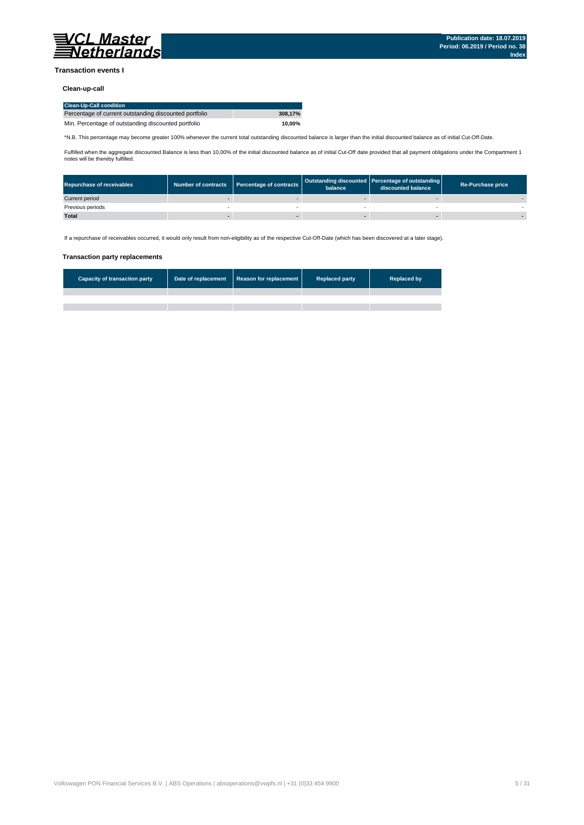

#### **Transaction events I**

### **Clean-up-call**

| <b>Clean-Up-Call condition</b>                         |         |
|--------------------------------------------------------|---------|
| Percentage of current outstanding discounted portfolio | 308.17% |
| Min. Percentage of outstanding discounted portfolio    | 10.00%  |

\*N.B. This percentage may become greater 100% whenever the current total outstanding discounted balance is larger than the initial discounted balance as of initial Cut-Off-Date.

Fulfilled when the aggregate discounted Balance is less than 10,00% of the initial discounted balance as of initial Cut-Off date provided that all payment obligations under the Compartment 1 notes will be thereby fulfilled.

| <b>Repurchase of receivables</b> | Number of contracts Percentage of contracts | balance | Outstanding discounted Percentage of outstanding<br>discounted balance | <b>Re-Purchase price</b> |
|----------------------------------|---------------------------------------------|---------|------------------------------------------------------------------------|--------------------------|
| Current period                   |                                             |         |                                                                        |                          |
| Previous periods                 |                                             |         |                                                                        |                          |
| <b>Total</b>                     |                                             |         |                                                                        |                          |

If a repurchase of receivables occurred, it would only result from non-eligibility as of the respective Cut-Off-Date (which has been discovered at a later stage).

#### **Transaction party replacements**

| <b>Capacity of transaction party</b> | Date of replacement Reason for replacement | <b>Replaced party</b> | <b>Replaced by</b> |
|--------------------------------------|--------------------------------------------|-----------------------|--------------------|
|                                      |                                            |                       |                    |
|                                      |                                            |                       |                    |
|                                      |                                            |                       |                    |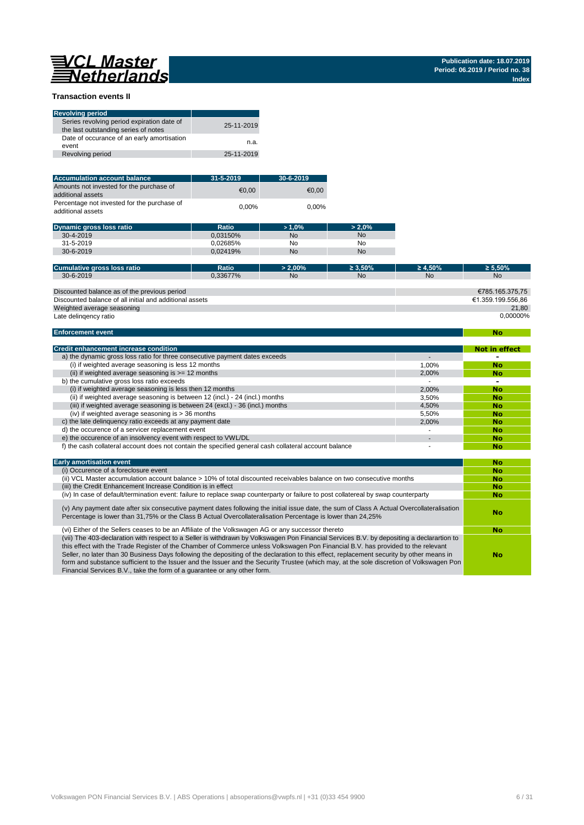# 

**No**

#### **Transaction events II**

| <b>Revolving period</b>                                                            |            |
|------------------------------------------------------------------------------------|------------|
| Series revolving period expiration date of<br>the last outstanding series of notes | 25-11-2019 |
| Date of occurance of an early amortisation<br>event                                | n.a.       |
| Revolving period                                                                   | 25-11-2019 |

| <b>Accumulation account balance</b>                              | $31 - 5 - 2019$ | $30 - 6 - 2019$ |
|------------------------------------------------------------------|-----------------|-----------------|
| Amounts not invested for the purchase of<br>additional assets    | €0.00           | €0.00           |
| Percentage not invested for the purchase of<br>additional assets | $0.00\%$        | 0.00%           |

| <b>Dynamic gross loss ratio</b> | Ratio    | $>1.0\%$ | $> 2.0\%$ |
|---------------------------------|----------|----------|-----------|
| 30-4-2019                       | 0.03150% | No       | No        |
| $31 - 5 - 2019$                 | 0.02685% | No       | No        |
| 30-6-2019                       | 0.02419% | No       | No        |

| Cumulative gross loss ratio                             | <b>Ratio</b> | $> 2.00\%$     | $\geq 3.50\%$ | $\geq 4.50\%$ | $\geq 5.50\%$     |
|---------------------------------------------------------|--------------|----------------|---------------|---------------|-------------------|
| $30 - 6 - 2019$                                         | 0.33677%     | N <sub>0</sub> | No            | <b>No</b>     | <b>No</b>         |
|                                                         |              |                |               |               |                   |
| Discounted balance as of the previous period            |              |                |               |               | €785.165.375.75   |
| Discounted balance of all initial and additional assets |              |                |               |               | €1.359.199.556.86 |
| Weighted average seasoning                              |              |                |               |               | 21.80             |
| Late delingency ratio                                   |              |                |               |               | 0.00000%          |

#### **Enforcement event**

| <b>Credit enhancement increase condition</b>                                                          |       | Not in effect |
|-------------------------------------------------------------------------------------------------------|-------|---------------|
| a) the dynamic gross loss ratio for three consecutive payment dates exceeds                           |       |               |
| (i) if weighted average seasoning is less 12 months                                                   | 1.00% | <b>No</b>     |
| (ii) if weighted average seasoning is $\geq$ = 12 months                                              | 2.00% | No            |
| b) the cumulative gross loss ratio exceeds                                                            |       | -             |
| (i) if weighted average seasoning is less then 12 months                                              | 2.00% | <b>No</b>     |
| (ii) if weighted average seasoning is between 12 (incl.) - 24 (incl.) months                          | 3.50% | <b>No</b>     |
| (iii) if weighted average seasoning is between 24 (excl.) - 36 (incl.) months                         | 4.50% | <b>No</b>     |
| (iv) if weighted average seasoning is $>$ 36 months                                                   | 5.50% | <b>No</b>     |
| c) the late delinguency ratio exceeds at any payment date                                             | 2.00% | <b>No</b>     |
| d) the occurence of a servicer replacement event                                                      |       | <b>No</b>     |
| e) the occurence of an insolvency event with respect to VWL/DL                                        |       | <b>No</b>     |
| f) the cash collateral account does not contain the specified general cash collateral account balance |       | No            |

| <b>Early amortisation event</b>                                                                                                                                                                                                                                                                                                                                                                                                                                                                                                                                                                                                                    | No        |
|----------------------------------------------------------------------------------------------------------------------------------------------------------------------------------------------------------------------------------------------------------------------------------------------------------------------------------------------------------------------------------------------------------------------------------------------------------------------------------------------------------------------------------------------------------------------------------------------------------------------------------------------------|-----------|
| (i) Occurence of a foreclosure event                                                                                                                                                                                                                                                                                                                                                                                                                                                                                                                                                                                                               | <b>No</b> |
| (ii) VCL Master accumulation account balance > 10% of total discounted receivables balance on two consecutive months                                                                                                                                                                                                                                                                                                                                                                                                                                                                                                                               | <b>No</b> |
| (iii) the Credit Enhancement Increase Condition is in effect                                                                                                                                                                                                                                                                                                                                                                                                                                                                                                                                                                                       | <b>No</b> |
| (iv) In case of default/termination event: failure to replace swap counterparty or failure to post collatereal by swap counterparty                                                                                                                                                                                                                                                                                                                                                                                                                                                                                                                | <b>No</b> |
| (v) Any payment date after six consecutive payment dates following the initial issue date, the sum of Class A Actual Overcollateralisation<br>Percentage is lower than 31,75% or the Class B Actual Overcollateralisation Percentage is lower than 24,25%                                                                                                                                                                                                                                                                                                                                                                                          | No        |
| (vi) Either of the Sellers ceases to be an Affiliate of the Volkswagen AG or any successor thereto                                                                                                                                                                                                                                                                                                                                                                                                                                                                                                                                                 | <b>No</b> |
| (vii) The 403-declaration with respect to a Seller is withdrawn by Volkswagen Pon Financial Services B.V. by depositing a declarartion to<br>this effect with the Trade Register of the Chamber of Commerce unless Volkswagen Pon Financial B.V. has provided to the relevant<br>Seller, no later than 30 Business Days following the depositing of the declaration to this effect, replacement security by other means in<br>form and substance sufficient to the Issuer and the Issuer and the Security Trustee (which may, at the sole discretion of Volkswagen Pon<br>Financial Services B.V., take the form of a quarantee or any other form. | No        |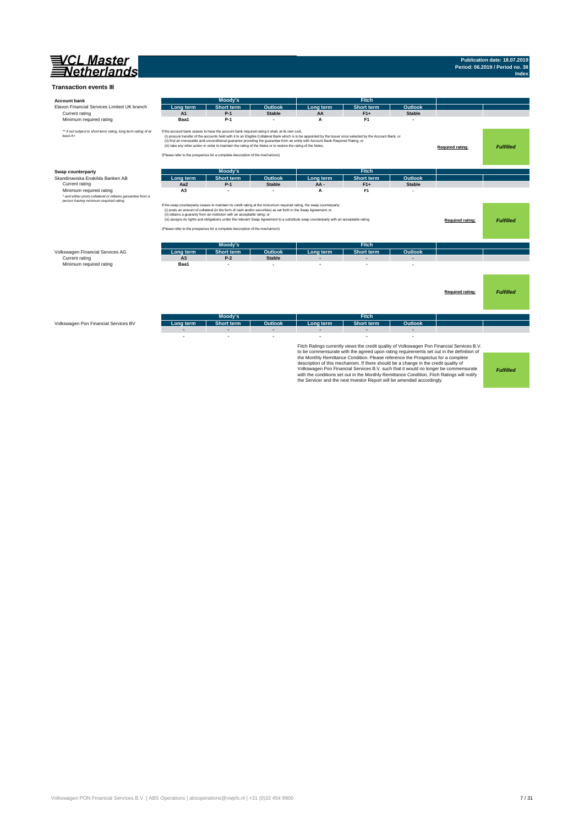

## **Publication date: 18.07.2019 Period: 06.2019 / Period no. 38 Index**

| <b>Account bank</b>                                                                                                                                                                                                                                                                                                                                                                                                                                                                                                                             |                | Moody's                                                                                                                                                                                                                                                                                           |                |                                                                                                                                                                                                                                                                                                    | <b>Fitch</b>                                                                                                                                                                                                                                                                                                                                    |                         |                                                                                                                                                                                                                                                                               |                  |
|-------------------------------------------------------------------------------------------------------------------------------------------------------------------------------------------------------------------------------------------------------------------------------------------------------------------------------------------------------------------------------------------------------------------------------------------------------------------------------------------------------------------------------------------------|----------------|---------------------------------------------------------------------------------------------------------------------------------------------------------------------------------------------------------------------------------------------------------------------------------------------------|----------------|----------------------------------------------------------------------------------------------------------------------------------------------------------------------------------------------------------------------------------------------------------------------------------------------------|-------------------------------------------------------------------------------------------------------------------------------------------------------------------------------------------------------------------------------------------------------------------------------------------------------------------------------------------------|-------------------------|-------------------------------------------------------------------------------------------------------------------------------------------------------------------------------------------------------------------------------------------------------------------------------|------------------|
| Elavon Financial Services Limited UK branch                                                                                                                                                                                                                                                                                                                                                                                                                                                                                                     | Lona term      | <b>Short term</b>                                                                                                                                                                                                                                                                                 | <b>Outlook</b> | Long term                                                                                                                                                                                                                                                                                          | <b>Short term</b>                                                                                                                                                                                                                                                                                                                               | Outlook                 |                                                                                                                                                                                                                                                                               |                  |
| Current rating                                                                                                                                                                                                                                                                                                                                                                                                                                                                                                                                  | A1             | $P-1$                                                                                                                                                                                                                                                                                             | <b>Stable</b>  | AA                                                                                                                                                                                                                                                                                                 | $F1+$                                                                                                                                                                                                                                                                                                                                           | <b>Stable</b>           |                                                                                                                                                                                                                                                                               |                  |
| Minimum required rating                                                                                                                                                                                                                                                                                                                                                                                                                                                                                                                         | Baa1           | $P-1$                                                                                                                                                                                                                                                                                             |                | A                                                                                                                                                                                                                                                                                                  | F <sub>1</sub>                                                                                                                                                                                                                                                                                                                                  |                         |                                                                                                                                                                                                                                                                               |                  |
| ** if not subject to short-term rating, long term rating of at<br>least A+                                                                                                                                                                                                                                                                                                                                                                                                                                                                      |                | If the account bank ceases to have the account bank required rating it shall, at its own cost,<br>(iii) take any other action in order to maintain the rating of the Notes or to restore the rating of the Notes.<br>(Please refer to the prospectus for a complete description of the mechanism) |                | (i) procure transfer of the accounts held with it to an Eligible Collateral Bank which is to be appointed by the Issuer once selected by the Account Bank, or<br>(ii) find an irrevocable and unconditional guarantor providing the guarantee from an entity with Account Bank Required Rating, or |                                                                                                                                                                                                                                                                                                                                                 |                         | Required rating:                                                                                                                                                                                                                                                              | <b>Fulfilled</b> |
| Swap counterparty                                                                                                                                                                                                                                                                                                                                                                                                                                                                                                                               |                | Moody's                                                                                                                                                                                                                                                                                           |                |                                                                                                                                                                                                                                                                                                    | <b>Fitch</b>                                                                                                                                                                                                                                                                                                                                    |                         |                                                                                                                                                                                                                                                                               |                  |
| Skandinaviska Enskilda Banken AB                                                                                                                                                                                                                                                                                                                                                                                                                                                                                                                | Long term      | <b>Short term</b>                                                                                                                                                                                                                                                                                 | Outlook        | Long term                                                                                                                                                                                                                                                                                          | <b>Short term</b>                                                                                                                                                                                                                                                                                                                               | Outlook                 |                                                                                                                                                                                                                                                                               |                  |
| Current rating                                                                                                                                                                                                                                                                                                                                                                                                                                                                                                                                  | Aa2            | $P-1$                                                                                                                                                                                                                                                                                             | <b>Stable</b>  | AA-                                                                                                                                                                                                                                                                                                | $F1+$                                                                                                                                                                                                                                                                                                                                           | <b>Stable</b>           |                                                                                                                                                                                                                                                                               |                  |
| Minimum required rating                                                                                                                                                                                                                                                                                                                                                                                                                                                                                                                         | A <sub>3</sub> |                                                                                                                                                                                                                                                                                                   |                | A                                                                                                                                                                                                                                                                                                  | F <sub>1</sub>                                                                                                                                                                                                                                                                                                                                  |                         |                                                                                                                                                                                                                                                                               |                  |
| * and either posts collateral or obtains garuantee from a                                                                                                                                                                                                                                                                                                                                                                                                                                                                                       |                |                                                                                                                                                                                                                                                                                                   |                |                                                                                                                                                                                                                                                                                                    |                                                                                                                                                                                                                                                                                                                                                 |                         |                                                                                                                                                                                                                                                                               |                  |
| If the swap counterparty ceases to maintain its credit rating at the miniumum required rating, the swap counterparty:<br>(i) posts an amount of collateral (in the form of cash and/or securities) as set forth in the Swap Agreement; or<br>(ii) obtains a guaranty from an instituton with an acceptable ratng; or<br>(iii) assigns its rights and obligations under the relevant Swap Agreement to a substitute swap counterparty with an acceptable rating.<br>(Please refer to the prospectus for a complete description of the mechanism) |                |                                                                                                                                                                                                                                                                                                   |                |                                                                                                                                                                                                                                                                                                    |                                                                                                                                                                                                                                                                                                                                                 | <b>Required rating:</b> | <b>Fulfilled</b>                                                                                                                                                                                                                                                              |                  |
|                                                                                                                                                                                                                                                                                                                                                                                                                                                                                                                                                 |                | Moody's                                                                                                                                                                                                                                                                                           |                |                                                                                                                                                                                                                                                                                                    | <b>Fitch</b>                                                                                                                                                                                                                                                                                                                                    |                         |                                                                                                                                                                                                                                                                               |                  |
| Volkswagen Financial Services AG                                                                                                                                                                                                                                                                                                                                                                                                                                                                                                                | Long term      | <b>Short term</b>                                                                                                                                                                                                                                                                                 | <b>Outlook</b> | Long term                                                                                                                                                                                                                                                                                          | <b>Short term</b>                                                                                                                                                                                                                                                                                                                               | <b>Outlook</b>          |                                                                                                                                                                                                                                                                               |                  |
| Current rating                                                                                                                                                                                                                                                                                                                                                                                                                                                                                                                                  | A <sub>3</sub> | $P-2$                                                                                                                                                                                                                                                                                             | <b>Stable</b>  |                                                                                                                                                                                                                                                                                                    |                                                                                                                                                                                                                                                                                                                                                 |                         |                                                                                                                                                                                                                                                                               |                  |
| Minimum required rating                                                                                                                                                                                                                                                                                                                                                                                                                                                                                                                         | Baa1           | J.                                                                                                                                                                                                                                                                                                |                |                                                                                                                                                                                                                                                                                                    |                                                                                                                                                                                                                                                                                                                                                 |                         |                                                                                                                                                                                                                                                                               |                  |
|                                                                                                                                                                                                                                                                                                                                                                                                                                                                                                                                                 |                |                                                                                                                                                                                                                                                                                                   |                |                                                                                                                                                                                                                                                                                                    |                                                                                                                                                                                                                                                                                                                                                 |                         | Required rating:                                                                                                                                                                                                                                                              | <b>Fulfilled</b> |
|                                                                                                                                                                                                                                                                                                                                                                                                                                                                                                                                                 |                | Moody's                                                                                                                                                                                                                                                                                           |                |                                                                                                                                                                                                                                                                                                    | Fitch                                                                                                                                                                                                                                                                                                                                           |                         |                                                                                                                                                                                                                                                                               |                  |
| Volkswagen Pon Financial Services BV                                                                                                                                                                                                                                                                                                                                                                                                                                                                                                            | Long term      | <b>Short term</b>                                                                                                                                                                                                                                                                                 | Outlook        | Long term                                                                                                                                                                                                                                                                                          | <b>Short term</b>                                                                                                                                                                                                                                                                                                                               | Outlook                 |                                                                                                                                                                                                                                                                               |                  |
|                                                                                                                                                                                                                                                                                                                                                                                                                                                                                                                                                 |                | ٠                                                                                                                                                                                                                                                                                                 |                |                                                                                                                                                                                                                                                                                                    |                                                                                                                                                                                                                                                                                                                                                 |                         |                                                                                                                                                                                                                                                                               |                  |
|                                                                                                                                                                                                                                                                                                                                                                                                                                                                                                                                                 |                |                                                                                                                                                                                                                                                                                                   |                |                                                                                                                                                                                                                                                                                                    | the Monthly Remittance Condition. Please reference the Prospectus for a complete<br>description of this mechanism. If there should be a change in the credit quality of<br>with the conditions set out in the Monthly Remittance Condition, Fitch Ratings will notify<br>the Servicer and the next Investor Report will be amended accordingly. |                         | Fitch Ratings currently views the credit quality of Volkswagen Pon Financial Services B.V.<br>to be commensurate with the agreed upon rating requirements set out in the definition of<br>Volkswagen Pon Financial Services B.V. such that it would no longer be commensurate | <b>Fulfilled</b> |

Volkswagen PON Financial Services B.V. | ABS Operations | absoperations@vwpfs.nl | +31 (0)33 454 9900 7 / 31 / 31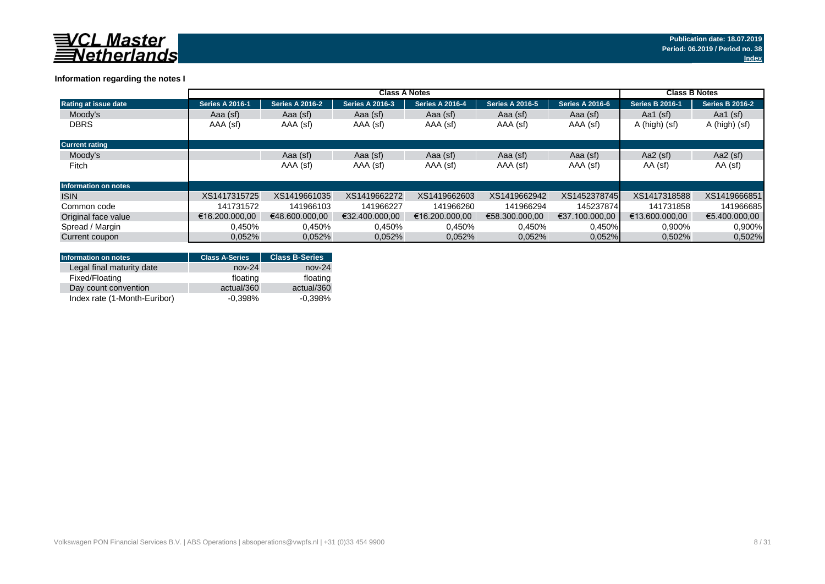

### **Information regarding the notes I**

|                             | <b>Class A Notes</b>   |                        |                        |                        |                        |                        |                        | <b>Class B Notes</b>   |  |
|-----------------------------|------------------------|------------------------|------------------------|------------------------|------------------------|------------------------|------------------------|------------------------|--|
| <b>Rating at issue date</b> | <b>Series A 2016-1</b> | <b>Series A 2016-2</b> | <b>Series A 2016-3</b> | <b>Series A 2016-4</b> | <b>Series A 2016-5</b> | <b>Series A 2016-6</b> | <b>Series B 2016-1</b> | <b>Series B 2016-2</b> |  |
| Moody's                     | Aaa (sf)               | Aaa (sf)               | Aaa (sf)               | Aaa (sf)               | Aaa (sf)               | Aaa (sf)               | Aa1 $(sf)$             | Aa1 $(sf)$             |  |
| <b>DBRS</b>                 | AAA (sf)               | AAA (sf)               | AAA (sf)               | AAA (sf)               | AAA (sf)               | AAA (sf)               | A (high) (sf)          | A (high) (sf)          |  |
| <b>Current rating</b>       |                        |                        |                        |                        |                        |                        |                        |                        |  |
| Moody's                     |                        | Aaa (sf)               | Aaa (sf)               | Aaa (sf)               | Aaa (sf)               | Aaa (sf)               | Aa2 $(sf)$             | Aa2 $(sf)$             |  |
| Fitch                       |                        | AAA (sf)               | AAA (sf)               | AAA (sf)               | AAA (sf)               | AAA (sf)               | AA (sf)                | AA (sf)                |  |
| <b>Information on notes</b> |                        |                        |                        |                        |                        |                        |                        |                        |  |
| <b>ISIN</b>                 | XS1417315725           | XS1419661035           | XS1419662272           | XS1419662603           | XS1419662942           | XS1452378745           | XS1417318588           | XS1419666851           |  |
| Common code                 | 141731572              | 141966103              | 141966227              | 141966260              | 141966294              | 145237874              | 141731858              | 141966685              |  |
| Original face value         | €16.200.000.00         | €48,600,000,00         | €32.400.000.00         | €16.200.000.00         | €58.300.000.00         | €37.100.000.00         | €13.600.000.00         | €5.400.000.00          |  |
| Spread / Margin             | 0.450%                 | 0,450%                 | 0,450%                 | 0,450%                 | 0,450%                 | 0,450%                 | 0,900%                 | 0.900%                 |  |
| Current coupon              | 0.052%                 | 0,052%                 | 0.052%                 | 0.052%                 | 0.052%                 | 0.052%                 | 0,502%                 | 0,502%                 |  |

| <b>Information on notes</b>  | <b>Class A-Series</b> | <b>Class B-Series</b> |
|------------------------------|-----------------------|-----------------------|
| Legal final maturity date    | $nov-24$              | $nov-24$              |
| Fixed/Floating               | floating              | floating              |
| Day count convention         | actual/360            | actual/360            |
| Index rate (1-Month-Euribor) | $-0.398%$             | $-0.398%$             |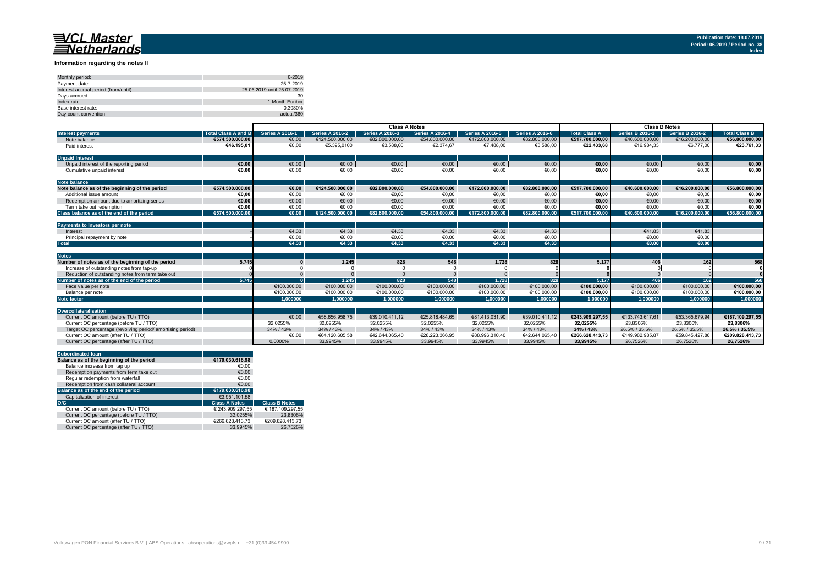#### **Information regarding the notes II**

| Monthly period:                      | 6-2019                      |
|--------------------------------------|-----------------------------|
| Payment date:                        | 25-7-2019                   |
| Interest accrual period (from/until) | 25.06.2019 until 25.07.2019 |
| Davs accrued                         | 30                          |
| Index rate                           | 1-Month Euribor             |
| Base interest rate:                  | $-0.3980%$                  |
| Day count convention                 | actual/360                  |

| <b>Series B 2016-1</b><br><b>Series A 2016-3</b><br><b>Series A 2016-4</b><br><b>Series A 2016-6</b><br><b>Total Class A</b><br><b>Series B 2016-2</b><br><b>Total Class B</b><br><b>Total Class A and B</b><br><b>Series A 2016-1</b><br><b>Series A 2016-2</b><br><b>Series A 2016-5</b><br><b>Interest payments</b><br>€172.800.000.00<br>€82.800.000,00<br>€16.200.000,00<br>€574.500.000.00<br>€0.00<br>€124.500.000.00<br>€82,800,000,00<br>€54,800,000,00<br>€517.700.000.00<br>€40.600.000.00<br>Note balance<br>€0,00<br>€5.395,0100<br>€3.588,00<br>€2.374,67<br>€7.488,00<br>€6.777.00<br>€46.195,01<br>€3.588,00<br>€22.433.68<br>€16.984.33<br>Paid interest<br><b>Unpaid Interest</b><br>$\epsilon$ 0,00<br>€0,00<br>€0,00<br>€0,00<br>$\epsilon$ 0,00<br>€0,00<br>€0,00<br>€0,00<br>€0,00<br>€0.00<br>€0,00<br>Unpaid interest of the reporting period<br>€0.00<br>€0,00<br>€0,00<br>€0,00<br>€0,00<br>€0,00<br>€0,00<br>€0.00<br>€0,00<br>€0,00<br>Cumulative unpaid interest<br><b>Note balance</b><br>€574.500.000.00<br>€124.500.000.00<br>€54.800.000.00<br>€517.700.000.00<br>€16.200.000,00<br>Note balance as of the beginning of the period<br>€0.00<br>€82.800.000.00<br>€172.800.000.00<br>€82.800.000,00<br>€40.600.000.00<br>€56.800.000,00<br>€0,00<br>€0.00<br>€0,00<br>€0.00<br>€0,00<br>€0,00<br>€0,00<br>Additional issue amount<br>€0.00<br>€0,00<br>€0.00<br>€0.00<br>€0.00<br>€0.00<br>€0.00<br>€0.00<br>€0.00<br>€0,00<br>€0.00<br>€0,00<br>€0.00<br>€0.00<br>€0,00<br>Redemption amount due to amortizing series<br>€0,00<br>€0,00<br>€0,00<br>€0,00<br>€0,00<br>€0,00<br>€0,00<br>€0,00<br>€0,00<br>Term take out redemption<br>€0.00<br>Class balance as of the end of the period<br>€0.00<br>€124.500.000.00<br>€82.800.000.00<br>€54.800.000.00<br>€82.800.000.00<br>€40.600.000.00<br>€16.200.000.00<br>€56.800.000.00<br>€574.500.000.00<br>€172.800.000.00<br>€517.700.000.00<br>Payments to Investors per note<br>€4,33<br>€4,33<br>€4,33<br>€4,33<br>€4,33<br>€4,33<br>€41.83<br>€41,83<br>Interest<br>€0,00<br>€0,00<br>€0.00<br>€0,00<br>€0.00<br>€0,00<br>€0,00<br>€0,00<br>Principal repayment by note<br>€4.33<br>€4.33<br>€4.33<br>€4.33<br>€4.33<br><b>Total</b><br>€0.00<br>€4.33<br>€0.00 |  | <b>Class A Notes</b> |  |  |  |  | <b>Class B Notes</b> |  |  |  |                 |
|---------------------------------------------------------------------------------------------------------------------------------------------------------------------------------------------------------------------------------------------------------------------------------------------------------------------------------------------------------------------------------------------------------------------------------------------------------------------------------------------------------------------------------------------------------------------------------------------------------------------------------------------------------------------------------------------------------------------------------------------------------------------------------------------------------------------------------------------------------------------------------------------------------------------------------------------------------------------------------------------------------------------------------------------------------------------------------------------------------------------------------------------------------------------------------------------------------------------------------------------------------------------------------------------------------------------------------------------------------------------------------------------------------------------------------------------------------------------------------------------------------------------------------------------------------------------------------------------------------------------------------------------------------------------------------------------------------------------------------------------------------------------------------------------------------------------------------------------------------------------------------------------------------------------------------------------------------------------------------------------------------------------------------------------------------------------------------------------------------------------------------------------------------------------------------------------------------------------------------------------------|--|----------------------|--|--|--|--|----------------------|--|--|--|-----------------|
|                                                                                                                                                                                                                                                                                                                                                                                                                                                                                                                                                                                                                                                                                                                                                                                                                                                                                                                                                                                                                                                                                                                                                                                                                                                                                                                                                                                                                                                                                                                                                                                                                                                                                                                                                                                                                                                                                                                                                                                                                                                                                                                                                                                                                                                   |  |                      |  |  |  |  |                      |  |  |  |                 |
|                                                                                                                                                                                                                                                                                                                                                                                                                                                                                                                                                                                                                                                                                                                                                                                                                                                                                                                                                                                                                                                                                                                                                                                                                                                                                                                                                                                                                                                                                                                                                                                                                                                                                                                                                                                                                                                                                                                                                                                                                                                                                                                                                                                                                                                   |  |                      |  |  |  |  |                      |  |  |  | €56.800.000,00  |
|                                                                                                                                                                                                                                                                                                                                                                                                                                                                                                                                                                                                                                                                                                                                                                                                                                                                                                                                                                                                                                                                                                                                                                                                                                                                                                                                                                                                                                                                                                                                                                                                                                                                                                                                                                                                                                                                                                                                                                                                                                                                                                                                                                                                                                                   |  |                      |  |  |  |  |                      |  |  |  | €23.761,33      |
|                                                                                                                                                                                                                                                                                                                                                                                                                                                                                                                                                                                                                                                                                                                                                                                                                                                                                                                                                                                                                                                                                                                                                                                                                                                                                                                                                                                                                                                                                                                                                                                                                                                                                                                                                                                                                                                                                                                                                                                                                                                                                                                                                                                                                                                   |  |                      |  |  |  |  |                      |  |  |  |                 |
|                                                                                                                                                                                                                                                                                                                                                                                                                                                                                                                                                                                                                                                                                                                                                                                                                                                                                                                                                                                                                                                                                                                                                                                                                                                                                                                                                                                                                                                                                                                                                                                                                                                                                                                                                                                                                                                                                                                                                                                                                                                                                                                                                                                                                                                   |  |                      |  |  |  |  |                      |  |  |  |                 |
|                                                                                                                                                                                                                                                                                                                                                                                                                                                                                                                                                                                                                                                                                                                                                                                                                                                                                                                                                                                                                                                                                                                                                                                                                                                                                                                                                                                                                                                                                                                                                                                                                                                                                                                                                                                                                                                                                                                                                                                                                                                                                                                                                                                                                                                   |  |                      |  |  |  |  |                      |  |  |  | €0,00           |
|                                                                                                                                                                                                                                                                                                                                                                                                                                                                                                                                                                                                                                                                                                                                                                                                                                                                                                                                                                                                                                                                                                                                                                                                                                                                                                                                                                                                                                                                                                                                                                                                                                                                                                                                                                                                                                                                                                                                                                                                                                                                                                                                                                                                                                                   |  |                      |  |  |  |  |                      |  |  |  |                 |
|                                                                                                                                                                                                                                                                                                                                                                                                                                                                                                                                                                                                                                                                                                                                                                                                                                                                                                                                                                                                                                                                                                                                                                                                                                                                                                                                                                                                                                                                                                                                                                                                                                                                                                                                                                                                                                                                                                                                                                                                                                                                                                                                                                                                                                                   |  |                      |  |  |  |  |                      |  |  |  |                 |
|                                                                                                                                                                                                                                                                                                                                                                                                                                                                                                                                                                                                                                                                                                                                                                                                                                                                                                                                                                                                                                                                                                                                                                                                                                                                                                                                                                                                                                                                                                                                                                                                                                                                                                                                                                                                                                                                                                                                                                                                                                                                                                                                                                                                                                                   |  |                      |  |  |  |  |                      |  |  |  |                 |
|                                                                                                                                                                                                                                                                                                                                                                                                                                                                                                                                                                                                                                                                                                                                                                                                                                                                                                                                                                                                                                                                                                                                                                                                                                                                                                                                                                                                                                                                                                                                                                                                                                                                                                                                                                                                                                                                                                                                                                                                                                                                                                                                                                                                                                                   |  |                      |  |  |  |  |                      |  |  |  |                 |
|                                                                                                                                                                                                                                                                                                                                                                                                                                                                                                                                                                                                                                                                                                                                                                                                                                                                                                                                                                                                                                                                                                                                                                                                                                                                                                                                                                                                                                                                                                                                                                                                                                                                                                                                                                                                                                                                                                                                                                                                                                                                                                                                                                                                                                                   |  |                      |  |  |  |  |                      |  |  |  | €0,00           |
|                                                                                                                                                                                                                                                                                                                                                                                                                                                                                                                                                                                                                                                                                                                                                                                                                                                                                                                                                                                                                                                                                                                                                                                                                                                                                                                                                                                                                                                                                                                                                                                                                                                                                                                                                                                                                                                                                                                                                                                                                                                                                                                                                                                                                                                   |  |                      |  |  |  |  |                      |  |  |  |                 |
|                                                                                                                                                                                                                                                                                                                                                                                                                                                                                                                                                                                                                                                                                                                                                                                                                                                                                                                                                                                                                                                                                                                                                                                                                                                                                                                                                                                                                                                                                                                                                                                                                                                                                                                                                                                                                                                                                                                                                                                                                                                                                                                                                                                                                                                   |  |                      |  |  |  |  |                      |  |  |  |                 |
|                                                                                                                                                                                                                                                                                                                                                                                                                                                                                                                                                                                                                                                                                                                                                                                                                                                                                                                                                                                                                                                                                                                                                                                                                                                                                                                                                                                                                                                                                                                                                                                                                                                                                                                                                                                                                                                                                                                                                                                                                                                                                                                                                                                                                                                   |  |                      |  |  |  |  |                      |  |  |  |                 |
|                                                                                                                                                                                                                                                                                                                                                                                                                                                                                                                                                                                                                                                                                                                                                                                                                                                                                                                                                                                                                                                                                                                                                                                                                                                                                                                                                                                                                                                                                                                                                                                                                                                                                                                                                                                                                                                                                                                                                                                                                                                                                                                                                                                                                                                   |  |                      |  |  |  |  |                      |  |  |  |                 |
|                                                                                                                                                                                                                                                                                                                                                                                                                                                                                                                                                                                                                                                                                                                                                                                                                                                                                                                                                                                                                                                                                                                                                                                                                                                                                                                                                                                                                                                                                                                                                                                                                                                                                                                                                                                                                                                                                                                                                                                                                                                                                                                                                                                                                                                   |  |                      |  |  |  |  |                      |  |  |  |                 |
|                                                                                                                                                                                                                                                                                                                                                                                                                                                                                                                                                                                                                                                                                                                                                                                                                                                                                                                                                                                                                                                                                                                                                                                                                                                                                                                                                                                                                                                                                                                                                                                                                                                                                                                                                                                                                                                                                                                                                                                                                                                                                                                                                                                                                                                   |  |                      |  |  |  |  |                      |  |  |  |                 |
| <b>Notes</b>                                                                                                                                                                                                                                                                                                                                                                                                                                                                                                                                                                                                                                                                                                                                                                                                                                                                                                                                                                                                                                                                                                                                                                                                                                                                                                                                                                                                                                                                                                                                                                                                                                                                                                                                                                                                                                                                                                                                                                                                                                                                                                                                                                                                                                      |  |                      |  |  |  |  |                      |  |  |  |                 |
| 828<br>548<br>1.728<br>828<br>406<br>Number of notes as of the beginning of the period<br>5.745<br>1.245<br>5.177<br>162                                                                                                                                                                                                                                                                                                                                                                                                                                                                                                                                                                                                                                                                                                                                                                                                                                                                                                                                                                                                                                                                                                                                                                                                                                                                                                                                                                                                                                                                                                                                                                                                                                                                                                                                                                                                                                                                                                                                                                                                                                                                                                                          |  |                      |  |  |  |  |                      |  |  |  | 568             |
| Increase of outstanding notes from tap-up                                                                                                                                                                                                                                                                                                                                                                                                                                                                                                                                                                                                                                                                                                                                                                                                                                                                                                                                                                                                                                                                                                                                                                                                                                                                                                                                                                                                                                                                                                                                                                                                                                                                                                                                                                                                                                                                                                                                                                                                                                                                                                                                                                                                         |  |                      |  |  |  |  |                      |  |  |  |                 |
| Reduction of outstanding notes from term take out                                                                                                                                                                                                                                                                                                                                                                                                                                                                                                                                                                                                                                                                                                                                                                                                                                                                                                                                                                                                                                                                                                                                                                                                                                                                                                                                                                                                                                                                                                                                                                                                                                                                                                                                                                                                                                                                                                                                                                                                                                                                                                                                                                                                 |  |                      |  |  |  |  |                      |  |  |  |                 |
| 406<br>828<br>548<br>1.245<br>1.728<br>Number of notes as of the end of the period<br>5.745<br>828<br>5.177<br>162                                                                                                                                                                                                                                                                                                                                                                                                                                                                                                                                                                                                                                                                                                                                                                                                                                                                                                                                                                                                                                                                                                                                                                                                                                                                                                                                                                                                                                                                                                                                                                                                                                                                                                                                                                                                                                                                                                                                                                                                                                                                                                                                |  |                      |  |  |  |  |                      |  |  |  | 568             |
| €100.000,00<br>€100.000,00<br>€100.000,00<br>€100.000,00<br>€100.000,00<br>€100.000,00<br>€100.000,00<br>€100.000,00<br>€100.000,00<br>Face value per note                                                                                                                                                                                                                                                                                                                                                                                                                                                                                                                                                                                                                                                                                                                                                                                                                                                                                                                                                                                                                                                                                                                                                                                                                                                                                                                                                                                                                                                                                                                                                                                                                                                                                                                                                                                                                                                                                                                                                                                                                                                                                        |  |                      |  |  |  |  |                      |  |  |  | €100.000,00     |
| €100.000.00<br>€100.000.00<br>€100.000.00<br>€100.000.00<br>€100.000.00<br>€100.000.00<br>€100.000.00<br>€100,000.00<br>€100.000.00<br>Balance per note                                                                                                                                                                                                                                                                                                                                                                                                                                                                                                                                                                                                                                                                                                                                                                                                                                                                                                                                                                                                                                                                                                                                                                                                                                                                                                                                                                                                                                                                                                                                                                                                                                                                                                                                                                                                                                                                                                                                                                                                                                                                                           |  |                      |  |  |  |  |                      |  |  |  | €100.000,00     |
| 1.000000<br>1.000000<br>1.000000<br>1.000000<br>1.000000<br>1.000000<br>1.000000<br>1.000000<br>1.000000<br><b>Note factor</b>                                                                                                                                                                                                                                                                                                                                                                                                                                                                                                                                                                                                                                                                                                                                                                                                                                                                                                                                                                                                                                                                                                                                                                                                                                                                                                                                                                                                                                                                                                                                                                                                                                                                                                                                                                                                                                                                                                                                                                                                                                                                                                                    |  |                      |  |  |  |  |                      |  |  |  | 1.000000        |
| Overcollateralisation                                                                                                                                                                                                                                                                                                                                                                                                                                                                                                                                                                                                                                                                                                                                                                                                                                                                                                                                                                                                                                                                                                                                                                                                                                                                                                                                                                                                                                                                                                                                                                                                                                                                                                                                                                                                                                                                                                                                                                                                                                                                                                                                                                                                                             |  |                      |  |  |  |  |                      |  |  |  |                 |
| Current OC amount (before TU / TTO)<br>€0.00<br>€58.656.958.75<br>€25.818.484.65<br>€243.909.297.55<br>€133.743.617.61<br>€53.365.679.94<br>€39.010.411.12<br>€81.413.031.90<br>€39.010.411.12                                                                                                                                                                                                                                                                                                                                                                                                                                                                                                                                                                                                                                                                                                                                                                                                                                                                                                                                                                                                                                                                                                                                                                                                                                                                                                                                                                                                                                                                                                                                                                                                                                                                                                                                                                                                                                                                                                                                                                                                                                                    |  |                      |  |  |  |  |                      |  |  |  | €187.109.297.55 |
| 32.0255%<br>32.0255%<br>32,0255%<br>32,0255%<br>23.8306%<br>23.8306%<br>23.8306%<br>Current OC percentage (before TU / TTO)<br>32.0255%<br>32.0255%<br>32.0255%                                                                                                                                                                                                                                                                                                                                                                                                                                                                                                                                                                                                                                                                                                                                                                                                                                                                                                                                                                                                                                                                                                                                                                                                                                                                                                                                                                                                                                                                                                                                                                                                                                                                                                                                                                                                                                                                                                                                                                                                                                                                                   |  |                      |  |  |  |  |                      |  |  |  |                 |
| 34% / 43%<br>34% / 43%<br>34% / 43%<br>34% / 43%<br>34% / 43%<br>34% / 43%<br>26.5% / 35.5%<br>26.5% / 35.5%<br>26.5% / 35.5%<br>Target OC percentage (revolving period/amortising period)<br>34% / 43%                                                                                                                                                                                                                                                                                                                                                                                                                                                                                                                                                                                                                                                                                                                                                                                                                                                                                                                                                                                                                                                                                                                                                                                                                                                                                                                                                                                                                                                                                                                                                                                                                                                                                                                                                                                                                                                                                                                                                                                                                                           |  |                      |  |  |  |  |                      |  |  |  |                 |
| €0,00<br>Current OC amount (after TU / TTO)<br>€64.120.605.58<br>€42.644.065.40<br>€28.223.366.95<br>€88.996.310.40<br>€42.644.065.40<br>€266.628.413.73<br>€149.982.985.87<br>€59.845.427.86                                                                                                                                                                                                                                                                                                                                                                                                                                                                                                                                                                                                                                                                                                                                                                                                                                                                                                                                                                                                                                                                                                                                                                                                                                                                                                                                                                                                                                                                                                                                                                                                                                                                                                                                                                                                                                                                                                                                                                                                                                                     |  |                      |  |  |  |  |                      |  |  |  | €209.828.413.73 |
| Current OC percentage (after TU / TTO)<br>0.0000%<br>33.9945%<br>33.9945%<br>33.9945%<br>33.9945%<br>33,9945%<br>33,9945%<br>26.7526%<br>26.7526%<br>26.7526%                                                                                                                                                                                                                                                                                                                                                                                                                                                                                                                                                                                                                                                                                                                                                                                                                                                                                                                                                                                                                                                                                                                                                                                                                                                                                                                                                                                                                                                                                                                                                                                                                                                                                                                                                                                                                                                                                                                                                                                                                                                                                     |  |                      |  |  |  |  |                      |  |  |  |                 |

|     | <b>Subordinated loan</b>                  |                      |                      |
|-----|-------------------------------------------|----------------------|----------------------|
|     | Balance as of the beginning of the period | €179.030.616.98      |                      |
|     | Balance increase from tap up              | €0.00                |                      |
|     | Redemption payments from term take out    | €0.00                |                      |
|     | Regular redemption from waterfall         | €0.00                |                      |
|     | Redemption from cash collateral account   | €0.00                |                      |
|     | Balance as of the end of the period       | €179.030.616.98      |                      |
|     | Capitalization of interest                | €3.951.101.58        |                      |
| O/C |                                           | <b>Class A Notes</b> | <b>Class B Notes</b> |
|     | Current OC amount (before TU / TTO)       | € 243.909.297.55     | € 187.109.297.55     |
|     | Current OC percentage (before TU / TTO)   | 32.0255%             | 23.8306%             |
|     | Current OC amount (after TU / TTO)        | €266.628.413.73      | €209.828.413.73      |
|     | Current OC percentage (after TU / TTO)    | 33.9945%             | 26.7526%             |
|     |                                           |                      |                      |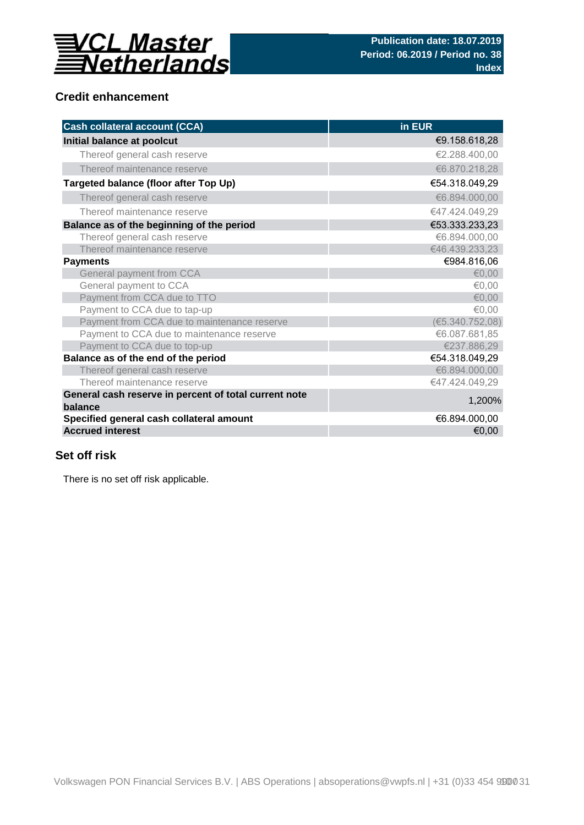

## **Credit enhancement**

| <b>Cash collateral account (CCA)</b>                             | in EUR          |
|------------------------------------------------------------------|-----------------|
| Initial balance at poolcut                                       | €9.158.618,28   |
| Thereof general cash reserve                                     | €2.288.400.00   |
| Thereof maintenance reserve                                      | €6.870.218,28   |
| Targeted balance (floor after Top Up)                            | €54.318.049,29  |
| Thereof general cash reserve                                     | €6.894.000,00   |
| Thereof maintenance reserve                                      | €47.424.049,29  |
| Balance as of the beginning of the period                        | €53.333.233,23  |
| Thereof general cash reserve                                     | €6.894.000,00   |
| Thereof maintenance reserve                                      | €46.439.233,23  |
| <b>Payments</b>                                                  | €984.816,06     |
| General payment from CCA                                         | € $0,00$        |
| General payment to CCA                                           | €0,00           |
| Payment from CCA due to TTO                                      | € $0,00$        |
| Payment to CCA due to tap-up                                     | €0,00           |
| Payment from CCA due to maintenance reserve                      | (E5.340.752,08) |
| Payment to CCA due to maintenance reserve                        | €6.087.681,85   |
| Payment to CCA due to top-up                                     | €237.886,29     |
| Balance as of the end of the period                              | €54.318.049,29  |
| Thereof general cash reserve                                     | €6.894.000,00   |
| Thereof maintenance reserve                                      | €47.424.049,29  |
| General cash reserve in percent of total current note<br>balance | 1,200%          |
| Specified general cash collateral amount                         | €6.894.000,00   |
| <b>Accrued interest</b>                                          | €0,00           |

## **Set off risk**

There is no set off risk applicable.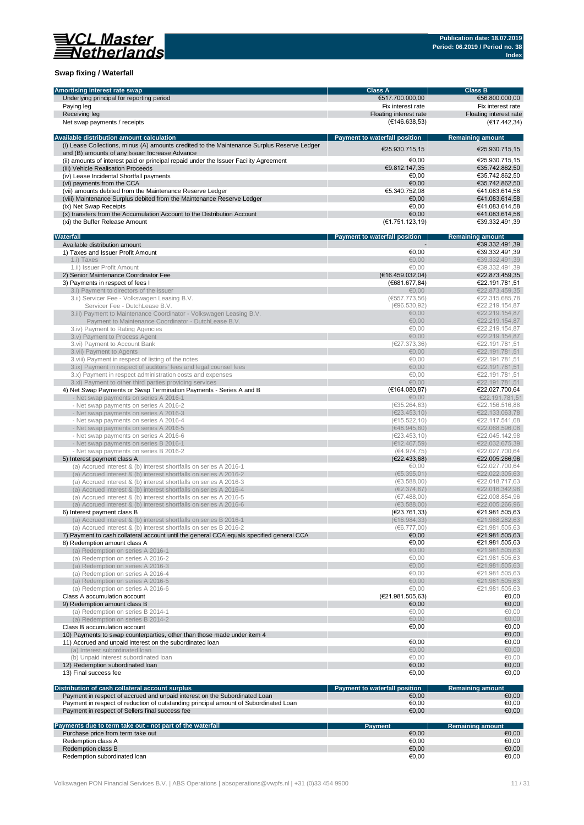

### **Swap fixing / Waterfall**

| Amortising interest rate swap                                                               | <b>Class A</b>                       | <b>Class B</b>          |
|---------------------------------------------------------------------------------------------|--------------------------------------|-------------------------|
| Underlying principal for reporting period                                                   | €517.700.000,00                      | €56.800.000,00          |
| Paying leg                                                                                  | Fix interest rate                    | Fix interest rate       |
|                                                                                             |                                      |                         |
| Receiving leg                                                                               | Floating interest rate               | Floating interest rate  |
| Net swap payments / receipts                                                                | (E146.638,53)                        | (€17.442,34)            |
|                                                                                             |                                      |                         |
| Available distribution amount calculation                                                   | <b>Payment to waterfall position</b> | <b>Remaining amount</b> |
| (i) Lease Collections, minus (A) amounts credited to the Maintenance Surplus Reserve Ledger | €25.930.715,15                       | €25.930.715.15          |
| and (B) amounts of any Issuer Increase Advance                                              |                                      |                         |
| (ii) amounts of interest paid or principal repaid under the Issuer Facility Agreement       | €0.00                                | €25.930.715,15          |
| (iii) Vehicle Realisation Proceeds                                                          | €9.812.147,35                        | €35.742.862,50          |
| (iv) Lease Incidental Shortfall payments                                                    | €0.00                                | €35.742.862,50          |
| (vi) payments from the CCA                                                                  | €0.00                                | €35.742.862,50          |
| (vii) amounts debited from the Maintenance Reserve Ledger                                   | €5.340.752,08                        | €41.083.614,58          |
| (viii) Maintenance Surplus debited from the Maintenance Reserve Ledger                      | €0,00                                | €41.083.614,58          |
|                                                                                             |                                      |                         |
| (ix) Net Swap Receipts                                                                      | €0.00                                | €41.083.614,58          |
| (x) transfers from the Accumulation Account to the Distribution Account                     | €0,00                                | €41.083.614,58          |
| (xi) the Buffer Release Amount                                                              | (E1.751.123.19)                      | €39.332.491,39          |
|                                                                                             |                                      |                         |
| Waterfall                                                                                   | Payment to waterfall position        | <b>Remaining amount</b> |
| Available distribution amount                                                               |                                      | €39.332.491,39          |
| 1) Taxes and Issuer Profit Amount                                                           | €0,00                                | €39.332.491,39          |
| 1.i) Taxes                                                                                  | €0.00                                | €39.332.491,39          |
| 1.ii) Issuer Profit Amount                                                                  | €0.00                                | €39.332.491,39          |
| 2) Senior Maintenance Coordinator Fee                                                       | (E16.459.032,04)                     | €22.873.459,35          |
| 3) Payments in respect of fees I                                                            | (€681.677,84)                        | €22.191.781,51          |
|                                                                                             |                                      |                         |
| 3.i) Payment to directors of the issuer                                                     | €0,00                                | €22.873.459,35          |
| 3.ii) Servicer Fee - Volkswagen Leasing B.V.                                                | (6557.773.56)                        | €22.315.685,78          |
| Servicer Fee - DutchLease B.V.                                                              | (€96.530,92)                         | €22.219.154,87          |
| 3.iii) Payment to Maintenance Coordinator - Volkswagen Leasing B.V.                         | €0,00                                | €22.219.154,87          |
| Payment to Maintenance Coordinator - DutchLease B.V.                                        | €0,00                                | €22.219.154,87          |
| 3.iv) Payment to Rating Agencies                                                            | €0.00                                | €22.219.154,87          |
|                                                                                             | €0,00                                | €22.219.154,87          |
| 3.v) Payment to Process Agent                                                               |                                      | €22.191.781.51          |
| 3.vi) Payment to Account Bank                                                               | (E27.373,36)                         |                         |
| 3. vii) Payment to Agents                                                                   | €0,00                                | €22.191.781,51          |
| 3. viii) Payment in respect of listing of the notes                                         | €0.00                                | €22.191.781,51          |
| 3.ix) Payment in respect of auditors' fees and legal counsel fees                           | €0.00                                | €22.191.781,51          |
| 3.x) Payment in respect administration costs and expenses                                   | €0,00                                | €22.191.781,51          |
| 3.xi) Payment to other third parties providing services                                     | €0,00                                | €22.191.781,51          |
| 4) Net Swap Payments or Swap Termination Payments - Series A and B                          | (E164.080, 87)                       | €22.027.700,64          |
|                                                                                             |                                      |                         |
| - Net swap payments on series A 2016-1                                                      | €0,00                                | €22.191.781,51          |
| - Net swap payments on series A 2016-2                                                      | (€35.264,63)                         | €22.156.516,88          |
| - Net swap payments on series A 2016-3                                                      | (E23.453, 10)                        | €22.133.063,78          |
| - Net swap payments on series A 2016-4                                                      | (€15.522, 10)                        | €22.117.541,68          |
| - Net swap payments on series A 2016-5                                                      | (€48.945,60)                         | €22.068.596,08          |
| - Net swap payments on series A 2016-6                                                      | (E23.453, 10)                        | €22.045.142,98          |
| - Net swap payments on series B 2016-1                                                      | (E12.467,59)                         | €22.032.675,39          |
|                                                                                             |                                      |                         |
| - Net swap payments on series B 2016-2                                                      | (€4.974,75)                          | €22.027.700,64          |
| 5) Interest payment class A                                                                 | (E22.433,68)                         | €22.005.266,96          |
| (a) Accrued interest & (b) interest shortfalls on series A 2016-1                           | €0,00                                | €22.027.700,64          |
| (a) Accrued interest & (b) interest shortfalls on series A 2016-2                           | (65.395, 01)                         | €22.022.305,63          |
| (a) Accrued interest & (b) interest shortfalls on series A 2016-3                           | (63.588,00)                          | €22.018.717,63          |
| (a) Accrued interest & (b) interest shortfalls on series A 2016-4                           | (E2.374, 67)                         | €22.016.342,96          |
| (a) Accrued interest & (b) interest shortfalls on series A 2016-5                           | (E7.488,00)                          | €22.008.854,96          |
| (a) Accrued interest & (b) interest shortfalls on series A 2016-6                           | (€3.588,00)                          | €22.005.266,96          |
|                                                                                             |                                      |                         |
| 6) Interest payment class B                                                                 | (E23.761, 33)                        | €21.981.505,63          |
| (a) Accrued interest & (b) interest shortfalls on series B 2016-1                           | (E16.984, 33)                        | €21.988.282,63          |
| (a) Accrued interest & (b) interest shortfalls on series B 2016-2                           | (66.777,00)                          | €21.981.505,63          |
| 7) Payment to cash collateral account until the general CCA equals specified general CCA    | €0,00                                | €21.981.505,63          |
| 8) Redemption amount class A                                                                | €0,00                                | €21.981.505,63          |
| (a) Redemption on series A 2016-1                                                           | €0,00                                | €21.981.505,63          |
| (a) Redemption on series A 2016-2                                                           | €0,00                                | €21.981.505,63          |
| (a) Redemption on series A 2016-3                                                           | €0,00                                | €21.981.505,63          |
|                                                                                             |                                      |                         |
| (a) Redemption on series A 2016-4                                                           | €0,00                                | €21.981.505,63          |
| (a) Redemption on series A 2016-5                                                           | €0,00                                | €21.981.505,63          |
| (a) Redemption on series A 2016-6                                                           | €0,00                                | €21.981.505,63          |
| Class A accumulation account                                                                | (E21.981.505, 63)                    | €0,00                   |
| 9) Redemption amount class B                                                                | €0,00                                | €0,00                   |
| (a) Redemption on series B 2014-1                                                           | €0,00                                | €0,00                   |
|                                                                                             | €0,00                                |                         |
| (a) Redemption on series B 2014-2                                                           |                                      | €0,00                   |
| Class B accumulation account                                                                | €0,00                                | €0,00                   |
| 10) Payments to swap counterparties, other than those made under item 4                     |                                      | €0,00                   |
| 11) Accrued and unpaid interest on the subordinated loan                                    | €0,00                                | €0,00                   |
| (a) Interest subordinated loan                                                              | €0,00                                | €0,00                   |
| (b) Unpaid interest subordinated loan                                                       | €0,00                                | €0,00                   |
| 12) Redemption subordinated loan                                                            | €0,00                                | €0,00                   |
|                                                                                             |                                      |                         |
| 13) Final success fee                                                                       | €0,00                                | €0,00                   |
|                                                                                             |                                      |                         |
| Distribution of cash collateral account surplus                                             | Payment to waterfall position        | <b>Remaining amount</b> |
| Payment in respect of accrued and unpaid interest on the Subordinated Loan                  | €0,00                                | €0,00                   |
| Payment in respect of reduction of outstanding principal amount of Subordinated Loan        | €0,00                                | €0,00                   |
| Payment in respect of Sellers final success fee                                             | €0,00                                | €0,00                   |
|                                                                                             |                                      |                         |
| Payments due to term take out - not part of the waterfall                                   | <b>Payment</b>                       | <b>Remaining amount</b> |
| Purchase price from term take out                                                           | €0,00                                | €0,00                   |
| Redemption class A                                                                          | €0,00                                | €0,00                   |
| Redemption class B                                                                          | €0,00                                | €0,00                   |
|                                                                                             |                                      |                         |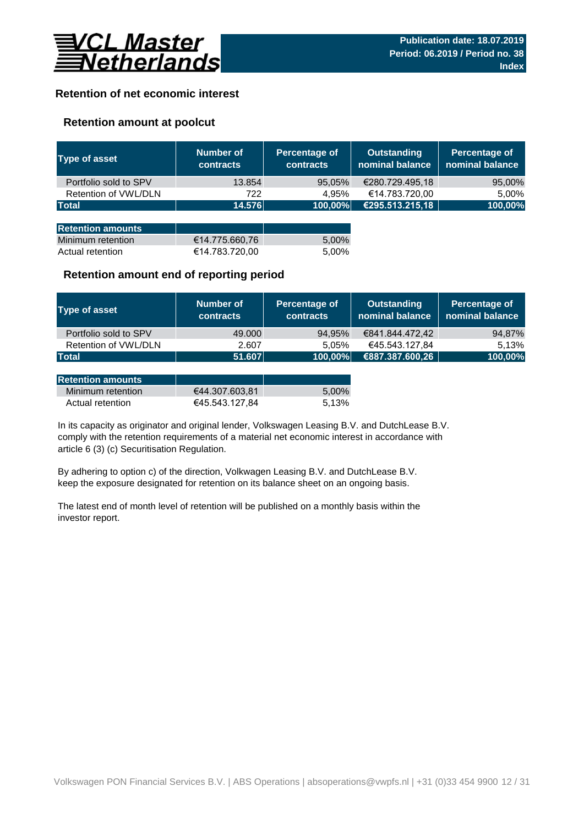

## **Retention of net economic interest**

## **Retention amount at poolcut**

| <b>Type of asset</b>     | <b>Number of</b><br><b>contracts</b> | Percentage of<br><b>contracts</b> | <b>Outstanding</b><br>nominal balance | Percentage of<br>nominal balance |
|--------------------------|--------------------------------------|-----------------------------------|---------------------------------------|----------------------------------|
| Portfolio sold to SPV    | 13.854                               | 95,05%                            | €280.729.495,18                       | 95,00%                           |
| Retention of VWL/DLN     | 722                                  | 4.95%                             | €14.783.720,00                        | 5,00%                            |
| <b>Total</b>             | 14.576                               | 100,00%                           | €295.513.215,18                       | 100,00%                          |
|                          |                                      |                                   |                                       |                                  |
| <b>Retention amounts</b> |                                      |                                   |                                       |                                  |
| Minimum retention        | €14.775.660,76                       | 5,00%                             |                                       |                                  |
| Actual retention         | €14.783.720,00                       | 5.00%                             |                                       |                                  |

### **Retention amount end of reporting period**

| Type of asset         | Number of<br><b>contracts</b> | Percentage of<br><b>contracts</b> | <b>Outstanding</b><br>nominal balance | Percentage of<br>$\,$ nominal balance $\,$ |
|-----------------------|-------------------------------|-----------------------------------|---------------------------------------|--------------------------------------------|
| Portfolio sold to SPV | 49,000                        | 94,95%                            | €841.844.472,42                       | 94,87%                                     |
| Retention of VWL/DLN  | 2.607                         | 5.05%                             | €45.543.127.84                        | 5.13%                                      |
| <b>Total</b>          | 51.607                        | 100,00%                           | €887.387.600,26                       | 100,00%                                    |

| <b>Retention amounts</b> |                |       |
|--------------------------|----------------|-------|
| Minimum retention        | €44.307.603.81 | 5.00% |
| Actual retention         | €45.543.127.84 | 5.13% |

article 6 (3) (c) Securitisation Regulation. In its capacity as originator and original lender, Volkswagen Leasing B.V. and DutchLease B.V. comply with the retention requirements of a material net economic interest in accordance with

By adhering to option c) of the direction, Volkwagen Leasing B.V. and DutchLease B.V. keep the exposure designated for retention on its balance sheet on an ongoing basis.

The latest end of month level of retention will be published on a monthly basis within the investor report.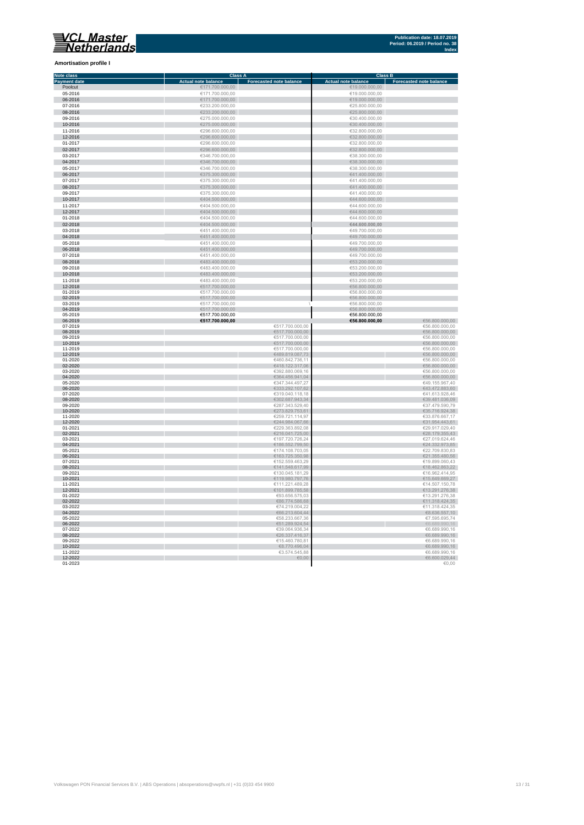**Amortisation profile I**

#### **Class A Class B Class B Class B Class B Class B Class B Class B Class B Class B Eq. 1 Note class Payment date and the Sale of the Case of the Sale of the Sale of the Sale of the Sale of the Sale of the Sale of the Sale of the Sale of the Sale of the Sale of the Sale of the Sale of the Sale of the Sale of the Sale of** Poolcut ∈19.000.000,00 €171.700.000,00 €171.700.000,00 €19.000.000,00 €19.000.000,00 €19.000.000,00 €19.000.000,00<br>0**5-2016** €19.000.000,00 €19.000.000,00 €19.000.000,00 €19.000.000,00 €19.000.000,00 €19.000.000,00 €19.00 г 06-2016 €171.700.000,00 €19.000.000,00  $\begin{array}{r}\n 07-2016 \\
\hline\n 623.200.000,00 \\
\hline\n 625.800.000,00 \\
\hline\n 625.800.000,00 \\
\hline\n 625.800.000,00 \\
\hline\n 625.800.000,00 \\
\hline\n 625.800.000,00 \\
\hline\n 625.800.000,00 \\
\hline\n 625.800.000,00 \\
\hline\n 625.800.000,00 \\
\hline\n 625.800.000,00 \\
\h$ Ì. 08-2016 €233.200.000,00 €25.800.000,00 09-2016 €275.000.000,00 €30.400.000,00 10-2016 €275.000.000,00 €30.400.000,00 11-2016 €296.600.000,00 €32.800.000,00 11-2016<br>  $C296.600.000,00$ <br>  $C296.600.000,00$ <br>  $C296.600.000,00$ <br>  $C296.600.000,00$ <br>  $C296.600.000,00$ <br>  $C296.600.000,00$ <br>  $C296.600.000,00$ <br>  $C296.600.000,00$ <br>  $C32.800.000,00$ <br>  $C32.800.000,00$ <br>  $C32.800.000,00$ <br>  $C32.$ 12-2016 €296.600.000,00 €32.800.000,00 01-2017 €296.600.000,00 €32.800.000,00  $6346.700.000,00$  ∈38.300.000,00 ∈38.300.000,00 × 0**4-2017** €38.300.000,00 €346.700.000,00 €346.700.000,00 €38.300.000,00 €38.300.000,00 €38.300.000,00 €38.300.000,00<br>05-2017 €38.300.000,00 €346.700.000,00 €346.700.000,00 €346.700.000,00 €346.700 €38.300.000,00 €38.300.0 × 06-2017 €375.300.000,00 €41.400.000,00  $\epsilon$ 375.300.000,00  $\epsilon$  (and the set of  $\epsilon$ 41.400.000,00  $\epsilon$ 0**8-2017 ∈**41.400.000,00 ∈375.300.000,00 ∈375.300.000,00 ∈41.400.000,00 ∈41.400.000,00 ∈41.400.000,00 ∈41.400.000,00 ∈41.400.000,00 ∈41.400.000,00 ∈41.400.000,00 ∈41.400.000,00 ∈41.400.000,00 ∈41.400.000,00 ∈41.400.000,00 п 10-2017 €404.500.000,00 €44.600.000,00 11-2017 €404.500.000,00 €404.500.000,00 €404.500.000,00 €404.500.000,00 €404.500.000,00 €44.600.000,00 €44.600.000,00 n. 12-2017 €404.500.000,00 €404.500.000,00 €404.500.000,00 €404.500.000,00 €44.600.000,00 €44.600.000,00  $01-2018$  ∈404.500.000,00 ∈404.500.000,00 ∈404.500.000,00 ∈404.600.000,00 × 02-2018 €404.500.000,00 **€44.600.000,00** 03-2018 €451.400.000,00 €49.700.000,00 п  $\begin{array}{r@{}l@{}} 04-2018 & \in & 49.700.000,00 \\ \hline 05-2018 & \in & 49.700.000,00 \\ \hline \end{array}$  $65-2018$  ∈451.400.000,00 ∈451.400.000,00 ∈451.400.000,00 ∈49.700.000,00 × 06-2018 €49.700.000,00 €451.400.000,00 € 451.400.000,00 € 5451.400.000,00 € 5451.400.000,00 € 549.700.000,00  $07-2018$   $\in$  49.700.000,00 r 08-2018 €483.400.000,00 €53.200.000,00  $09-2018$   $09-2018$   $09-2018$   $09-2018$   $09-2018$   $09-2018$   $09-2018$   $09-2018$   $09-2018$   $09-2018$   $09-2018$   $09-2018$   $09-2018$   $09-2018$   $09-2018$   $09-2018$   $09-2018$   $09-2018$   $09-2018$   $09-2018$   $09-2018$   $09-2018$  10-2018 €53.200.000,00 €683.400.000,00 €683.400.000,00 €53.200.000,00 €53.200.000,00 €53.200.000,00 €53.200.000,00<br>11-2018 €53.200.000,00 €53.200.000,00 €53.200.000,00 €53.200.000,00 €53.200.000,00 €53.200.000,00 €53.200. 12-2018 €517.700.000,00 €56.800.000,00 01-2019 €517.700.000,00 €56.800.000,00 02-2019 €517.700.000,00 €56.800.000,00 ×  $\begin{array}{ccccccc} 03-2019 & & & \epsilon 517.700.000,00 & & & & \epsilon 56.800.000,00 & & & \epsilon 56.800.000,00 & & \epsilon 56.800.000,00 & & \epsilon 56.800.000,00 & & \epsilon 56.800.000,00 & & \epsilon 56.800.000,00 & & \epsilon 56.800.000,00 & & \epsilon 56.800.000,00 & & \epsilon 56.800.000,00 & & \epsilon 56.800.000,00 &$ i. 04-2019 €517.700.000,00 €56.800.000,00 05-2019 €517.700.000,00 €56.800.000,00 ×. 06-2019 **€517.700.000,00 €56.800.000,00** €56.800.000,00  $07-2019$  ∈56.800.000,00 i. 08-2019 €517.700.000,00 €56.800.000,00  $09-2019$  ∈56.800.000,00 10-2019 €517.700.000,00 €56.800.000,00 11-2019 €517.700.000,00 €56.800.000,00 12-2019 €489.819.087,73 €56.800.000,00 01-2020 ∈56.800.000,00 п 02-2020 €56.800.000,00,00 € 56.800.000,00 € 57.5 € 57.5 € 57.5 € 57.5 € 57.5 € 57.5 € 57.5 € 57.5 € 57.5 € 57.5 € 57.5 € 57.5 € 57.5 € 57.5 € 57.5 € 57.5 € 57.5 € 57.5 € 57.5 € 57.5 € 57.5 € 57.5 € 57.5 € 57.5 € 57.5 € 5  $03$ -2020 ∈56.800.000,00 Ì. 04-2020 €56.800.000,00 € 66.800.000,00 € 66.800.000,00 € 66.800.000,00 € 66.800.000,00 € 66.800.000,00 € 65.800  $6347.344.497,27$   $649.155.967,4020$   $6347.344.497,27$   $649.155.967,4020$ п 06-2020 ∈43.472.883,60 €43.472.883,60 € 533.292.107,62 € 533.292.107,62 € 43.472.883,60  $07$ -2020 ∈41.613.928,46 ∈41.613.928,46 r. 08-2020 €39.481.036,09 €302.687.943,34 €302.687.943,34 €302.687.943,34 €302.687.943,34 €30.481.036,09  $09-2020$  ∈37.479.590,79 €37.479.590,79 п 10-2020 €273.829.753,61 €35.716.924,38 11-2020 €259.721.114,97 €33.876.667,17 12-2020 €31.954.443,61 €31.954.443,61 €31.954.443,61 €31.954.443,61 €31.954.443,61 €31.954.443,61 €31.954.443,61 01-2021 ∈29.917.029,40 €229.363.892,08 ∈229.363.892,08 ∈29.917.029,40 02-2021 €28.179.355,43  $03$ -2021 ∈27.019.624,46 ∈27.019.624,46 04-2021 €186.552.799,50 €24.332.973,85  **∈22.709.830,83** 06-2021 €163.725.350,98 €21.355.480,56  $07-2021$  ∈19.899.060,43 08-2021 €141.548.617,99 €18.462.863,22  $09-2021$  ∈ 130.045.181,29  $\blacksquare$   $045.181,29$   $\blacksquare$   $05.2021$   $\blacksquare$   $05.2414,95$ 10-2021 €119.980.797,76 €15.649.669,27 11-2021 €111.221.489,28 €14.507.150,78 12-2021 €101.899.785,58 €13.291.276,38 01-2022 ∈93.656.575,03 ∈93.656.575,03 ∈93.656.575,03 €93.656.575,03 €93.656.575,03 €13.291.276,38 02-2022 €86.774.586,68 €11.318.424,35  $03-2022$  ∈11.318.424,35 r. 04-2022  $\epsilon$  68.636.557,10  $05-2022$  ∈  $05-2022$  ∈  $05-74$  ∈  $05-2022$  ∈  $05-74$  ∈  $05-2022$  ∈  $05-74$  ∈  $05-74$  ∈  $05-74$  ∈  $05-74$  ∈  $05-74$  ∈  $05-74$  ∈  $05-74$  ∈  $05-74$  ∈  $05-74$  ∈  $05-74$  ∈  $05-74$  ∈  $05-74$  ∈  $05-74$  ∈  $05-74$  ∈  $05-74$  ∈  $0$ 06-2022  $\epsilon$ 51.289.924,54  $\epsilon$ 51.289.924,54  $\epsilon$ 51.289.924,54  $\epsilon$ 51.289.924,54  $\epsilon$ 5.689.990,16  $07-2022$  ∈39.064.936,34 ∈6.689.990,16 08-2022 €26.337.416,37 €6.689.990,16  $09-2022$  ∈ 6.689.990,16 10-2022 €8.689.990,16 €8.770.496,04 €8.770.496,04 €8.770.496,04 €8.770.496,04 €8.770.496,04 €8.689.990,16 11-2022 ∈ 3.574.545,88 ∈ 3.574.545,88 ∈ 3.574.545,88 ∈ 3.574.545,88 ∈ 3.574.545,88 ∈ 3.574.545,88 ∈ 3.574.545,88 ∈ 3.574.545,88 ∈ 3.574.545,88 ∈ 3.574.545,88 ∈ 3.574.545,88 ∈ 3.574.545,88 ∈ 3.574.545,88 ∈ 3.574.545,88 ∈

12-2022 €6.600.029,44  $01$ -2023  $\in$  0.00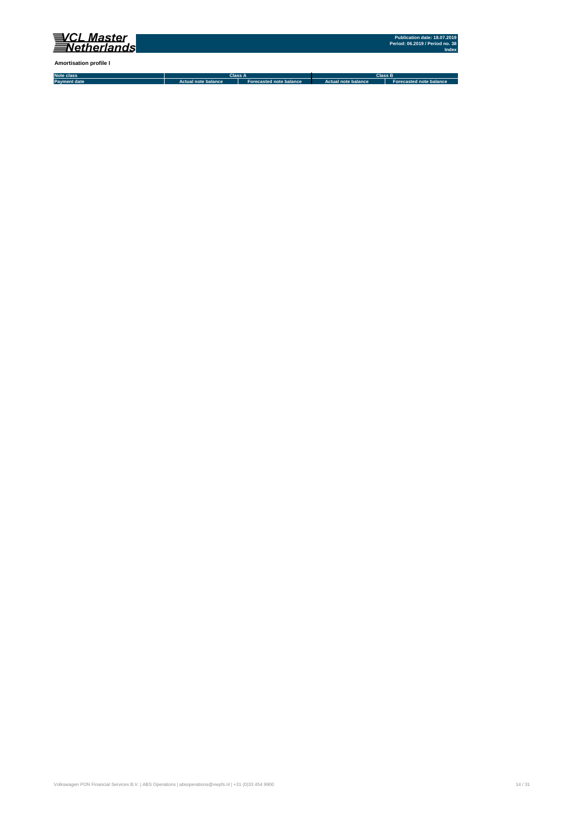

**Amortisation profile I**

**Note class Payment date Actual note balance Forecasted note balance Actual note balance2 Forecasted note balance3 Class A Class B**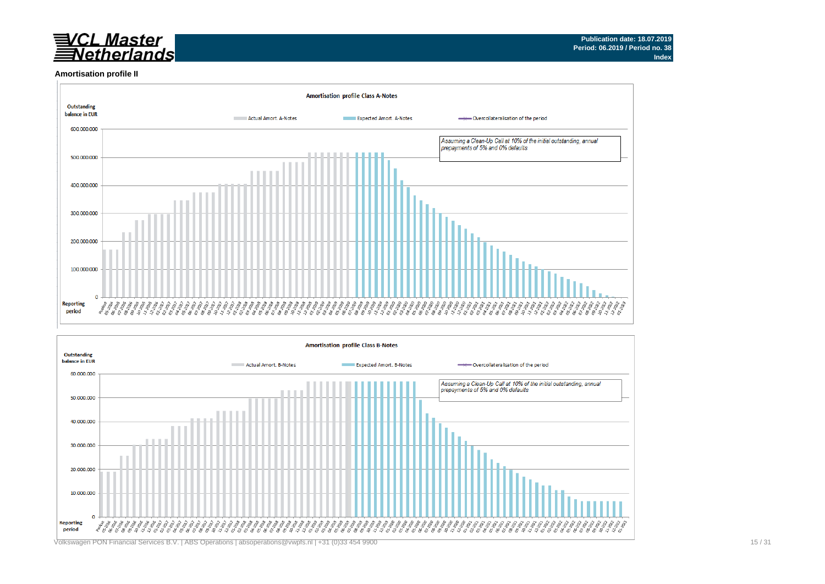# VCL Master<br>Netherlands

#### **Amortisation profile II**



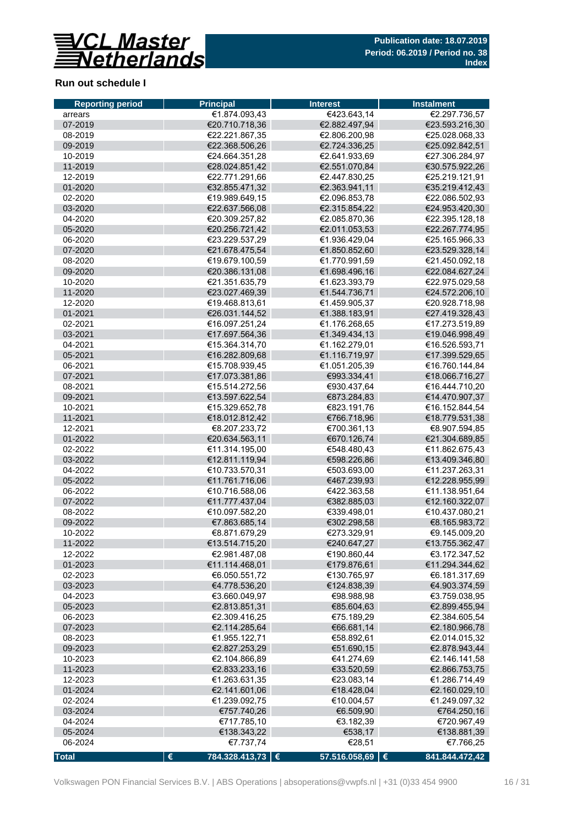

## **Run out schedule I**

| <b>Reporting period</b> | <b>Principal</b>        | <b>Interest</b> | <b>Instalment</b> |
|-------------------------|-------------------------|-----------------|-------------------|
| arrears                 | €1.874.093,43           | €423.643,14     | €2.297.736,57     |
| 07-2019                 | €20.710.718,36          | €2.882.497,94   | €23.593.216,30    |
| 08-2019                 | €22.221.867,35          | €2.806.200.98   | €25.028.068,33    |
| 09-2019                 | €22.368.506,26          | €2.724.336,25   | €25.092.842,51    |
| 10-2019                 | €24.664.351,28          | €2.641.933,69   | €27.306.284,97    |
| 11-2019                 | €28.024.851,42          | €2.551.070,84   | €30.575.922,26    |
| 12-2019                 | €22.771.291,66          | €2.447.830,25   | €25.219.121,91    |
| 01-2020                 | €32.855.471,32          | €2.363.941,11   | €35.219.412,43    |
| 02-2020                 | €19.989.649,15          | €2.096.853,78   | €22.086.502,93    |
| 03-2020                 | €22.637.566,08          | €2.315.854,22   | €24.953.420,30    |
| 04-2020                 | €20.309.257.82          | €2.085.870.36   | €22.395.128,18    |
| 05-2020                 | €20.256.721,42          | €2.011.053,53   | €22.267.774,95    |
| 06-2020                 | €23.229.537,29          | €1.936.429,04   | €25.165.966,33    |
| 07-2020                 | €21.678.475,54          | €1.850.852,60   | €23.529.328,14    |
| 08-2020                 | €19.679.100,59          | €1.770.991,59   | €21.450.092,18    |
| 09-2020                 | €20.386.131,08          | €1.698.496,16   | €22.084.627,24    |
| 10-2020                 | €21.351.635,79          | €1.623.393,79   | €22.975.029,58    |
| 11-2020                 | €23.027.469,39          | €1.544.736,71   | €24.572.206,10    |
| 12-2020                 | €19.468.813,61          | €1.459.905,37   | €20.928.718,98    |
| 01-2021                 | €26.031.144,52          | €1.388.183,91   | €27.419.328,43    |
| 02-2021                 | €16.097.251,24          | €1.176.268.65   | €17.273.519,89    |
| 03-2021                 | €17.697.564,36          | €1.349.434,13   | €19.046.998,49    |
| 04-2021                 | €15.364.314,70          | €1.162.279,01   | €16.526.593,71    |
| 05-2021                 | €16.282.809,68          | €1.116.719,97   | €17.399.529,65    |
| 06-2021                 | €15.708.939,45          | €1.051.205.39   | €16.760.144,84    |
| 07-2021                 | €17.073.381,86          | €993.334,41     | €18.066.716,27    |
| 08-2021                 | €15.514.272,56          | €930.437,64     | €16.444.710,20    |
| 09-2021                 | €13.597.622,54          | €873.284,83     | €14.470.907,37    |
| 10-2021                 | €15.329.652,78          | €823.191,76     | €16.152.844,54    |
| 11-2021                 | €18.012.812,42          | €766.718,96     | €18.779.531,38    |
| 12-2021                 | €8.207.233,72           | €700.361,13     | €8.907.594,85     |
| 01-2022                 | €20.634.563,11          | €670.126,74     | €21.304.689,85    |
| 02-2022                 | €11.314.195,00          | €548.480,43     | €11.862.675,43    |
| 03-2022                 | €12.811.119,94          | €598.226,86     | €13.409.346,80    |
| 04-2022                 | €10.733.570,31          | €503.693,00     | €11.237.263,31    |
| 05-2022                 | €11.761.716,06          | €467.239,93     | €12.228.955,99    |
| 06-2022                 | €10.716.588,06          | €422.363,58     | €11.138.951,64    |
| 07-2022                 | €11.777.437,04          | €382.885,03     | €12.160.322,07    |
| 08-2022                 | €10.097.582,20          | €339.498.01     | €10.437.080,21    |
| 09-2022                 | €7.863.685,14           | €302.298,58     | €8.165.983,72     |
| 10-2022                 | €8.871.679,29           | €273.329,91     | €9.145.009,20     |
| 11-2022                 | €13.514.715,20          | €240.647,27     | €13.755.362,47    |
| 12-2022                 | €2.981.487,08           | €190.860,44     | €3.172.347,52     |
| 01-2023                 | €11.114.468,01          | €179.876,61     | €11.294.344,62    |
| 02-2023                 | €6.050.551,72           | €130.765,97     | €6.181.317,69     |
| 03-2023                 | €4.778.536,20           | €124.838,39     | €4.903.374,59     |
| 04-2023                 | €3.660.049,97           | €98.988,98      | €3.759.038,95     |
| 05-2023                 | €2.813.851,31           | €85.604,63      | €2.899.455,94     |
| 06-2023                 | €2.309.416,25           | €75.189,29      | €2.384.605,54     |
| 07-2023                 | €2.114.285,64           | €66.681,14      | €2.180.966,78     |
| 08-2023                 | €1.955.122,71           | €58.892,61      | €2.014.015,32     |
| 09-2023                 | €2.827.253,29           | €51.690,15      | €2.878.943,44     |
| 10-2023                 | €2.104.866,89           | €41.274,69      | €2.146.141,58     |
| 11-2023                 | €2.833.233,16           | €33.520,59      | €2.866.753,75     |
| 12-2023                 | €1.263.631,35           | €23.083,14      | €1.286.714,49     |
| 01-2024                 | €2.141.601,06           | €18.428,04      | €2.160.029,10     |
| 02-2024                 | €1.239.092,75           | €10.004,57      | €1.249.097,32     |
| 03-2024                 | €757.740,26             | €6.509,90       | €764.250,16       |
| 04-2024                 | €717.785,10             | €3.182,39       | €720.967,49       |
| 05-2024                 | €138.343,22             | €538,17         | €138.881,39       |
| 06-2024                 | €7.737,74               | €28,51          | €7.766,25         |
|                         |                         |                 |                   |
| <b>Total</b>            | €<br>784.328.413,73   € | 57.516.058,69 € | 841.844.472,42    |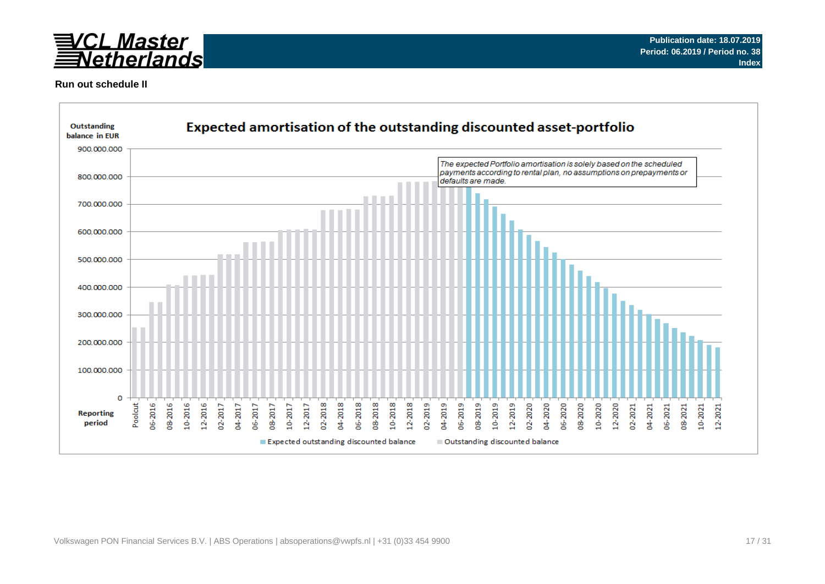

### **Run out schedule II**

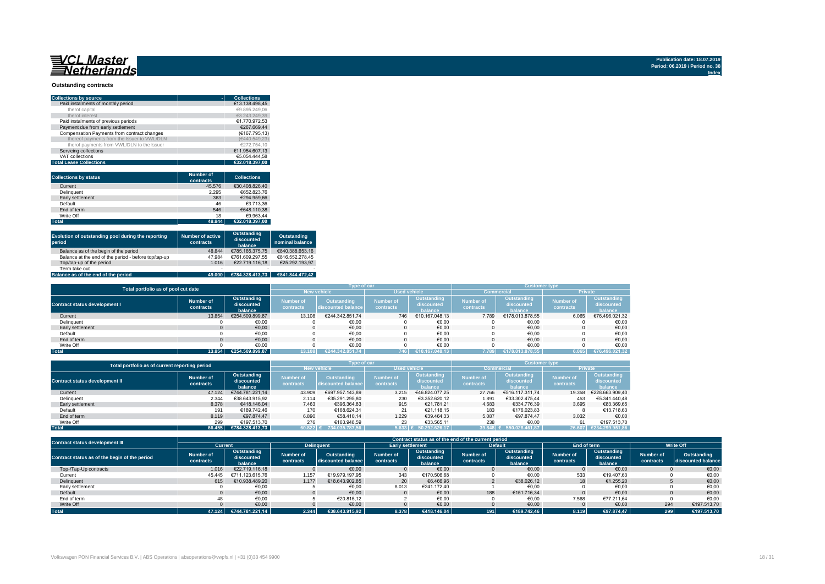## 

#### **Outstanding contracts**

| <b>Collections by source</b>                | <b>Collections</b> |
|---------------------------------------------|--------------------|
|                                             |                    |
| Paid instalments of monthly period          | €13.138.498.45     |
| therof capital                              | €9.895.249.06      |
| therof interest                             | €3.243.249.39      |
| Paid instalments of previous periods        | €1.770.972.53      |
| Payment due from early settlement           | €267.669.44        |
| Compensation Payments from contract changes | (€167.795.13)      |
| thereof payments from the Issuer to VWL/DLN | (€440.549.23)      |
| therof payments from VWL/DLN to the Issuer  | €272.754.10        |
| Servicing collections                       | €11.954.607.13     |
| VAT collections                             | €5.054.444.58      |
| <b>Total Lease Collections</b>              | €32.018.397.00     |

| <b>Collections by status</b> | <b>Number of</b><br>contracts | <b>Collections</b> |
|------------------------------|-------------------------------|--------------------|
| Current                      | 45.576                        | €30.408.826.40     |
| Delinquent                   | 2.295                         | €652.823.76        |
| Early settlement             | 363                           | €294.959.66        |
| Default                      | 46                            | €3.713.36          |
| End of term                  | 546                           | €648.110.38        |
| Write Off                    | 18                            | €9.963.44          |
| <b>Total</b>                 | 48.844                        | €32.018.397.00     |

| Evolution of outstanding pool during the reporting<br>period | <b>Number of active</b><br>contracts | Outstanding<br>discounted<br>balance | Outstanding<br>nominal balance |
|--------------------------------------------------------------|--------------------------------------|--------------------------------------|--------------------------------|
| Balance as of the begin of the period                        | 48.844                               | €785.165.375.75                      | €840.388.653.16                |
| Balance at the end of the period - before top/tap-up         | 47.984                               | €761.609.297.55                      | €816.552.278.45                |
| Top/tap-up of the period                                     | 1.016                                | €22.719.116.18                       | €25.292.193.97                 |
| Term take out                                                | $\overline{\phantom{a}}$             |                                      |                                |
| Balance as of the end of the period                          | 49.000                               | €784.328.413.73                      | €841.844.472.42                |

| Total portfolio as of pool cut date  |                        |                                      |                               | Type of car                       |                               |                                      | <b>Customer type</b>          |                                      |                               |                                      |  |
|--------------------------------------|------------------------|--------------------------------------|-------------------------------|-----------------------------------|-------------------------------|--------------------------------------|-------------------------------|--------------------------------------|-------------------------------|--------------------------------------|--|
|                                      |                        |                                      |                               | <b>New vehicle</b>                | <b>Used vehicle</b>           |                                      | <b>Commercial</b>             |                                      | <b>Private</b>                |                                      |  |
| <b>Contract status development I</b> | Number of<br>contracts | Outstanding<br>discounted<br>balance | <b>Number of</b><br>contracts | Outstanding<br>discounted balance | <b>Number of</b><br>contracts | Outstanding<br>discounted<br>halance | <b>Number of</b><br>contracts | Outstanding<br>discounted<br>halance | <b>Number of</b><br>contracts | Outstanding<br>discounted<br>balance |  |
| Current                              | 13.854                 | €254.509.899.87                      | 13.108                        | €244.342.851.74                   | 746                           | €10.167.048.13                       | 7.789                         | €178.013.878.55                      | 6.065                         | €76.496.021,32                       |  |
| Delinquent                           |                        | €0,00                                |                               | €0,00                             |                               | €0,00                                |                               | €0,00                                |                               | €0,00                                |  |
| Early settlement                     |                        | €0,00                                |                               | €0,00                             |                               | €0,00                                |                               | €0,00                                |                               | €0,00                                |  |
| Default                              |                        | €0,00                                |                               | €0,00                             |                               | €0,00                                |                               | €0,00                                |                               | €0,00                                |  |
| End of term                          |                        | €0.00                                |                               | €0.00                             |                               | €0.00                                |                               | €0.00                                |                               | €0,00                                |  |
| Write Off                            |                        | €0.00                                |                               | €0.00                             |                               | €0.00                                |                               | €0.00                                |                               | €0,00                                |  |
| <b>Total</b>                         | 13.854                 | €254.509.899.87                      |                               | €244.342.851.74                   | 746                           | €10.167.048.13                       | 7.789                         | 13.878.55<br>178.0                   | 6.065                         | 196.021,32<br>$ \epsilon$ 76.4.      |  |

| Total portfolio as of current reporting period |                        |                                                                       | Type of car  |                                          |                               | <b>Customer type</b>                 |                        |                                      |                               |                                      |
|------------------------------------------------|------------------------|-----------------------------------------------------------------------|--------------|------------------------------------------|-------------------------------|--------------------------------------|------------------------|--------------------------------------|-------------------------------|--------------------------------------|
|                                                |                        |                                                                       |              | <b>New vehicle</b>                       | <b>Used vehicle</b>           |                                      |                        | <b>Commercial</b>                    | <b>Private</b>                |                                      |
| <b>Contract status development II</b>          | Number of<br>contracts | Outstanding<br><b>Number of</b><br>discounted<br>contracts<br>balance |              | <b>Outstanding</b><br>discounted balance | <b>Number of</b><br>contracts | Outstanding<br>discounted<br>balance | Number of<br>contracts | Outstanding<br>discounted<br>balance | <b>Number of</b><br>contracts | Outstanding<br>discounted<br>balance |
| Current                                        | 47.124                 | €744.781.221.14                                                       | 43.909       | €697.957.143.89                          | 3.215                         | €46.824.077.25                       | 27.766                 | €516.117.311.74                      | 19.358                        | €228.663.909.40                      |
| Delinquent                                     | 2.344                  | €38.643.915.92                                                        | 2.114        | €35.291.295.80                           | 230                           | €3.352.620.12                        | 1.891                  | €33.302.475.44                       | 453                           | €5.341.440.48                        |
| Early settlement                               | 8.378                  | €418,146,04                                                           | 7.463        | €396.364.83                              | 915                           | €21.781.21                           | 4.683                  | €334.776.39                          | 3.695                         | €83.369.65                           |
| Default                                        | 191                    | €189.742.46                                                           | 170          | €168.624.31                              | 21                            | €21.118.15                           | 183                    | €176.023.83                          |                               | €13.718.63                           |
| End of term                                    | 8.119                  | €97.874.47                                                            | 6.890        | €58,410.14                               | 1.229                         | €39.464.33                           | 5.087                  | €97.874.47                           | 3.032                         | €0.00                                |
| Write Off                                      | 299                    | €197.513.70                                                           | 276          | €163.948.59                              | 23                            | €33.565.11                           | 238                    | €0.00                                | 61                            | €197.513.70                          |
| <b>Total</b>                                   | 66.455                 | €784.328.413.73                                                       | $60.822$ $($ | 734.035.787.56                           |                               | $5.633 \in 50.292.626.17$            | 39.848 €               | 550.028.461.87                       | 26.607                        | €234.299.951.86                      |

| <b>Contract status development III</b>        |                               | Contract status as of the end of the current period |                               |                                   |                        |                                      |                               |                                      |                               |                                      |                        |                                   |
|-----------------------------------------------|-------------------------------|-----------------------------------------------------|-------------------------------|-----------------------------------|------------------------|--------------------------------------|-------------------------------|--------------------------------------|-------------------------------|--------------------------------------|------------------------|-----------------------------------|
|                                               | <b>Current</b>                |                                                     | <b>Delinguent</b>             |                                   |                        | <b>Early settlement</b>              |                               | <b>Default</b>                       | End of term                   |                                      | <b>Write Off</b>       |                                   |
| Contract status as of the begin of the period | <b>Number of</b><br>contracts | Outstanding<br>discounted<br>balance                | <b>Number of</b><br>contracts | Outstanding<br>discounted balance | Number of<br>contracts | Outstanding<br>discounted<br>balance | <b>Number of</b><br>contracts | Outstanding<br>discounted<br>balance | <b>Number of</b><br>contracts | Outstanding<br>discounted<br>balance | Number of<br>contracts | Outstanding<br>discounted balance |
| Top-/Tap-Up contracts                         | 1.016                         | €22.719.116.18                                      |                               | €0.00                             |                        | €0.00                                |                               | €0.00                                |                               | €0.00                                |                        | €0,00                             |
| Current                                       | 45.445                        | €711.123.615.76                                     | 1.157                         | €19.979.197.95                    | 343                    | €170.506.68                          |                               | €0,00                                | 533                           | €19.407,63                           |                        | €0,00                             |
| Delinquent                                    | 615                           | €10.938.489.20                                      | 1.177                         | €18,643,902.85                    | 20                     | €6.466.96                            |                               | €38.026.12                           | 18                            | €1.255.20                            |                        | €0,00                             |
| Early settlement                              |                               | €0,00                                               |                               | €0,00                             | 8.013                  | €241.172.40                          |                               | €0,00                                |                               | €0,00                                |                        | €0,00                             |
| Default                                       |                               | €0.00                                               |                               | €0.00                             |                        | €0.00                                | 188                           | €151.716.34                          |                               | €0.00                                |                        | €0,00                             |
| End of term                                   | 48                            | €0.00                                               |                               | €20.815.12                        |                        | €0,00                                |                               | €0,00                                | 7.568                         | €77.211.64                           |                        | €0.00                             |
| Write Off                                     |                               | €0.00                                               |                               | €0,00                             |                        | €0,00                                |                               | €0,00                                |                               | €0.00                                | 294                    | €197.513.70                       |
| <b>Total</b>                                  | 47.124                        | €744.781.221.14                                     | 2.344                         | €38.643.915.92                    | 8.378                  | €418.146.04                          | 191                           | €189.742.46                          | 8.119                         | €97.874.47                           | 299                    | €197.513.70                       |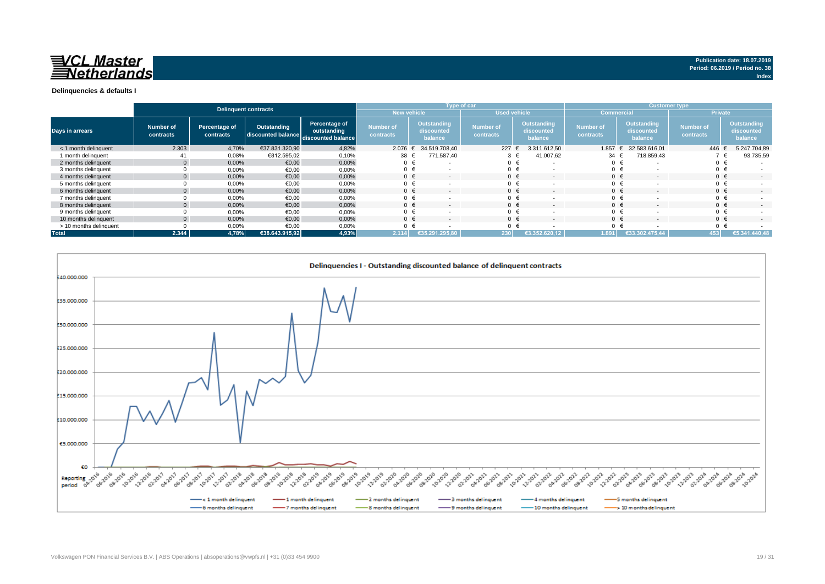

#### **Delinquencies & defaults I**

|                        |                        |                            | Delinquent contracts |                                                                       |                               |                                             | Type of car                   |                                             | <b>Customer type</b>          |                                             |                               |                                             |
|------------------------|------------------------|----------------------------|----------------------|-----------------------------------------------------------------------|-------------------------------|---------------------------------------------|-------------------------------|---------------------------------------------|-------------------------------|---------------------------------------------|-------------------------------|---------------------------------------------|
|                        |                        |                            |                      |                                                                       | <b>New vehicle</b>            |                                             | <b>Used vehicle</b>           |                                             | <b>Commercial</b>             |                                             | <b>Private</b>                |                                             |
| Days in arrears        | Number of<br>contracts | Percentage of<br>contracts | Outstanding          | Percentage of<br>outstanding<br>discounted balance discounted balance | <b>Number of</b><br>contracts | <b>Outstanding</b><br>discounted<br>balance | <b>Number of</b><br>contracts | <b>Outstanding</b><br>discounted<br>balance | <b>Number of</b><br>contracts | <b>Outstanding</b><br>discounted<br>balance | <b>Number of</b><br>contracts | <b>Outstanding</b><br>discounted<br>balance |
| < 1 month delinquent   | 2.303                  | 4,70%                      | €37.831.320.90       | 4,82%                                                                 | $2.076 \t∈$                   | 34.519.708.40                               | 227 $\epsilon$                | 3.311.612,50                                | 1.857                         | 32.583.616,01                               | 446                           | 5.247.704,89                                |
| 1 month delinquent     | 41                     | 0,08%                      | €812.595,02          | 0,10%                                                                 | 38 €                          | 771.587,40                                  | 3                             | 41.007,62<br>€                              | 34 $\epsilon$                 | 718.859,43                                  |                               | 93.735,59                                   |
| 2 months delinquent    |                        | 0,00%                      | €0,00                | 0,00%                                                                 | $0 \in$                       | $\sim$                                      | $0 \in$                       | . .                                         | $\Omega$                      |                                             | $0 \in$                       |                                             |
| 3 months delinquent    |                        | 0,00%                      | €0,00                | 0,00%                                                                 | $0 \in$                       |                                             | $0 \in$                       |                                             | $\Omega$                      |                                             | $0 \in$                       |                                             |
| 4 months delinquent    |                        | 0,00%                      | €0,00                | 0,00%                                                                 | $0 \in$                       | $\overline{\phantom{a}}$                    | $0 \in$                       | $\overline{\phantom{0}}$                    | $\Omega$                      | $\sim$                                      | $0 \in$                       | $\sim$                                      |
| 5 months delinquent    |                        | 0,00%                      | €0,00                | 0,00%                                                                 |                               |                                             | $0 \in$                       |                                             |                               |                                             | $0 \in$                       |                                             |
| 6 months delinquent    |                        | 0,00%                      | €0,00                | 0,00%                                                                 | $0 \in$                       | $\overline{\phantom{a}}$                    | $0 \in$                       | $\overline{\phantom{a}}$                    | $\Omega$                      |                                             | $0 \in$                       | $\overline{\phantom{a}}$                    |
| 7 months delinquent    |                        | 0,00%                      | €0,00                | 0,00%                                                                 | $0 \in$                       |                                             | $0 \in$                       |                                             | $\Omega$                      |                                             | $0 \in$                       |                                             |
| 8 months delinquent    |                        | 0,00%                      | €0,00                | 0,00%                                                                 | $0 \in$                       | $\overline{\phantom{a}}$                    | $0 \in$                       | $\overline{\phantom{a}}$                    | $\Omega$                      |                                             | $0 \in$                       | $\overline{\phantom{a}}$                    |
| 9 months delinquent    |                        | 0,00%                      | €0,00                | 0,00%                                                                 |                               |                                             | $0 \in$                       |                                             | $\Omega$                      |                                             | $0 \in$                       | $\sim$                                      |
| 10 months delinquent   |                        | 0,00%                      | €0.00                | 0,00%                                                                 |                               |                                             | $0 \in$                       | $\overline{\phantom{a}}$                    | $\Omega$                      |                                             | $0 \in$                       | $\sim$                                      |
| > 10 months delinquent |                        | 0,00%                      | €0.00                | 0,00%                                                                 |                               |                                             | $0 \in$                       |                                             | $\Omega$                      |                                             | $0 \in$                       |                                             |
| <b>Total</b>           | 2.344                  | 4,78%                      | €38.643.915,92       | 4,93%                                                                 | 2.114                         | €35.29<br>295.80                            | 230                           | €3.352.620.12                               | 1.891                         | €33.302.475.44                              | 153                           | €5.341.440,48                               |

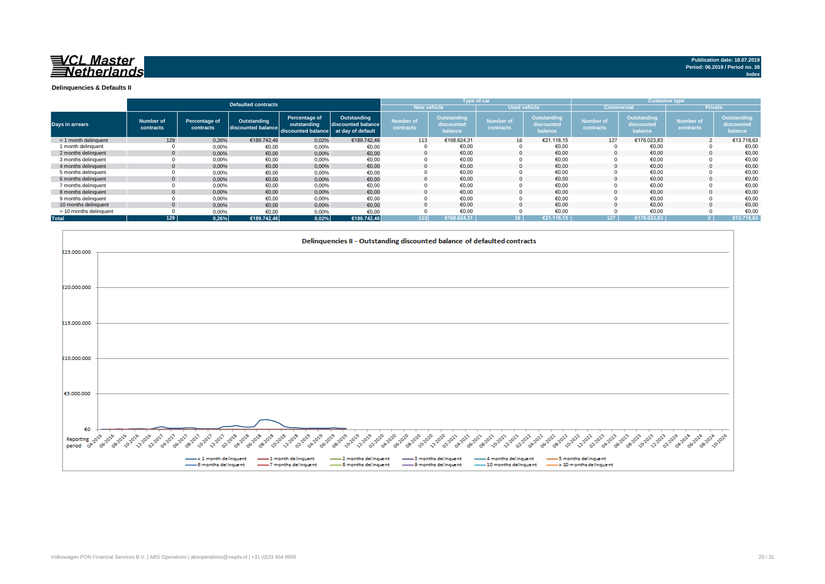

**Index**

**Delinquencies & Defaults II**

|                        |                        |                            |                                   |                                                    |                                                        |                               |                                      | Type of car                   |                                      |                               |                                      | <b>Customer type</b>          |                                      |
|------------------------|------------------------|----------------------------|-----------------------------------|----------------------------------------------------|--------------------------------------------------------|-------------------------------|--------------------------------------|-------------------------------|--------------------------------------|-------------------------------|--------------------------------------|-------------------------------|--------------------------------------|
|                        |                        |                            | <b>Defaulted contracts</b>        |                                                    |                                                        | <b>New vehicle</b>            |                                      | <b>Used vehicle</b>           |                                      | <b>Commercial</b>             |                                      | <b>Private</b>                |                                      |
| <b>Days in arrears</b> | Number of<br>contracts | Percentage of<br>contracts | Outstanding<br>discounted balance | Percentage of<br>outstanding<br>discounted balance | Outstanding<br>discounted balance<br>at day of default | <b>Number of</b><br>contracts | Outstanding<br>discounted<br>balance | <b>Number of</b><br>contracts | Outstanding<br>discounted<br>balance | <b>Number of</b><br>contracts | Outstanding<br>discounted<br>balance | <b>Number of</b><br>contracts | Outstanding<br>discounted<br>balance |
| < 1 month delinguent   | 129                    | 0,26%                      | €189,742.46                       | 0,02%                                              | €189.742.46                                            | 113                           | €168.624,31                          | 16                            | €21.118,15                           | 127                           | €176.023,83                          |                               | €13.718,63                           |
| 1 month delinguent     |                        | 0,00%                      | €0,00                             | 0,00%                                              | €0,00                                                  |                               | €0.00                                |                               | €0.00                                |                               | €0,00                                |                               | €0,00                                |
| 2 months delinguent    |                        | 0,00%                      | €0,00                             | 0,00%                                              | €0,00                                                  | $\Omega$                      | €0.00                                |                               | €0,00                                |                               | €0,00                                |                               | €0,00                                |
| 3 months delinquent    |                        | 0,00%                      | €0,00                             | 0,00%                                              | €0,00                                                  |                               | €0,00                                |                               | €0,00                                |                               | €0,00                                |                               | €0,00                                |
| 4 months delinguent    |                        | 0,00%                      | €0,00                             | 0,00%                                              | €0,00                                                  |                               | €0.00                                |                               | €0,00                                |                               | €0,00                                |                               | €0,00                                |
| 5 months delinguent    |                        | 0,00%                      | €0,00                             | 0,00%                                              | €0,00                                                  |                               | €0,00                                |                               | €0,00                                |                               | €0,00                                |                               | €0,00                                |
| 6 months delinguent    |                        | 0,00%                      | €0.00                             | 0,00%                                              | €0,00                                                  |                               | €0.00                                |                               | €0.00                                |                               | €0.00                                |                               | €0,00                                |
| 7 months delinquent    |                        | 0,00%                      | €0,00                             | 0,00%                                              | €0,00                                                  |                               | €0,00                                |                               | €0,00                                |                               | €0,00                                |                               | €0,00                                |
| 8 months delinquent    |                        | 0,00%                      | €0.00                             | 0,00%                                              | €0,00                                                  |                               | €0,00                                |                               | €0,00                                |                               | €0,00                                |                               | €0,00                                |
| 9 months delinquent    |                        | 0,00%                      | €0,00                             | 0,00%                                              | €0,00                                                  |                               | €0,00                                |                               | €0,00                                |                               | €0,00                                |                               | €0,00                                |
| 10 months delinguent   |                        | 0,00%                      | €0,00                             | 0,00%                                              | €0,00                                                  |                               | €0.00                                |                               | €0.00                                |                               | €0.00                                |                               | €0,00                                |
| > 10 months delinquent |                        | 0,00%                      | €0.00                             | 0,00%                                              | €0,00                                                  |                               | €0,00                                |                               | €0,00                                |                               | €0,00                                |                               | €0,00                                |
| <b>Total</b>           | 129                    | 0,26%                      | €189.742.46                       | 0,02%                                              | €189.742,46                                            | 113                           | €168.624.31                          | $16-1$                        | €21.118.15                           | 127                           | €176.023.83                          |                               | €13.718,63                           |

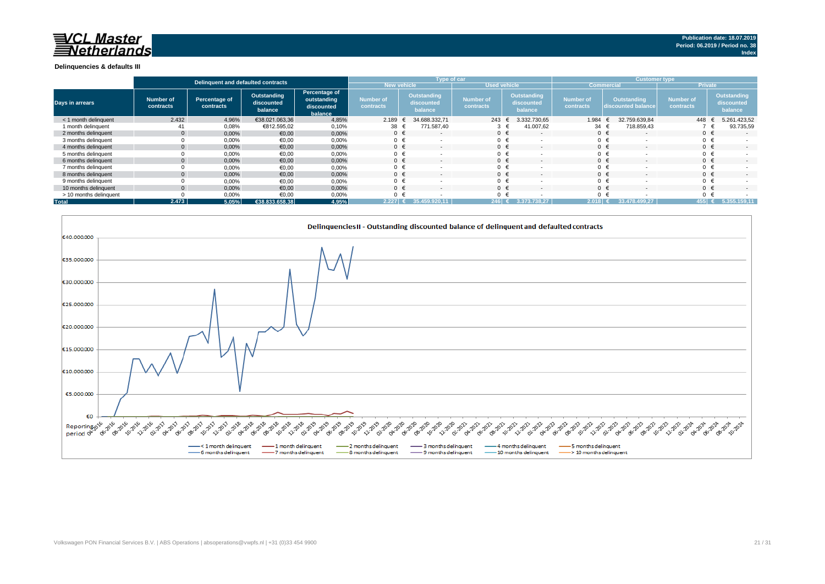### 已 CL Master Netherlands

#### **Delinquencies & defaults III**

|                        |                        | Delinguent and defaulted contracts |                                      |                                                       |                                      | Type of car                                 |                               |                                             | <b>Customer type</b>   |                                          |                               |                                      |
|------------------------|------------------------|------------------------------------|--------------------------------------|-------------------------------------------------------|--------------------------------------|---------------------------------------------|-------------------------------|---------------------------------------------|------------------------|------------------------------------------|-------------------------------|--------------------------------------|
|                        |                        |                                    |                                      |                                                       | New vehicle                          |                                             | <b>Used vehicle</b>           |                                             | <b>Commercial</b>      |                                          | <b>Private</b>                |                                      |
| <b>Days in arrears</b> | Number of<br>contracts | Percentage of<br>contracts         | Outstanding<br>discounted<br>balance | Percentage of<br>outstanding<br>discounted<br>balance | <b>Number of</b><br><b>contracts</b> | <b>Outstanding</b><br>discounted<br>balance | <b>Number of</b><br>contracts | <b>Outstanding</b><br>discounted<br>balance | Number of<br>contracts | <b>Outstanding</b><br>discounted balance | <b>Number of</b><br>contracts | Outstanding<br>discounted<br>balance |
| < 1 month delinguent   | 2.432                  | 4,96%                              | €38.021.063,36                       | 4,85%                                                 | 2.189                                | 34.688.332.71                               | $243 \t∈$                     | 3.332.730.65                                | 1.984                  | 32.759.639.84                            | 448                           | 5.261.423,52                         |
| 1 month delinguent     | 41                     | 0,08%                              | €812.595,02                          | 0,10%                                                 | $38 \text{ }$                        | 771.587.40                                  | $3 \epsilon$                  | 41.007,62                                   | 34                     | 718.859.43                               |                               | 93.735,59                            |
| 2 months delinquent    |                        | 0,00%                              | €0,00                                | 0,00%                                                 | $0 \in$                              | $\sim$                                      | $0 \in$                       |                                             | $0 \in$                |                                          | $0 \in$                       | $\overline{\phantom{a}}$             |
| 3 months delinguent    |                        | 0,00%                              | €0,00                                | 0,00%                                                 | $0 \in$                              |                                             | $0 \in$                       |                                             | $0 \in$                |                                          |                               |                                      |
| 4 months delinquent    |                        | 0,00%                              | €0,00                                | 0,00%                                                 | $0 \in$                              |                                             | $0 \in$                       |                                             | $0 \in$                |                                          | $0 \in$                       | $\sim$                               |
| 5 months delinquent    |                        | 0,00%                              | €0,00                                | 0,00%                                                 | $0 \in$                              |                                             | $0 \in$                       |                                             |                        | $0 \in$                                  |                               |                                      |
| 6 months delinguent    |                        | 0,00%                              | €0,00                                | 0,00%                                                 | $0 \in$                              |                                             | $0 \in$                       |                                             | $0 \in$                |                                          |                               | $\sim$                               |
| 7 months delinguent    |                        | 0,00%                              | €0,00                                | 0,00%                                                 | $0 \in$                              |                                             | $0 \in$                       |                                             | $0 \in$                |                                          |                               |                                      |
| 8 months delinguent    |                        | 0,00%                              | €0,00                                | 0,00%                                                 | $0 \in$                              |                                             | $0 \in$                       |                                             | $0 \in$                |                                          |                               | $\sim$                               |
| 9 months delinguent    |                        | 0,00%                              | €0,00                                | 0,00%                                                 | $0 \in$                              |                                             | $0 \in$                       |                                             |                        | $0 \in$                                  | $0 \in$                       |                                      |
| 10 months delinquent   |                        | 0,00%                              | €0.00                                | 0,00%                                                 | $0 \in$                              | $\sim$                                      | $0 \in$                       |                                             | $0 \in$                |                                          | $0 \in$                       | $\sim$                               |
| > 10 months delinquent |                        | 0,00%                              | €0,00                                | 0,00%                                                 | 0                                    |                                             | $0 \in$                       |                                             |                        | $0 \in$                                  |                               |                                      |
| <b>Total</b>           | 2.473                  | 5,05%                              | €38.833.658.38                       | 4,95%                                                 | $2.227$ $\epsilon$                   | 35.459.                                     | 246 $\epsilon$                | 3.373.738.27                                | 2.018                  | 33.478.499.27                            | $455$ $\epsilon$              | 5.355.159.11                         |

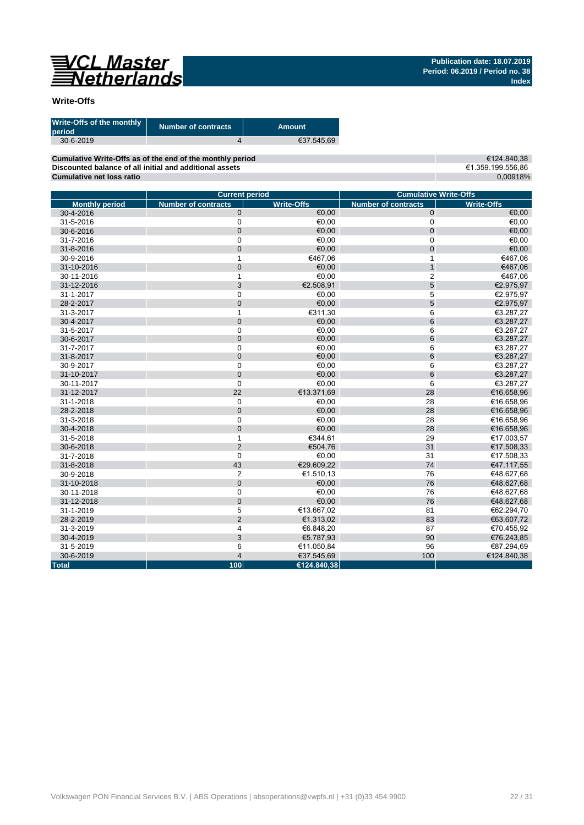

### **Write-Offs**

| Write-Offs of the monthly<br>period | <b>Number of contracts</b> | Amount     |
|-------------------------------------|----------------------------|------------|
| $30 - 6 - 2019$                     |                            | €37.545.69 |
|                                     |                            |            |

**Cumulative Write-Offs as of the end of the monthly period Discounted balance of all initial and additional assets Cumulative net loss ratio**

€124.840,38 €1.359.199.556,86 0,00918%

|                       | <b>Current period</b>      |                   | <b>Cumulative Write-Offs</b> |                   |  |  |  |
|-----------------------|----------------------------|-------------------|------------------------------|-------------------|--|--|--|
| <b>Monthly period</b> | <b>Number of contracts</b> | <b>Write-Offs</b> | <b>Number of contracts</b>   | <b>Write-Offs</b> |  |  |  |
| 30-4-2016             | $\mathbf 0$                | €0.00             | 0                            | €0,00             |  |  |  |
| 31-5-2016             | $\mathsf 0$                | €0,00             | 0                            | €0,00             |  |  |  |
| 30-6-2016             | $\mathbf 0$                | €0,00             | $\mathbf 0$                  | 60,00             |  |  |  |
| 31-7-2016             | $\mathbf 0$                | €0,00             | 0                            | €0,00             |  |  |  |
| 31-8-2016             | $\pmb{0}$                  | €0,00             | 0                            | €0,00             |  |  |  |
| 30-9-2016             | $\mathbf{1}$               | €467,06           | $\mathbf{1}$                 | €467,06           |  |  |  |
| 31-10-2016            | $\mathbf 0$                | €0,00             | $\overline{1}$               | €467,06           |  |  |  |
| 30-11-2016            | 1                          | €0,00             | $\overline{2}$               | €467,06           |  |  |  |
| 31-12-2016            | 3                          | €2.508,91         | 5                            | €2.975,97         |  |  |  |
| 31-1-2017             | $\mathbf 0$                | €0,00             | 5                            | €2.975,97         |  |  |  |
| 28-2-2017             | $\mathbf 0$                | €0,00             | 5                            | €2.975,97         |  |  |  |
| 31-3-2017             | 1                          | €311,30           | 6                            | €3.287,27         |  |  |  |
| 30-4-2017             | $\pmb{0}$                  | €0,00             | 6                            | €3.287,27         |  |  |  |
| 31-5-2017             | $\mathbf 0$                | €0,00             | 6                            | €3.287,27         |  |  |  |
| 30-6-2017             | $\mathbf 0$                | €0,00             | 6                            | €3.287,27         |  |  |  |
| 31-7-2017             | $\mathbf 0$                | €0,00             | 6                            | €3.287,27         |  |  |  |
| 31-8-2017             | $\mathbf 0$                | €0,00             | 6                            | €3.287,27         |  |  |  |
| 30-9-2017             | 0                          | €0,00             | 6                            | €3.287,27         |  |  |  |
| 31-10-2017            | $\mathbf 0$                | €0,00             | 6                            | €3.287,27         |  |  |  |
| 30-11-2017            | $\mathbf 0$                | €0,00             | 6                            | €3.287,27         |  |  |  |
| 31-12-2017            | 22                         | €13.371,69        | 28                           | €16.658,96        |  |  |  |
| 31-1-2018             | $\boldsymbol{0}$           | €0,00             | 28                           | €16.658,96        |  |  |  |
| 28-2-2018             | $\mathbf 0$                | €0,00             | 28                           | €16.658,96        |  |  |  |
| 31-3-2018             | $\mathbf 0$                | €0,00             | 28                           | €16.658,96        |  |  |  |
| 30-4-2018             | $\mathbf 0$                | €0,00             | 28                           | €16.658,96        |  |  |  |
| 31-5-2018             | $\mathbf{1}$               | €344,61           | 29                           | €17.003,57        |  |  |  |
| 30-6-2018             | $\overline{2}$             | €504.76           | 31                           | €17.508,33        |  |  |  |
| 31-7-2018             | $\mathbf 0$                | €0,00             | 31                           | €17.508,33        |  |  |  |
| 31-8-2018             | 43                         | €29.609.22        | 74                           | €47.117,55        |  |  |  |
| 30-9-2018             | $\overline{c}$             | €1.510,13         | 76                           | €48.627,68        |  |  |  |
| 31-10-2018            | $\mathbf 0$                | €0,00             | 76                           | €48.627,68        |  |  |  |
| 30-11-2018            | $\mathbf 0$                | €0,00             | 76                           | €48.627,68        |  |  |  |
| 31-12-2018            | $\mathbf 0$                | €0,00             | 76                           | €48.627,68        |  |  |  |
| 31-1-2019             | 5                          | €13.667,02        | 81                           | €62.294,70        |  |  |  |
| 28-2-2019             | $\overline{2}$             | €1.313,02         | 83                           | €63.607,72        |  |  |  |
| 31-3-2019             | 4                          | €6.848,20         | 87                           | €70.455,92        |  |  |  |
| 30-4-2019             | 3                          | €5.787,93         | 90                           | €76.243,85        |  |  |  |
| 31-5-2019             | 6                          | €11.050,84        | 96                           | €87.294,69        |  |  |  |
| 30-6-2019             | $\overline{4}$             | €37.545,69        | 100                          | €124.840,38       |  |  |  |
| <b>Total</b>          | 100                        | €124.840.38       |                              |                   |  |  |  |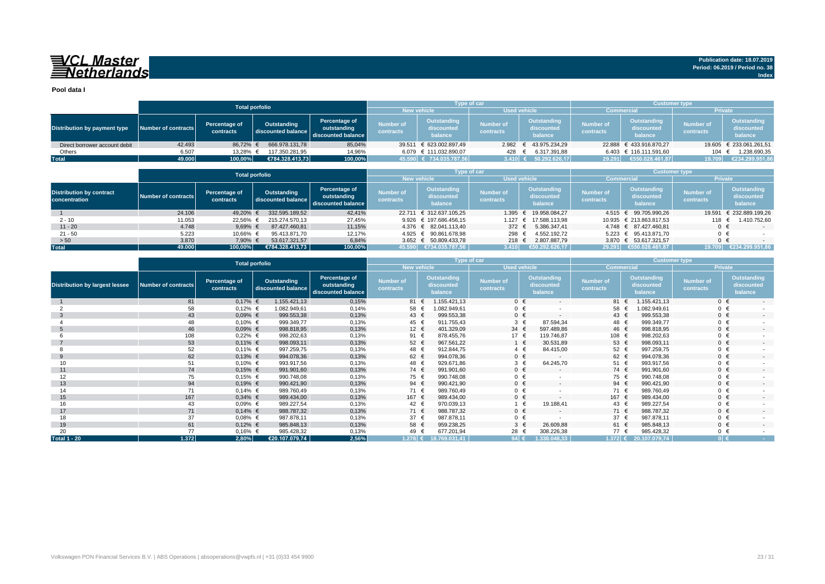## VCL Master<br>ENetherlands

**Pool data I**

|                               |                     |                            | <b>Total porfolio</b>             |                                                    |                               | <b>Type of car</b>                   |                        |                                      | <b>Customer type</b>          |                                             |                               |                                      |
|-------------------------------|---------------------|----------------------------|-----------------------------------|----------------------------------------------------|-------------------------------|--------------------------------------|------------------------|--------------------------------------|-------------------------------|---------------------------------------------|-------------------------------|--------------------------------------|
|                               |                     |                            |                                   |                                                    | New vehicle                   |                                      | <b>Used vehicle</b>    |                                      | <b>Commercial</b>             |                                             | <b>Private</b>                |                                      |
| Distribution by payment type  | Number of contracts | Percentage of<br>contracts | Outstanding<br>discounted balance | Percentage of<br>outstanding<br>discounted balance | <b>Number of</b><br>contracts | Outstanding<br>discounted<br>balance | Number of<br>contracts | Outstanding<br>discounted<br>balance | <b>Number of</b><br>contracts | <b>Outstanding</b><br>discounted<br>balance | <b>Number of</b><br>contracts | Outstanding<br>discounted<br>balance |
| Direct borrower account debit | 42.493              | 86.72% €                   | 666.978.131.78                    | 85,04%                                             | 39.511                        | € 623.002.897.49                     |                        | 2.982 € 43.975.234.29                |                               | 22.888 € 433.916.870.27                     |                               | 19.605 € 233.061.261,51              |
| Others                        | 6.507               | 13.28% €                   | 117.350.281.95                    | 14,96%                                             |                               | 6.079 € 111.032.890,07               | 428                    | 6.317.391,88                         |                               | 6.403 € 116.111.591.60                      | 104                           | 1.238.690,35                         |
| <b>Total</b>                  | 49.000              | 100,00%                    | €784.328.413.73                   | 100,00%                                            |                               | 45.590 € 734.035.787,56              | 3.410 $\leq$           | 50.292.626.17                        | 29.291                        | €550.028.461.87                             | 19.709                        | €234.299.951,86                      |

|                                                  |                     |                            | <b>Total porfolio</b>             |                                                    |                               | Type of car                          |                                      |                                      | <b>Customer type</b>          |                                             |                               |                                      |
|--------------------------------------------------|---------------------|----------------------------|-----------------------------------|----------------------------------------------------|-------------------------------|--------------------------------------|--------------------------------------|--------------------------------------|-------------------------------|---------------------------------------------|-------------------------------|--------------------------------------|
|                                                  |                     |                            |                                   |                                                    |                               | <b>New vehicle</b>                   |                                      | <b>Used vehicle</b>                  |                               | <b>Commercial</b>                           |                               | <b>Private</b>                       |
| <b>Distribution by contract</b><br>concentration | Number of contracts | Percentage of<br>contracts | Outstanding<br>discounted balance | Percentage of<br>outstanding<br>discounted balance | <b>Number of</b><br>contracts | Outstanding<br>discounted<br>balance | <b>Number of</b><br><b>contracts</b> | Outstanding<br>discounted<br>balance | <b>Number of</b><br>contracts | <b>Outstanding</b><br>discounted<br>balance | <b>Number of</b><br>contracts | Outstanding<br>discounted<br>balance |
|                                                  | 24.106              | 49,20%                     | 332.595.189.52                    | 42,41%                                             |                               | 22.711 € 312.637.105.25              | 1.395                                | € 19.958.084.27                      |                               | 4.515 € 99.705.990.26                       |                               | 19.591 € 232.889.199,26              |
| $2 - 10$                                         | 11.053              | 22,56%                     | 215.274.570.13                    | 27,45%                                             |                               | 9.926 € 197.686.456.15               |                                      | 1.127 € 17.588.113.98                |                               | 10.935 € 213.863.817.53                     | 118                           | 1.410.752.60                         |
| $11 - 20$                                        | 4.748               | 9,69% $\in$                | 87.427.460.81                     | 11,15%                                             |                               | 4.376 € 82.041.113.40                | 372 $\epsilon$                       | 5.386.347.41                         |                               | 4.748 € 87.427.460.81                       | $0 \in$                       | $-$                                  |
| $21 - 50$                                        | 5.223               | 10.66% €                   | 95.413.871.70                     | 12.17%                                             |                               | 4.925 € 90.861.678.98                | 298 €                                | 4.552.192.72                         |                               | 5.223 € 95.413.871.70                       | $0 \in$                       |                                      |
| > 50                                             | 3.870               | 7,90% €                    | 53.617.321,57                     | 6,84%                                              |                               | 3.652 € 50.809.433,78                | 218 €                                | 2.807.887,79                         |                               | 3.870 € 53.617.321,57                       | $0 \in$                       |                                      |
| <b>Total</b>                                     | 49.000              | 100.00%                    | €784.328.413.73                   | 100,00%                                            | 45.590                        | €734.035.787.56                      | 3.410                                | €50.292.626.17                       |                               | 29.291 €550.028.461.87                      |                               | 19.709 €234.299.951,86               |

|                                       |                            |                            | <b>Type of car</b>                |                                                    |                               |                                             |            |                               | <b>Customer type</b>                        |                          |                               |               |                                             |                               |                                             |
|---------------------------------------|----------------------------|----------------------------|-----------------------------------|----------------------------------------------------|-------------------------------|---------------------------------------------|------------|-------------------------------|---------------------------------------------|--------------------------|-------------------------------|---------------|---------------------------------------------|-------------------------------|---------------------------------------------|
|                                       |                            |                            | <b>Total porfolio</b>             |                                                    | <b>New vehicle</b>            |                                             |            | <b>Used vehicle</b>           |                                             |                          | <b>Commercial</b>             |               |                                             | <b>Private</b>                |                                             |
| <b>Distribution by largest lessee</b> | <b>Number of contracts</b> | Percentage of<br>contracts | Outstanding<br>discounted balance | Percentage of<br>outstanding<br>discounted balance | <b>Number of</b><br>contracts | <b>Outstanding</b><br>discounted<br>balance |            | <b>Number of</b><br>contracts | <b>Outstanding</b><br>discounted<br>balance |                          | <b>Number of</b><br>contracts |               | <b>Outstanding</b><br>discounted<br>balance | <b>Number of</b><br>contracts | <b>Outstanding</b><br>discounted<br>balance |
|                                       | 81                         | $0,17%$ €                  | 1.155.421,13                      | 0,15%                                              | 81 €                          | 1.155.421,13                                |            | $0 \in$                       |                                             | $\overline{a}$           | 81                            |               | 1.155.421,13                                | $0 \in$                       | $\sim$                                      |
|                                       | 58                         | $0,12%$ €                  | 1.082.949,61                      | 0,14%                                              | 58                            | 1.082.949,61                                |            | $0 \in$                       |                                             |                          |                               | 58 €          | 1.082.949,61                                | $0 \in$                       |                                             |
| -3                                    | 43                         | $0.09%$ €                  | 999.553,38                        | 0,13%                                              | 43 $\epsilon$                 |                                             | 999.553,38 | $0 \in$                       |                                             | $\overline{\phantom{a}}$ |                               | 43 $\epsilon$ | 999.553,38                                  | $0 \in$                       | $\overline{\phantom{a}}$                    |
|                                       | 48                         | $0,10%$ €                  | 999.349,77                        | 0,13%                                              | 45 €                          |                                             | 911.755,43 | $3 \in$                       |                                             | 87.594,34                |                               | 48 €          | 999.349,77                                  | $0 \in$                       |                                             |
|                                       | 46                         | $0.09%$ €                  | 998.818,95                        | 0,13%                                              | 12 $\epsilon$                 |                                             | 401.329,09 | 34 $\epsilon$                 |                                             | 597.489,86               |                               | 46 €          | 998.818,95                                  | $0 \in$                       |                                             |
|                                       | 108                        | $0,22%$ €                  | 998.202,63                        | 0,13%                                              | 91 €                          |                                             | 878.455,76 | 17 €                          |                                             | 119.746,87               |                               | 108 €         | 998.202,63                                  | $0 \in$                       |                                             |
|                                       | 53                         | $0,11\%$ €                 | 998.093,11                        | 0,13%                                              | 52 €                          |                                             | 967.561,22 | $1 \in$                       |                                             | 30.531.89                |                               | 53 $\epsilon$ | 998.093,11                                  | $0 \in$                       | $\overline{a}$                              |
|                                       | 52                         | $0,11\%$ €                 | 997.259,75                        | 0,13%                                              | 48 €                          |                                             | 912.844,75 | $4 \in$                       |                                             | 84.415,00                |                               | 52 €          | 997.259,75                                  | $0 \in$                       |                                             |
| 9                                     | 62                         | $0,13%$ €                  | 994.078,36                        | 0,13%                                              | 62 €                          |                                             | 994.078,36 | $0 \in$                       |                                             | $\overline{a}$           |                               | 62 $\epsilon$ | 994.078,36                                  | $0 \in$                       | $\overline{\phantom{a}}$                    |
| 10                                    | 51                         | $0,10%$ €                  | 993.917,56                        | 0,13%                                              | 48 €                          |                                             | 929.671,86 | $3 \in$                       |                                             | 64.245,70                |                               | 51 €          | 993.917,56                                  | $0 \in$                       |                                             |
| 11                                    | 74                         | $0,15%$ €                  | 991.901,60                        | 0,13%                                              | 74 €                          |                                             | 991.901,60 | $0 \in$                       |                                             | $\overline{\phantom{a}}$ |                               | 74 €          | 991.901,60                                  | $0 \in$                       | $\overline{\phantom{a}}$                    |
| 12                                    | 75                         | $0,15%$ €                  | 990.748,08                        | 0,13%                                              | 75 €                          |                                             | 990.748,08 | $0 \in$                       |                                             |                          |                               | 75 €          | 990.748.08                                  | $0 \in$                       |                                             |
| 13                                    | 94                         | $0,19%$ €                  | 990.421,90                        | 0,13%                                              | 94 $\in$                      |                                             | 990.421,90 | $0 \in$                       |                                             | $\overline{a}$           |                               | 94 $\in$      | 990.421,90                                  | $0 \in$                       |                                             |
| 14                                    | 71                         | $0,14%$ €                  | 989.760,49                        | 0,13%                                              | 71 €                          |                                             | 989.760,49 | $0 \in$                       |                                             |                          |                               | 71 €          | 989.760,49                                  | $0 \in$                       |                                             |
| 15                                    | 167                        | $0,34%$ €                  | 989.434,00                        | 0,13%                                              | 167 €                         |                                             | 989.434,00 | $0 \in$                       |                                             | $\overline{a}$           |                               | 167 €         | 989.434,00                                  | $0 \in$                       |                                             |
| 16                                    | 43                         | $0.09%$ €                  | 989.227,54                        | 0,13%                                              | 42 €                          |                                             | 970.039,13 | 1 €                           |                                             | 19.188,41                |                               | 43 €          | 989.227,54                                  | $0 \in$                       |                                             |
| 17                                    | 71                         | $0,14%$ €                  | 988.787,32                        | 0,13%                                              | 71 €                          |                                             | 988.787,32 | $0 \in$                       |                                             |                          |                               | 71 €          | 988.787,32                                  | $0 \in$                       | $\overline{\phantom{a}}$                    |
| 18                                    | 37                         | $0.08%$ €                  | 987.878,11                        | 0,13%                                              | 37 $\epsilon$                 |                                             | 987.878,11 | $0 \in$                       |                                             |                          |                               | 37 €          | 987.878,11                                  | $0 \in$                       |                                             |
| 19                                    | 61                         | $0,12%$ €                  | 985.848,13                        | 0,13%                                              | 58 €                          |                                             | 959.238,25 | $3 \in$                       |                                             | 26.609,88                |                               | 61 €          | 985.848,13                                  | $0 \in$                       | $\overline{\phantom{a}}$                    |
| 20                                    | 77                         | $0,16%$ €                  | 985.428,32                        | 0,13%                                              | 49 €                          |                                             | 677.201,94 | 28 €                          |                                             | 308.226,38               |                               | 77 €          | 985.428,32                                  | $0 \in$                       |                                             |
| <b>Total 1 - 20</b>                   | $1.372$                    | 2,80%                      | €20.107.079,74                    | 2,56%                                              | 1.278 €                       | 18.769.031,41                               |            | 94 $\epsilon$                 | 1.338.048,33                                |                          |                               |               | 1.372 € 20.107.079,74                       | $0 \in$                       | <b>Contract</b>                             |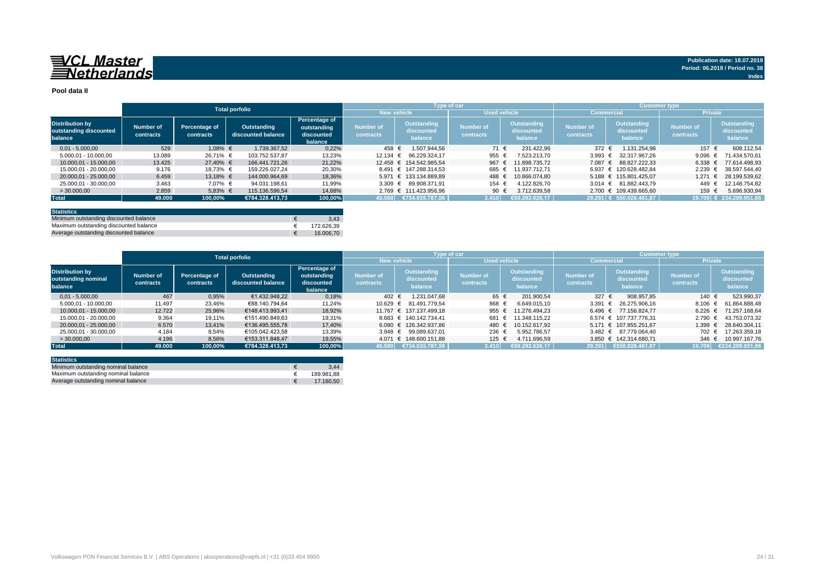## 

#### **Pool data II**

|                                                             |                        |                            | <b>Total porfolio</b>             |                                                       |                               |                                      | Type of car                   |                                      | <b>Customer type</b>   |                                      |                               |                                             |  |
|-------------------------------------------------------------|------------------------|----------------------------|-----------------------------------|-------------------------------------------------------|-------------------------------|--------------------------------------|-------------------------------|--------------------------------------|------------------------|--------------------------------------|-------------------------------|---------------------------------------------|--|
|                                                             |                        |                            |                                   |                                                       | <b>New vehicle</b>            |                                      | <b>Used vehicle</b>           |                                      | <b>Commercial</b>      |                                      | <b>Private</b>                |                                             |  |
| <b>Distribution by</b><br>outstanding discounted<br>balance | Number of<br>contracts | Percentage of<br>contracts | Outstanding<br>discounted balance | Percentage of<br>outstanding<br>discounted<br>balance | <b>Number of</b><br>contracts | Outstanding<br>discounted<br>balance | <b>Number of</b><br>contracts | Outstanding<br>discounted<br>balance | Number of<br>contracts | Outstanding<br>discounted<br>balance | <b>Number of</b><br>contracts | <b>Outstanding</b><br>discounted<br>balance |  |
| $0.01 - 5.000.00$                                           | 529                    | 1,08% €                    | 1.739.367.52                      | 0,22%                                                 | 458 €                         | 1.507.944.56                         | 71 €                          | 231.422.96                           | 372 $\epsilon$         | 1.131.254.98                         | 157 €                         | 608.112.54                                  |  |
| 5.000.01 - 10.000.00                                        | 13.089                 | 26.71% €                   | 103.752.537.87                    | 13,23%                                                | 12.134 $∈$                    | 96.229.324.17                        | 955 €                         | 7.523.213.70                         | 3.993 $\in$            | 32.317.967.26                        | 9.096                         | 71.434.570.61                               |  |
| 10.000.01 - 15.000.00                                       | 13.425                 | 27.40% €                   | 166.441.721.26                    | 21.22%                                                |                               | 12.458 € 154.542.985.54              | 967                           | 11.898.735.72                        | 7.087 €                | 88.827.222.33                        | 6.338                         | 77.614.498.93                               |  |
| 15.000.01 - 20.000.00                                       | 9.176                  | 18.73% €                   | 159.226.027.24                    | 20,30%                                                |                               | 8.491 € 147.288.314.53               | 685 €                         | 11.937.712.71                        |                        | 6.937 € 120.628.482.84               | 2.239                         | 38.597.544.40                               |  |
| 20.000.01 - 25.000.00                                       | 6.459                  | 13.18% €                   | 144.000.964.69                    | 18,36%                                                |                               | 5.971 € 133.134.889.89               | 488                           | 10.866.074.80                        |                        | 5.188 € 115.801.425.07               | 1.271                         | 28.199.539,62                               |  |
| 25.000.01 - 30.000.00                                       | 3.463                  | 7,07% €                    | 94.031.198.61                     | 11,99%                                                |                               | 3.309 € 89.908.371.91                | 154                           | 4.122.826.70                         |                        | $3.014 \text{ } \in 81.882.443.79$   | 449                           | 12.148.754.82                               |  |
| > 30,000,00                                                 | 2.859                  | $5,83%$ €                  | 115.136.596.54                    | 14,68%                                                |                               | 2.769 € 111.423.956.96               | 90 €                          | 3.712.639.58                         |                        | 2.700 € 109.439.665.60               | 159                           | 5.696.930.94                                |  |
| <b>Total</b>                                                | 49.000                 | 100,00%                    | €784.328.413.73                   | 100,00%                                               |                               | 45.590   €734.035.787,56             | 3.410                         | €50.292.626.17                       |                        | 29.291 € 550.028.461.87              |                               | 19.709 € 234.299.951,86                     |  |
|                                                             |                        |                            |                                   |                                                       |                               |                                      |                               |                                      |                        |                                      |                               |                                             |  |

| <b>Statistics</b>                      |            |
|----------------------------------------|------------|
| Minimum outstanding discounted balance | 3.43       |
| Maximum outstanding discounted balance | 172.626.39 |
| Average outstanding discounted balance | 16,006.70  |

|                                                          |                        |                            | <b>Total porfolio</b>             |                                                       |                        |                                      | <b>Type of car</b>                   |                                      | <b>Customer type</b>          |                                      |                               |                                      |
|----------------------------------------------------------|------------------------|----------------------------|-----------------------------------|-------------------------------------------------------|------------------------|--------------------------------------|--------------------------------------|--------------------------------------|-------------------------------|--------------------------------------|-------------------------------|--------------------------------------|
|                                                          |                        |                            |                                   |                                                       |                        | <b>New vehicle</b>                   |                                      | <b>Used vehicle</b>                  | <b>Commercial</b>             |                                      | <b>Private</b>                |                                      |
| <b>Distribution by</b><br>outstanding nominal<br>balance | Number of<br>contracts | Percentage of<br>contracts | Outstanding<br>discounted balance | Percentage of<br>outstanding<br>discounted<br>balance | Number of<br>contracts | Outstanding<br>discounted<br>balance | <b>Number of</b><br><b>contracts</b> | Outstanding<br>discounted<br>balance | <b>Number of</b><br>contracts | Outstanding<br>discounted<br>balance | <b>Number of</b><br>contracts | Outstanding<br>discounted<br>balance |
| $0.01 - 5.000.00$                                        | 467                    | 0.95%                      | €1.432.948.22                     | 0,18%                                                 | 402 €                  | 1.231.047.68                         | 65 €                                 | 201.900.54                           | 327 $\epsilon$                | 908.957.85                           | 140 €                         | 523.990.37                           |
| 5.000.01 - 10.000.00                                     | 11.497                 | 23.46%                     | €88.140.794.64                    | 11.24%                                                |                        | 10.629 € 81.491.779.54               | 868 €                                | 6.649.015.10                         | 3.391                         | 26.275.906.16<br>$\ddot{ }$          | 8.106                         | 61.864.888.48<br>$\epsilon$          |
| 10.000.01 - 15.000.00                                    | 12.722                 | 25,96%                     | €148.413.993.41                   | 18,92%                                                |                        | 11.767 € 137.137.499.18              | 955                                  | 11.276.494.23                        | 6.496 €                       | 77.156.824,77                        | 6.226                         | 71.257.168.64                        |
| 15.000.01 - 20.000.00                                    | 9.364                  | 19.11%                     | €151.490.849.63                   | 19,31%                                                |                        | 8.683 € 140.142.734.41               | 681                                  | 11.348.115.22                        |                               | 6.574 € 107.737.776.31               | $2.790 \in$                   | 43.753.073.32                        |
| 20.000.01 - 25.000.00                                    | 6.570                  | 13,41%                     | €136.495.555.78                   | 17.40%                                                |                        | 6.090 € 126.342.937.86               | 480                                  | 10.152.617.92                        |                               | 5.171 € 107.855.251.67               | 1.399 €                       | 28.640.304.11                        |
| 25.000.01 - 30.000.00                                    | 4.184                  | 8,54%                      | €105.042.423,58                   | 13,39%                                                |                        | 3.948 € 99.089.637.01                | 236 €                                | 5.952.786.57                         |                               | 3.482 € 87.779.064.40                | 702 €                         | 17.263.359,18                        |
| >30.000.00                                               | 4.196                  | 8,56%                      | €153.311.848.47                   | 19,55%                                                |                        | 4.071 € 148.600.151.88               | 125 €                                | 4.711.696.59                         |                               | 3.850 € 142.314.680.71               | $346 \text{ } \in$            | 10.997.167.76                        |
| <b>Total</b>                                             | 49.000                 | 100.00%                    | €784.328.413.73                   | 100.00%                                               | 45.590                 | €734.035.787,56                      | 3.410                                | €50.292.626,17                       | 29.291                        | €550.028.461,87                      | 19.709                        | €234.299.951,86                      |

| <b>Statistics</b>                   |            |
|-------------------------------------|------------|
| Minimum outstanding nominal balance | 3.44       |
| Maximum outstanding nominal balance | 189.981.88 |
| Average outstanding nominal balance | 17.180.50  |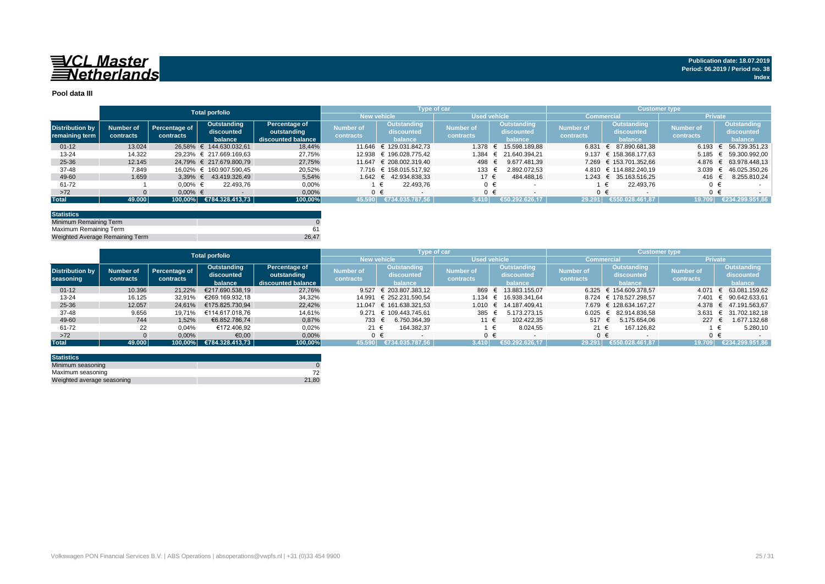

#### **Pool data III**

|                        |           |               | <b>Total porfolio</b>      |                    |                  |                         | Type of car      |                          | Customer type,   |                            |                |                    |  |
|------------------------|-----------|---------------|----------------------------|--------------------|------------------|-------------------------|------------------|--------------------------|------------------|----------------------------|----------------|--------------------|--|
|                        |           |               |                            |                    |                  | <b>New vehicle</b>      |                  | <b>Used vehicle</b>      | Commercia        |                            | <b>Private</b> |                    |  |
| <b>Distribution by</b> | Number of | Percentage of | Outstanding                | Percentage of      | <b>Number of</b> | <b>Outstanding</b>      | <b>Number of</b> | Outstanding              | <b>Number of</b> | Outstanding                | Number of      | <b>Outstanding</b> |  |
|                        |           | contracts     | discounted                 | outstanding        | contracts        | discounted              | contracts        | discounted               | contracts        | discounted                 | contracts      | discounted         |  |
| remaining term         | contracts |               | balance                    | discounted balance |                  | balance                 |                  | balance                  |                  | balance                    |                | balance            |  |
| $01 - 12$              | 13.024    |               | 26.58% € 144.630.032.61    | 18.44%             |                  | 11.646 € 129.031.842.73 | 1.378            | 15.598.189.88            | 6.831            | 87.890.681.38              | 6.193 $∈$      | 56.739.351.23      |  |
| $13 - 24$              | 14.322    |               | 29.23% € 217.669.169.63    | 27,75%             |                  | 12.938 € 196.028.775.42 | 1.384            | € 21.640.394.21          |                  | 9.137 $\in$ 158.368.177,63 | 5.185          | 59.300.992,00      |  |
| 25-36                  | 12.145    |               | 24.79% € 217.679.800.79    | 27,75%             |                  | 11.647 € 208.002.319.40 | 498              | 9.677.481.39             |                  | 7.269 € 153.701.352.66     | $4.876 \in$    | 63.978.448.13      |  |
| 37-48                  | 7.849     |               | 16.02% € 160.907.590.45    | 20,52%             |                  | 7.716 € 158.015.517.92  | 133 €            | 2.892.072.53             |                  | 4.810 € 114.882.240.19     | 3.039          | 46.025.350.26      |  |
| 49-60                  | 1.659     |               | $3.39\% \in 43.419.326.49$ | 5.54%              |                  | 1.642 € 42.934.838.33   | $17 \epsilon$    | 484.488.16               |                  | 1.243 € 35.163.516.25      | 416 €          | 8.255.810.24       |  |
| 61-72                  |           | $0.00\%$ €    | 22.493.76                  | 0,00%              |                  | 22.493.76               | $0 \in$          |                          |                  | 22.493.76                  |                |                    |  |
| $>72$                  |           | $0.00\%$ €    |                            | 0,00%              |                  |                         | $0 \in$          | $\overline{\phantom{a}}$ |                  | $0 \in$                    |                | $0 \in$            |  |
| <b>Total</b>           | 49.000    |               | 100,00% €784.328.413,73    | 100,00%            | 45.590           | €734.035.787.56         | 3.410            | €50.292.626.17           | 29.291           | €550.028.461.87            | 19.709         | €234.299.951.86    |  |

| <b>Statistics</b>               |       |
|---------------------------------|-------|
| Minimum Remaining Term          |       |
| Maximum Remaining Term          |       |
| Weighted Average Remaining Term | 26.47 |

|                        | <b>Total porfolio</b> |               |                 |                    |                    | Type of car             |              |                       | 'Customer type , |                        |                  |                       |  |
|------------------------|-----------------------|---------------|-----------------|--------------------|--------------------|-------------------------|--------------|-----------------------|------------------|------------------------|------------------|-----------------------|--|
|                        |                       |               |                 |                    | <b>New vehicle</b> |                         | Used vehicle |                       |                  | Commercial             | <b>Private</b>   |                       |  |
|                        |                       |               | Outstanding     | Percentage of      |                    | Outstanding             |              | Outstanding           | <b>Number of</b> | Outstanding            | <b>Number of</b> | Outstanding           |  |
| <b>Distribution by</b> | Number of             | Percentage of | discounted      | outstanding        | Number of          | discounted              | Number of    | discounted            |                  | discounted             |                  | discounted            |  |
| seasoning              | contracts             | contracts     | balance         | discounted balance | contracts          | balance                 | contracts    | balance               | contracts        | balance                | contracts        | balance               |  |
| $01 - 12$              | 10.396                | 21.22%        | €217.690.538,19 | 27,76%             | 9.527              | € 203.807.383.12        | 869          | 13.883.155.07         |                  | 6.325 € 154.609.378.57 | 4.071            | € 63.081.159.62       |  |
| $13 - 24$              | 16.125                | 32.91%        | €269.169.932.18 | 34,32%             |                    | 14.991 € 252.231.590.54 | 1.134        | 16.938.341.64         |                  | 8.724 € 178.527.298.57 | 7.401            | € 90.642.633.61       |  |
| $25 - 36$              | 12.057                | 24.61%        | €175.825.730.94 | 22.42%             | 11.047             | € 161.638.321.53        |              | 1.010 € 14.187.409,41 |                  | 7.679 € 128.634.167.27 |                  | 4.378 € 47.191.563.67 |  |
| 37-48                  | 9.656                 | 19.71%        | €114.617.018.76 | 14,61%             |                    | 9.271 € 109.443.745.61  | 385          | 5.173.273.15          | 6.025            | 82.914.836.58          | 3.631            | € 31.702.182.18       |  |
| 49-60                  | 744                   | 1,52%         | €6.852.786.74   | 0,87%              | 733 $\epsilon$     | 6.750.364.39            | 11 €         | 102.422.35            | 517 €            | 5.175.654.06           | $227 \epsilon$   | 1.677.132,68          |  |
| 61-72                  | 22                    | 0,04%         | €172.406,92     | 0,02%              | 21 $\in$           | 164.382,37              |              | 8.024,55              | 21 €             | 167.126,82             |                  | 5.280.10              |  |
| $>72$                  |                       | 0,00%         | €0,00           | 0,00%              |                    | $0 \in$                 | $0 \in$      |                       | ∩ €              |                        | $0 \in$          |                       |  |
| <b>Total</b>           | 49.000                | 100.00%       | €784.328.413.73 | 100,00%            | 45.590             | €734.035.787.56         | 3.410        | €50.292.626.17        | 29.291           | €550.028.461.87        | 19.709           | €234.299.951.86       |  |

| <b>Statistics</b>          |       |
|----------------------------|-------|
| Minimum seasoning          |       |
| Maximum seasoning          |       |
| Weighted average seasoning | 21.80 |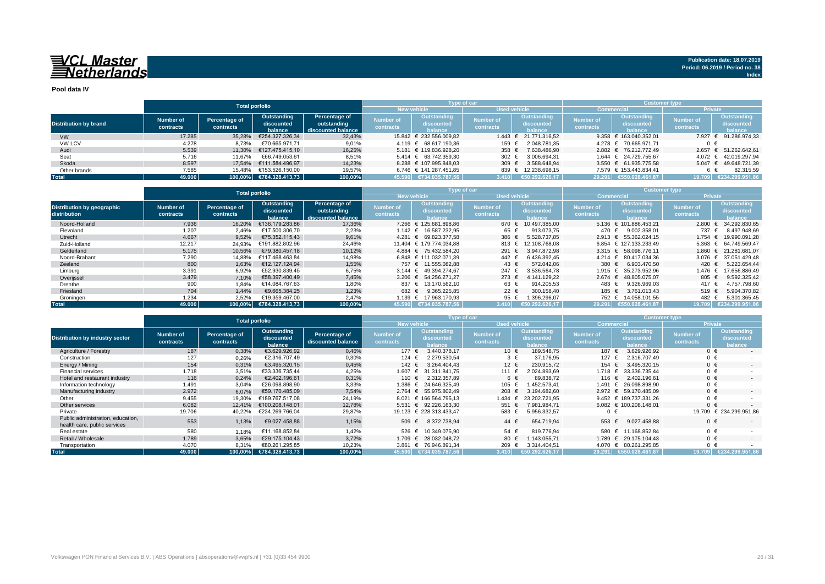## 

**Pool data IV**

|                              |           |               | <b>Total porfolio</b>   |                    |                    | <b>Type of car</b>                    |                     |                       |                  | <b>Customer type</b>      |                  |                       |  |  |
|------------------------------|-----------|---------------|-------------------------|--------------------|--------------------|---------------------------------------|---------------------|-----------------------|------------------|---------------------------|------------------|-----------------------|--|--|
|                              |           |               |                         |                    | <b>New vehicle</b> |                                       | <b>Used vehicle</b> |                       |                  | <b>Commercial</b>         | <b>Private</b>   |                       |  |  |
|                              | Number of |               | Outstanding             | Percentage of      | <b>Number of</b>   | Outstanding                           |                     | Outstanding           | <b>Number of</b> | Outstanding               | <b>Number of</b> | Outstanding           |  |  |
| <b>Distribution by brand</b> |           | Percentage of | discounted              | outstanding        |                    | discounted                            | <b>Number of</b>    | discounted            |                  | discounted                |                  | discounted            |  |  |
|                              | contracts | contracts     | balance                 | discounted balance | contracts          | halance                               | contracts           | halance               | contracts        | halance                   | contracts        | balance               |  |  |
| <b>VW</b>                    | 17.285    | 35.28%        | €254.327.326.34         | 32,43%             |                    | 15.842 € 232.556.009.82               |                     | 1.443 € 21.771.316.52 |                  | 9.358 € 163.040.352.01    |                  | 7.927 € 91.286.974,33 |  |  |
| <b>VW LCV</b>                | 4.278     | 8,73%         | €70.665.971.71          | 9,01%              |                    | 4.119 € 68.617.190.36                 | 159 €               | 2.048.781.35          |                  | 4.278 € 70.665.971.71     | 0 €              |                       |  |  |
| Audi                         | 5.539     | 11.30%        | €127.475.415,10         | 16,25%             |                    | 5.181 € 119.836.928.20                | 358 $\epsilon$      | 7.638.486.90          |                  | 2.882 € 76.212.772.49     | 2.657            | € 51.262.642.61       |  |  |
| Seat                         | 5.716     | 11.67%        | €66.749.053.61          | 8,51%              |                    | $5.414 \quad \in \quad 63.742.359.30$ | 302 $\epsilon$      | 3.006.694.31          |                  | 1.644 € 24.729.755.67     |                  | 4.072 € 42.019.297.94 |  |  |
| Skoda                        | 8.597     | 17.54%        | €111.584.496.97         | 14.23%             |                    | 8.288 € 107.995.848.03                | 309 $\epsilon$      | 3.588.648.94          |                  | $3.550 \in 61.935.775.58$ |                  | 5.047 € 49.648.721,39 |  |  |
| Other brands                 | 7.585     | 15.48%        | €153.526.150.00         | 19.57%             |                    | 6.746 € 141.287.451.85                | 839 €               | 12.238.698.15         |                  | 7.579 € 153.443.834.41    |                  | 82.315.59             |  |  |
| <b>Total</b>                 | 49.000    |               | 100.00% €784.328.413.73 | 100,00%            |                    | 45.590 €734.035.787.56                | 3.410               | €50.292.626,17        |                  | 29.291 €550.028.461.87    | 19.709           | €234.299.951,86       |  |  |

|                                            |                        | <b>Total porfolio</b>      |                                      |                                                    |                               |                                             | <b>Type of car</b>            |                                             | <b>Customer type</b>          |                                      |                               |                                             |  |
|--------------------------------------------|------------------------|----------------------------|--------------------------------------|----------------------------------------------------|-------------------------------|---------------------------------------------|-------------------------------|---------------------------------------------|-------------------------------|--------------------------------------|-------------------------------|---------------------------------------------|--|
|                                            |                        |                            |                                      |                                                    |                               | New vehicle                                 | <b>Used vehicle</b>           |                                             |                               | <b>Commercia</b>                     | <b>Private</b>                |                                             |  |
| Distribution by geographic<br>distribution | Number of<br>contracts | Percentage of<br>contracts | Outstanding<br>discounted<br>balance | Percentage of<br>outstanding<br>discounted balance | <b>Number of</b><br>contracts | <b>Outstanding</b><br>discounted<br>balance | <b>Number of</b><br>contracts | <b>Outstanding</b><br>discounted<br>balance | <b>Number of</b><br>contracts | Outstanding<br>discounted<br>balance | <b>Number of</b><br>contracts | <b>Outstanding</b><br>discounted<br>balance |  |
| Noord-Holland                              | 7.936                  | 16,20%                     | €136.179.283.86                      | 17,36%                                             |                               | 7.266 € 125.681.898.86                      | 670 €                         | 10.497.385.00                               |                               | 5.136 € 101.886.453.21               | 2.800                         | 34.292.830.65                               |  |
| Flevoland                                  | 1.207                  | 2.46%                      | €17.500.306.70                       | 2,23%                                              |                               | 1.142 € 16.587.232.95                       | 65 €                          | 913.073.75                                  | 470 €                         | 9.002.358.01                         | 737 €                         | 8.497.948.69                                |  |
| Utrecht                                    | 4.667                  | 9,52%                      | €75.352.115.43                       | 9,61%                                              |                               | 4.281 € 69.823.377.58                       | 386 €                         | 5.528.737.85                                | $2.913 \in$                   | 55.362.024.15                        | 1.754                         | 19.990.091.28<br>$\epsilon$                 |  |
| Zuid-Holland                               | 12.217                 | 24.93%                     | €191.882.802.96                      | 24.46%                                             |                               | 11.404 € 179.774.034.88                     | 813 €                         | 12.108.768.08                               |                               | 6.854 € 127.133.233.49               | 5.363                         | 64.749.569.47<br>€                          |  |
| Gelderland                                 | 5.175                  | 10.56%                     | €79.380.457.18                       | 10,12%                                             |                               | 4.884 € 75.432.584.20                       | 291 $\in$                     | 3.947.872.98                                |                               | 3.315 € 58.098.776.11                | 1.860                         | 21.281.681.07<br>$\epsilon$                 |  |
| Noord-Brabant                              | 7.290                  | 14,88%                     | €117.468.463.84                      | 14,98%                                             |                               | 6.848 € 111.032.071,39                      | 442 €                         | 6.436.392.45                                |                               | 4.214 € 80.417.034.36                | 3.076                         | 37.051.429.48<br>$\epsilon$                 |  |
| Zeeland                                    | 800                    | 1,63%                      | €12.127.124.94                       | 1,55%                                              |                               | 757 € 11.555.082.88                         | 43 $\in$                      | 572.042.06                                  | 380 €                         | 6.903.470.50                         | 420 €                         | 5.223.654,44                                |  |
| Limburg                                    | 3.391                  | 6,92%                      | €52.930.839.45                       | 6,75%                                              |                               | 3.144 € 49.394.274.67                       | 247 €                         | 3.536.564.78                                | $1.915 \in$                   | 35.273.952.96                        | 1.476                         | 17.656.886.49                               |  |
| Overijssel                                 | 3.479                  | 7,10%                      | €58,397,400.49                       | 7,45%                                              |                               | 3.206 € 54.256.271.27                       | $273 \t∈$                     | 4.141.129.22                                | $2.674 \text{ }€$             | 48.805.075.07                        | 805 €                         | 9.592.325.42                                |  |
| Drenthe                                    | 900                    | 1.84%                      | €14.084.767.63                       | 1,80%                                              | 837 €                         | 13.170.562.10                               | 63 €                          | 914.205,53                                  | 483 €                         | 9.326.969.03                         | 417 €                         | 4.757.798,60                                |  |
| Friesland                                  | 704                    | 1.44%                      | €9.665.384.25                        | 1,23%                                              | 682 €                         | 9.365.225.85                                | 22 €                          | 300.158.40                                  | 185 €                         | 3.761.013.43                         | 519 €                         | 5.904.370.82                                |  |
| Groningen                                  | 1.234                  | 2,52%                      | €19.359.467.00                       | 2,47%                                              | 1.139 €                       | 17.963.170,93                               | 95 €                          | 1.396.296,07                                | 752 €                         | 14.058.101,55                        | 482 €                         | 5.301.365,45                                |  |
| Total                                      | 49.000                 | 100.00%                    | €784.328.413.73                      | 100,00%                                            |                               | 45.590 €734.035.787.56                      | 3.410                         | €50.292.626.17                              | 29.291                        | €550.028.461.87                      | 19.709                        | €234.299.951.86                             |  |

|                                                                   |                               | <b>Total porfolio</b>      |                                      |                                     |                                      |                                             | Type of car                   |                                             | <b>Customer type</b>          |                                             |                        |                                             |  |  |
|-------------------------------------------------------------------|-------------------------------|----------------------------|--------------------------------------|-------------------------------------|--------------------------------------|---------------------------------------------|-------------------------------|---------------------------------------------|-------------------------------|---------------------------------------------|------------------------|---------------------------------------------|--|--|
|                                                                   |                               |                            |                                      |                                     |                                      | <b>New vehicle</b>                          | <b>Used vehicle</b>           |                                             | <b>Commercia</b>              |                                             | <b>Private</b>         |                                             |  |  |
| <b>Distribution by industry sector</b>                            | <b>Number of</b><br>contracts | Percentage of<br>contracts | Outstanding<br>discounted<br>balance | Percentage of<br>discounted balance | <b>Number of</b><br><b>contracts</b> | <b>Outstanding</b><br>discounted<br>balance | <b>Number of</b><br>contracts | <b>Outstanding</b><br>discounted<br>balance | <b>Number of</b><br>contracts | <b>Outstanding</b><br>discounted<br>balance | Number of<br>contracts | <b>Outstanding</b><br>discounted<br>balance |  |  |
| Agriculture / Forestry                                            | 187                           | 0,38%                      | €3.629.926.92                        | 0,46%                               | 177 €                                | 3.440.378.17                                | 10 €                          | 189.548.75                                  | 187 €                         | 3.629.926.92                                | $0 \in$                |                                             |  |  |
| Construction                                                      | 127                           | 0,26%                      | €2.316.707,49                        | 0,30%                               | 124                                  | 2.279.530,54                                | $3 \in$                       | 37.176,95                                   | 127 €                         | 2.316.707.49                                | $0 \in$                |                                             |  |  |
| Energy / Mining                                                   | 154                           | 0,31%                      | €3.495.320.15                        | 0,45%                               | $142 \epsilon$                       | 3.264.404.43                                | 12 €                          | 230.915.72                                  | 154 €                         | 3.495.320.15                                | $0 \in$                | $\sim$                                      |  |  |
| <b>Financial services</b>                                         | 1.718                         | 3,51%                      | €33.336.735.44                       | 4,25%                               | 1.607 €                              | 31.311.841.75                               | 111 €                         | 2.024.893.69                                | 1.718 €                       | 33.336.735.44                               | $0 \in$                |                                             |  |  |
| Hotel and restaurant industry                                     | 116                           | 0,24%                      | €2.402.196,61                        | 0,31%                               | 110 €                                | 2.312.357.89                                | 6 €                           | 89.838,72                                   | 116 €                         | 2.402.196.61                                | $0 \in$                | $\sim$                                      |  |  |
| Information technology                                            | 1.491                         | 3,04%                      | €26.098.898,90                       | 3,33%                               | 1.386 €                              | 24.646.325.49                               | 105 €                         | .452.573.41                                 | 1.491 €                       | 26.098.898.90                               | $0 \in$                |                                             |  |  |
| Manufacturing industry                                            | 2.972                         | 6,07%                      | €59.170.485,09                       | 7,54%                               |                                      | 2.764 € 55.975.802,49                       | 208 €                         | 3.194.682.60                                | $2.972 \in$                   | 59.170.485.09                               | $0 \in$                |                                             |  |  |
| Other                                                             | 9.455                         | 19,30%                     | €189.767.517.08                      | 24,19%                              | 8.021                                | € 166.564.795.13                            | 1.434                         | 23.202.721,95                               |                               | 9.452 € 189.737.331.26                      | $0 \in$                |                                             |  |  |
| Other services                                                    | 6.082                         | 12,41%                     | €100.208.148.01                      | 12.78%                              |                                      | 5.531 € 92.226.163.30                       | 551 $\epsilon$                | 7.981.984.71                                |                               | 6.082 € 100.208.148.01                      | $0 \in$                |                                             |  |  |
| Private                                                           | 19.706                        | 40,22%                     | €234.269.766,04                      | 29,87%                              |                                      | 19.123 € 228.313.433,47                     | 583 €                         | 5.956.332.57                                | $0 \in$                       |                                             |                        | 19.709 € 234.299.951.86                     |  |  |
| Public administration, education,<br>health care, public services | 553                           | 1,13%                      | €9.027.458.88                        | 1,15%                               | 509 €                                | 8.372.738.94                                | $44 \in$                      | 654.719.94                                  | 553 €                         | 9.027.458.88                                | $0 \in$                |                                             |  |  |
| Real estate                                                       | 580                           | 1.18%                      | €11.168.852.84                       | 1,42%                               | 526                                  | 10.349.075.90<br>€                          | 54 €                          | 819.776.94                                  | 580 €                         | 11.168.852.84                               | $0 \in$                |                                             |  |  |
| Retail / Wholesale                                                | 1.789                         | 3,65%                      | €29.175.104.43                       | 3,72%                               | 1.709 €                              | 28.032.048.72                               | 80 €                          | .143.055,71                                 | 1.789 $∈$                     | 29.175.104.43                               | $0 \in$                | $\sim$                                      |  |  |
| Transportation                                                    | 4.070                         | 8,31%                      | €80.261.295.85                       | 10,23%                              | 3.861                                | € 76.946.891,34                             | 209 $\epsilon$                | 3.314.404.51                                | $4.070 \in$                   | 80.261.295.85                               | $0 \in$                |                                             |  |  |
| <b>Total</b>                                                      | 49.000                        | 100,00%                    | €784.328.413,73                      | 100,00%                             |                                      | 45.590 €734.035.787.56                      | 3.410                         | €50.292.626.17                              |                               | 29.291 €550.028.461.87                      | 19.709                 | €234.299.951.86                             |  |  |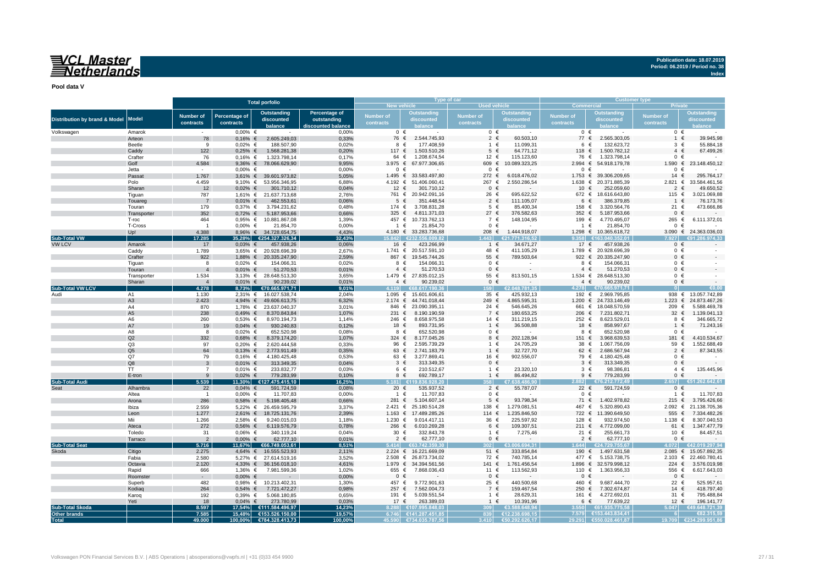## <u>WCL Master</u><br>ENetherlands

**Pool data V**

|                                          |                      |                        |                            | <b>Total porfolio</b>                          |                                                   |                               |                                                       | Type of car                   |                                        | <b>Customer type</b>          |                                   |                               |                                            |  |
|------------------------------------------|----------------------|------------------------|----------------------------|------------------------------------------------|---------------------------------------------------|-------------------------------|-------------------------------------------------------|-------------------------------|----------------------------------------|-------------------------------|-----------------------------------|-------------------------------|--------------------------------------------|--|
|                                          |                      |                        |                            |                                                |                                                   |                               | <b>New vehicle</b>                                    | <b>Used vehicle</b>           |                                        | <b>Commercial</b>             |                                   |                               |                                            |  |
| <b>Distribution by brand &amp; Model</b> | <b>Model</b>         | Number of<br>contracts | Percentage of<br>contracts | <b>Outstanding</b><br>discounted<br>balance    | Percentage of<br>outstanding<br>iscounted balance | <b>Number of</b><br>contracts | Outstanding<br>discounted                             | <b>Number of</b><br>contracts | Outstanding<br>discounted              | <b>Number of</b><br>contracts | <b>Outstanding</b><br>discounted  | <b>Number of</b><br>contracts | Outstanding<br>discounted<br>ance          |  |
| Volkswagen                               | Amarok               |                        | $0,00%$ €                  |                                                | 0,00%                                             |                               | $0 \in$                                               | $0 \in$                       |                                        | $0 \in$                       |                                   | $0 \in$                       |                                            |  |
|                                          | Arteon               | 78                     | $0,16%$ €                  | 2.605.249,03                                   | 0,33%                                             |                               | 2.544.745,93<br>76 €                                  | $\overline{2}$                | 60.503,10<br>€                         | 77 €                          | 2.565.303,05                      | $\overline{1}$                | 39.945,98<br>€                             |  |
|                                          | Beetle               | 9                      | $0.02%$ €                  | 188.507,90                                     | 0,02%                                             |                               | 177.408.59<br>8 €                                     | $1 \in$                       | 11.099.31                              | 6 €                           | 132.623.72                        | 3                             | $\epsilon$<br>55.884,18                    |  |
|                                          | Caddy                | 122                    | $0,25%$ €                  | 1.568.281,38                                   | 0,20%                                             | 117 $\epsilon$                | 1.503.510,26                                          | $5 \in$                       | 64.771,12                              | 118 €                         | 1.500.782,12                      | $4 \in$                       | 67.499,26                                  |  |
|                                          | Crafter              | 76                     | $0.16%$ €                  | 1.323.798.14                                   | 0.17%                                             |                               | 64 €<br>1.208.674,54<br>3.975 € 67.977.306,65         | 12 €<br>609 €                 | 115.123,60                             | 76 €<br>2.994 ∈               | 1.323.798,14<br>54.918.179,78     | $0 \in$<br>1.590 €            | 23.148.450,12                              |  |
|                                          | Golf<br>Jetta        | 4.584                  | 9,36% €<br>$0.00\%$ €      | 78.066.629,90                                  | 9,95%<br>0,00%                                    |                               | 0 €                                                   | $0 \in$                       | 10.089.323,25                          | $0 \in$                       |                                   | $0 \in$                       |                                            |  |
|                                          | Passat               | 1.767                  | $3,61%$ €                  | 39.601.973,82                                  | 5,05%                                             | 1.495 $∈$                     | 33.583.497,80                                         | 272 ∈                         | 6.018.476,02                           | $1.753$ €                     | 39.306.209,65                     | 14                            | €<br>295.764,17                            |  |
|                                          | Polo                 | 4.459                  |                            | 9,10% € 53.956.346,95                          | 6,88%                                             |                               | 4.192 € 51.406.060,41                                 | 267 €                         | 2.550.286,54                           | 1.638 $∈$                     | 20.371.885,39                     | $2.821$ €                     | 33.584.461,56                              |  |
|                                          | Sharan               | 12                     | $0,02%$ €                  | 301.710,12                                     | 0,04%                                             |                               | 12 €<br>301.710,12                                    | $0 \in$                       |                                        | 10 €                          | 252.059,60                        | $\overline{2}$                | 49.650,52<br>€                             |  |
|                                          | Tiguan               | 787                    |                            | 1,61% € 21.637.713,68                          | 2,76%                                             |                               | 761 € 20.942.091,16                                   | 26 €                          | 695.622,52                             |                               | 672 € 18.616.643,80               | 115 €                         | 3.021.069,88                               |  |
|                                          | Touareg              | $\overline{7}$         | $0.01\%$ €                 | 462.553,61                                     | 0,06%                                             |                               | 351.448,54<br>$5 \epsilon$                            | $2 \in$                       | 111.105,07                             | 6                             | 386.379,85<br>€                   | $1 \in$                       | 76.173,76                                  |  |
|                                          | Touran               | 179                    | $0.37\%$ €                 | 3.794.231,62                                   | 0,48%                                             | 174 €                         | 3.708.831,28                                          | $5 \in$                       | 85.400,34                              | 158 €                         | 3.320.564,76                      | 21 €                          | 473.666,86                                 |  |
|                                          | Transporter          | 352                    | $0,72%$ €                  | 5.187.953,66                                   | 0,66%                                             | 325 $\epsilon$                | 4.811.371,03                                          | 27 $\in$                      | 376.582,63                             | 352 €                         | 5.187.953,66                      | $0 \in$                       |                                            |  |
|                                          | T-roc                | 464                    | $0.95%$ €                  | 10.881.867,08                                  | 1,39%                                             |                               | 457 € 10.733.762,13                                   | 7 €                           | 148.104,95                             | 199 €                         | 4.770.495,07                      | 265 €                         | 6.111.372,01                               |  |
|                                          | T-Cross              | $\overline{1}$         | $0,00%$ €                  | 21.854,70                                      | 0,00%                                             |                               | 21.854,70<br>1 €                                      | $0 \in$                       |                                        | 1 €                           | 21.854,70                         | $0 \in$                       |                                            |  |
|                                          | Up!                  | 4.388                  | $8,96%$ €                  | 34.728.654,75                                  | 4,43%                                             |                               | 4.180 € 33.283.736,68                                 | 208 €                         | 1.444.918,07                           |                               | 1.298 € 10.365.618,72             |                               | 3.090 € 24.363.036,03                      |  |
| <b>Sub-Total VW</b>                      |                      | 17.285                 |                            | 35,28% €254.327.326,34                         | 32,43%                                            | 15.842                        | €232.556.009.82                                       | 443                           | 21.771.316.52                          | <b>3358</b>                   | €163.040.352.01                   | 7.927                         | €91.286.974.3                              |  |
| <b>VW LCV</b>                            | Amarok               | 17                     | $0,03%$ €                  | 457.938,26                                     | 0.06%                                             |                               | 423.266,99<br>16 €                                    | $1 \in$                       | 34.671,27                              | 17 $\epsilon$                 | 457.938,26                        | $0 \in$                       |                                            |  |
|                                          | Caddy                | 1.789                  |                            | 3,65% € 20.928.696,39                          | 2,67%                                             |                               | 1.741 € 20.517.591,10                                 | 48 €                          | 411.105,29                             |                               | 1.789 € 20.928.696,39             | $0 \in$<br>$0 \in$            |                                            |  |
|                                          | Crafter<br>Tiguan    | 922<br>8               | $0,02%$ €                  | 1,88% € 20.335.247,90<br>154.066,31            | 2,59%<br>0,02%                                    |                               | 867 € 19.545.744,26<br>8 €<br>154.066,31              | 55 €<br>$0 \in$               | 789.503,64                             | 8 €                           | 922 € 20.335.247,90<br>154.066,31 | $0 \in$                       |                                            |  |
|                                          | Touran               | $\overline{4}$         | $0.01\%$ €                 | 51.270,53                                      | 0,01%                                             |                               | 51.270,53<br>$4 \in$                                  | $0 \in$                       |                                        | $4 \in$                       | 51.270,53                         | $0 \in$                       |                                            |  |
|                                          | Transporter          | 1.534                  |                            | 3,13% € 28.648.513,30                          | 3,65%                                             |                               | 1.479 € 27.835.012,15                                 | 55 €                          | 813.501,15                             |                               | 1.534 € 28.648.513,30             | $0 \in$                       |                                            |  |
|                                          | Sharan               | $\overline{4}$         | $0.01\%$ €                 | 90.239,02                                      | 0,01%                                             |                               | 90.239,02<br>$4 \in$                                  | $0 \in$                       |                                        | $4 \in$                       | 90.239,02                         | $0 \in$                       |                                            |  |
| <b>Sub-Total VW LCV</b>                  |                      | 4.278                  | 8,73%                      | €70.665.971,71                                 | 9,01%                                             |                               | 4.119 €68.617.190,36                                  | 159                           | €2.048.781,35                          |                               | 4.278 €70.665.971,71              |                               |                                            |  |
| Audi                                     | A1                   | 1.130                  |                            | 2,31% € 16.027.538,74                          | 2,04%                                             |                               | 1.095 € 15.601.606,61                                 | $35 \epsilon$                 | 425.932.13                             | 192 €                         | 2.969.795,85                      |                               | 938 € 13.057.742.89                        |  |
|                                          | A <sub>3</sub>       | 2.423                  | 4,94% €                    | 49.606.613,75                                  | 6,32%                                             |                               | 2.174 € 44.741.018,44                                 | 249 €                         | 4.865.595,31                           |                               | 1.200 € 24.733.146,49             | 1.223 €                       | 24.873.467,26                              |  |
|                                          | A4                   | 870                    |                            | 1,78% € 23.637.040,37                          | 3,01%                                             |                               | 846 € 23.090.395,11                                   | 24 €                          | 546.645,26                             | 661                           | $\epsilon$<br>18.048.570,59       | 209                           | €<br>5.588.469,78                          |  |
|                                          | A <sub>5</sub>       | 238                    | $0,49%$ €                  | 8.370.843,84                                   | 1,07%                                             | 231 $\epsilon$                | 8.190.190,59                                          | 7 €                           | 180.653,25                             | 206 €                         | 7.231.802,71                      | 32 $\epsilon$                 | 1.139.041,13                               |  |
|                                          | A <sub>6</sub>       | 260                    | $0.53%$ €                  | 8.970.194,73                                   | 1,14%                                             | 246 €                         | 8.658.975,58                                          | 14 €                          | 311.219,15                             | 252 €                         | 8.623.529,01                      | 8 €                           | 346.665,72                                 |  |
|                                          | A7                   | 19                     | $0,04%$ €                  | 930.240,83                                     | 0,12%                                             |                               | 18 €<br>893.731,95                                    | $1 \in$                       | 36.508,88                              | 18 €                          | 858.997,67                        | $1 \in$                       | 71.243,16                                  |  |
|                                          | A8                   | 8                      | $0.02%$ €                  | 652.520,98                                     | 0,08%                                             |                               | 652.520,98<br>8 €                                     | $0 \in$                       |                                        | 8 €                           | 652.520,98                        | $0 \in$                       |                                            |  |
|                                          | Q2                   | 332                    | $0.68%$ €                  | 8.379.174,20                                   | 1,07%                                             | 324 €                         | 8.177.045,26                                          | 8 €                           | 202.128,94                             | 151 €<br>38 $\epsilon$        | 3.968.639,53                      | 181 €                         | 4.410.534,67<br>1.552.688,49               |  |
|                                          | Q3<br>Q <sub>5</sub> | 97                     | $0,20%$ €                  | 2.620.444,58                                   | 0,33%                                             |                               | 96 €<br>2.595.739,29<br>2.741.183,79<br>$63 \epsilon$ | $1 \in$                       | 1 $\epsilon$<br>24.705,29<br>32.727,70 | 62 $\epsilon$                 | 1.067.756,09<br>2.686.567,94      | 59 €<br>$2 \in$               | 87.343,55                                  |  |
|                                          | Q7                   | 64<br>79               | $0,13%$ €<br>$0,16%$ €     | 2.773.911,49<br>4.180.425,48                   | 0,35%<br>0,53%                                    |                               | 63 €<br>3.277.869,41                                  | 16 €                          | 902.556,07                             | 79 €                          | 4.180.425,48                      | $0 \in$                       |                                            |  |
|                                          | Q8                   | $\mathbf{3}$           | $0.01\%$ €                 | 313.349,35                                     | 0,04%                                             |                               | 313.349,35<br>$3 \epsilon$                            | $0 \in$                       |                                        | $3 \in$                       | 313.349,35                        | $0 \in$                       |                                            |  |
|                                          | TT                   | $\overline{7}$         | $0.01\%$ €                 | 233.832,77                                     | 0,03%                                             |                               | 210.512,67<br>6 €                                     | 1 $\in$                       | 23.320,10                              | $3 \in$                       | 98.386,81                         | $4 \in$                       | 135.445,96                                 |  |
|                                          | E-tron               | 9                      | $0.02\%$ €                 | 779.283.99                                     | 0.10%                                             |                               | 692.789,17<br>8 €                                     | $1 \in$                       | 86.494.82                              | $9 \in$                       | 779.283.99                        | $0 \in$                       |                                            |  |
| <b>Sub-Total Audi</b>                    |                      | 5.539                  |                            | 11,30% €127.475.415,10                         | 16,25%                                            |                               | 9.836.928.20<br>181 €1∶                               |                               | 638,486.90                             | 2.882                         | €76.212.772.49                    | 2.657                         | €51.262.642.61                             |  |
| Seat                                     | Alhambra             | 22                     | $0.04\%$ €                 | 591.724,59                                     | 0,08%                                             |                               | 20 €<br>535.937,52                                    | $2 \in$                       | 55.787,07                              | 22 €                          | 591.724,59                        | $0 \in$                       |                                            |  |
|                                          | Altea                | $\overline{1}$         | $0,00%$ €                  | 11.707,83                                      | 0,00%                                             |                               | 11.707,83<br>1 €                                      | $0 \in$                       |                                        | $0 \in$                       |                                   | $1 \in$                       | 11.707,83                                  |  |
|                                          | Arona                | 286                    | $0.58%$ €                  | 5.198.405,48                                   | 0,66%                                             | 281 €                         | 5.104.607,14                                          | $5 \in$                       | 93.798,34                              | 71 €                          | 1.402.978,82                      | 215 $∈$                       | 3.795.426,66                               |  |
|                                          | Ibiza                | 2.559                  |                            | 5,22% € 26.459.595,79                          | 3,37%                                             |                               | 2.421 € 25.180.514,28                                 | 138 €                         | 1.279.081,51                           | 467 €                         | 5.320.890,43                      | 2.092 ∈                       | 21.138.705,36                              |  |
|                                          | Leon                 | 1.277                  |                            | 2,61% € 18.725.131,76                          | 2,39%                                             |                               | 1.163 € 17.489.285,26                                 | 114 $∈$                       | 1.235.846,50                           | 722 $\epsilon$                | 11.390.649,50                     |                               | 555 € 7.334.482,26                         |  |
|                                          | Mii                  | 1.266                  | 2,58% €                    | 9.240.015,03                                   | 1,18%                                             | 1.230 $∈$                     | 9.014.417,11                                          | 36 €                          | 225.597,92                             | 128 €                         | 932.974,50                        | 1.138 $∈$                     | 8.307.040,53                               |  |
|                                          | Ateca                | 272                    | $0.56\%$ €                 | 6.119.576,79                                   | 0,78%                                             | 266 €                         | 6.010.269,28                                          | 6 €                           | 109.307,51                             | 211 $\epsilon$                | 4.772.099,00                      | 61 €                          | 1.347.477,79                               |  |
|                                          | Toledo               | 31                     | $0.06%$ €                  | 340.119,24                                     | 0,04%                                             |                               | 30 €<br>332.843,78                                    |                               | 1 $\epsilon$<br>7.275,46               | 21 €                          | 255.661,73                        | 10 €                          | 84.457,51                                  |  |
|                                          | Tarraco              | $\overline{2}$         | $0,00%$ €                  | 62.777,10                                      | 0,01%                                             |                               | $2 \in$<br>62.777,10                                  | $0 \in$                       |                                        | $2 \in$                       | 62.777,10                         | $0 \in$                       |                                            |  |
| <b>Sub-Total Seat</b>                    |                      | 5.716                  |                            | 11,67% €66.749.053,61                          | 8,51%                                             | 5.414                         | €63.742.359.30                                        |                               | 3.006.694.31                           | 644                           | €24.729.755.67                    | 4.072                         | €42.019.297,94                             |  |
| Skoda                                    | Citigo               | 2.275                  |                            | 4,64% € 16.555.523,93                          | 2,11%                                             |                               | 2.224 € 16.221.669,09                                 | 51 $\in$                      | 333.854,84                             | 190 €                         | 1.497.631,58                      |                               | 2.085 € 15.057.892.35                      |  |
|                                          | Fabia<br>Octavia     | 2.580<br>2.120         |                            | 5,27% € 27.614.519,16<br>4,33% € 36.156.018,10 | 3,52%<br>4,61%                                    |                               | 2.508 € 26.873.734,02<br>1.979 € 34.394.561,56        | 72 €<br>141 €                 | 740.785,14<br>1.761.456,54             | 477 €<br>1.896 $∈$            | 5.153.738,75<br>32.579.998,12     | 224                           | 2.103 € 22.460.780,41<br>€<br>3.576.019,98 |  |
|                                          | Rapid                | 666                    | 1,36% €                    | 7.981.599,36                                   | 1,02%                                             | 655 €                         | 7.868.036,43                                          | 11 €                          | 113.562,93                             | 110 €                         | 1.363.956,33                      | 556 €                         | 6.617.643,03                               |  |
|                                          | Roomste              | $\sim 100$             | $0,00%$ €                  | $\sim 10$                                      | 0,00%                                             |                               | $0 \in$                                               | $0 \in$                       | $\sim$                                 | $0 \in$                       |                                   | $0 \in$                       |                                            |  |
|                                          | Superb               | 482                    | $0,98%$ €                  | 10.213.402,31                                  | 1,30%                                             | 457 €                         | 9.772.901,63                                          | 25 €                          | 440.500,68                             | 460 €                         | 9.687.444,70                      | 22 €                          | 525.957,61                                 |  |
|                                          | Kodiaq               | 264                    | $0,54%$ €                  | 7.721.472,27                                   | 0,98%                                             | 257 €                         | 7.562.004,73                                          | 7 €                           | 159.467,54                             | 250 $∈$                       | 7.302.674,87                      | 14 €                          | 418.797,40                                 |  |
|                                          | Karoq                | 192                    | $0.39%$ €                  | 5.068.180,85                                   | 0,65%                                             | 191 €                         | 5.039.551,54                                          |                               | 1 €<br>28.629,31                       | 161 €                         | 4.272.692,01                      | 31 $\epsilon$                 | 795.488,84                                 |  |
|                                          | Yeti                 | 18                     | $0.04\%$ €                 | 273.780,99                                     | 0.03%                                             |                               | 17 $\epsilon$<br>263.389.03                           | $1 \in$                       | 10.391,96                              | 6 €                           | 77.639.22                         | 12 $\epsilon$                 | 196.141,77                                 |  |
| <b>Sub-Total Skoda</b>                   |                      | 8.597                  |                            | 17,54% €111.584.496,97                         | 14,23%                                            |                               | 8.288 €107.995.848,03                                 | 309                           | G3.588.648.94                          | 3.550                         | €61.935.775.58                    | 5.047                         | €49.648.721,39                             |  |
| Other brands                             |                      | 7.585                  |                            | 15,48% €153.526.150,00                         | 19,57%                                            |                               | 6.746 €141.287.451.85                                 | 839                           | €12.238.698.15                         |                               | 7.579 €153.443.834.41             |                               | €82.315.59                                 |  |
| <b>Total</b>                             |                      | 49.000                 |                            | 100,00% €784.328.413,73                        | 100,00%                                           |                               | 45.590 €734.035.787.56                                | 3.410                         | €50.292.626.17                         |                               | 29.291 €550.028.461,87            |                               | 19.709 €234.299.951.86                     |  |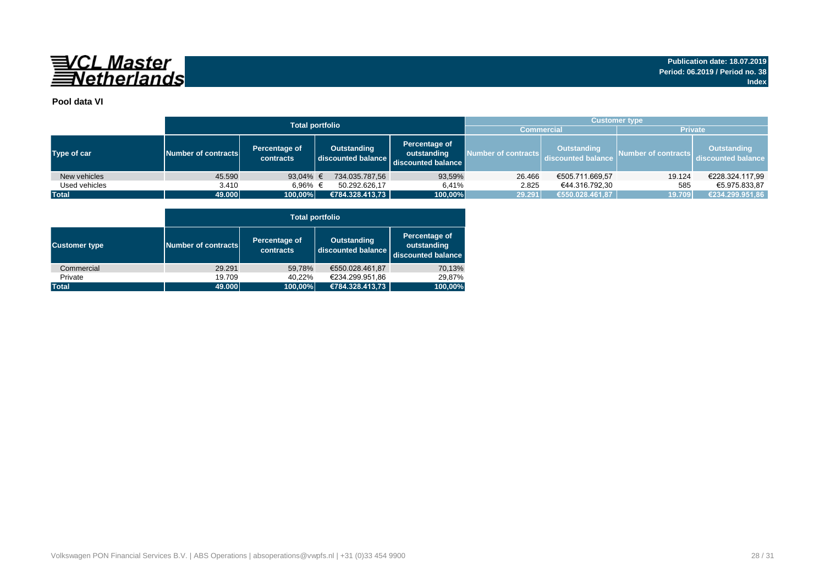

### **Pool data VI**

|               |                     | <b>Total portfolio</b>     | <b>Customer type</b>              |                                                    |                     |                                          |                     |                                          |  |  |  |
|---------------|---------------------|----------------------------|-----------------------------------|----------------------------------------------------|---------------------|------------------------------------------|---------------------|------------------------------------------|--|--|--|
|               |                     |                            |                                   |                                                    | <b>Commercial</b>   |                                          | <b>Private</b>      |                                          |  |  |  |
| Type of car   | Number of contracts | Percentage of<br>contracts | Outstanding<br>discounted balance | Percentage of<br>outstanding<br>discounted balance | Number of contracts | <b>Outstanding</b><br>discounted balance | Number of contracts | <b>Outstanding</b><br>discounted balance |  |  |  |
| New vehicles  | 45.590              | 93,04% €                   | 734.035.787,56                    | 93,59%                                             | 26.466              | €505.711.669,57                          | 19.124              | €228.324.117,99                          |  |  |  |
| Used vehicles | 3.410               | 6.96% €                    | 50.292.626.17                     | 6.41%                                              | 2.825               | €44.316.792,30                           | 585                 | €5.975.833.87                            |  |  |  |
| <b>Total</b>  | 49.000              | 100,00%                    | €784.328.413,73                   | 100,00%                                            | 29.291              | €550.028.461,87                          | 19.709              | €234.299.951,86                          |  |  |  |

|                      |                     | <b>Total portfolio</b>     |                                          |                                                    |  |  |  |  |  |  |  |  |  |
|----------------------|---------------------|----------------------------|------------------------------------------|----------------------------------------------------|--|--|--|--|--|--|--|--|--|
| <b>Customer type</b> | Number of contracts | Percentage of<br>contracts | <b>Outstanding</b><br>discounted balance | Percentage of<br>outstanding<br>discounted balance |  |  |  |  |  |  |  |  |  |
| Commercial           | 29.291              | 59,78%                     | €550.028.461.87                          | 70,13%                                             |  |  |  |  |  |  |  |  |  |
| Private              | 19.709              | 40.22%                     | €234.299.951,86                          | 29,87%                                             |  |  |  |  |  |  |  |  |  |
| <b>Total</b>         | 49.000              | 100,00%                    | €784.328.413,73                          | 100,00%                                            |  |  |  |  |  |  |  |  |  |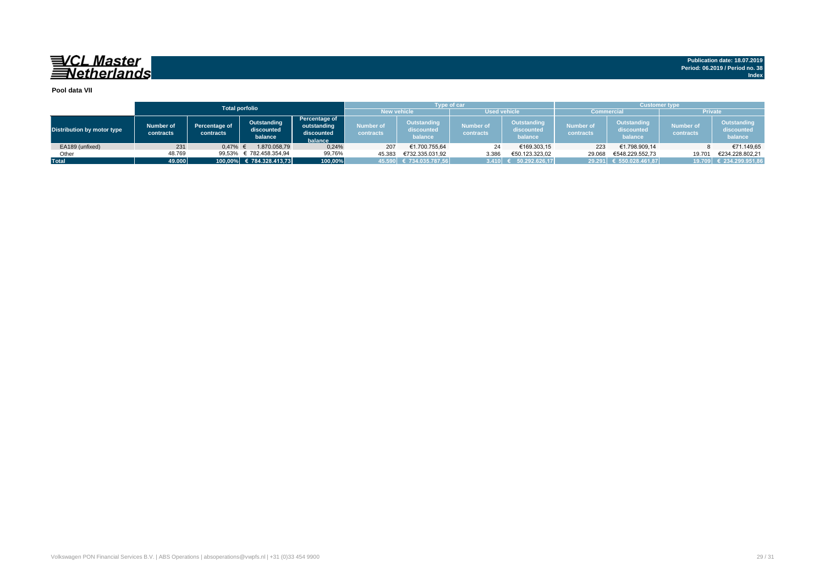## 

**Publication date: 18.07.2019 Period: 06.2019 / Period no. 38 Index**

#### **Pool data VII**

|                            |                        |                                   | <b>Total porfolio</b>                |                                                       |                        | <b>Type of car</b>                   |                               |                                             | Customer type          |                                      |                               |                                      |  |
|----------------------------|------------------------|-----------------------------------|--------------------------------------|-------------------------------------------------------|------------------------|--------------------------------------|-------------------------------|---------------------------------------------|------------------------|--------------------------------------|-------------------------------|--------------------------------------|--|
|                            |                        |                                   |                                      |                                                       | <b>New vehicle</b>     |                                      | <b>Used vehicle</b>           |                                             | Commercial             |                                      | <b>Private</b>                |                                      |  |
| Distribution by motor type | Number of<br>contracts | <b>Percentage of</b><br>contracts | Outstanding<br>discounted<br>balance | Percentage of<br>outstanding<br>discounted<br>balance | Number of<br>contracts | Outstanding<br>discounted<br>balance | <b>Number of</b><br>contracts | <b>Outstanding</b><br>discounted<br>balance | Number of<br>contracts | Outstanding<br>discounted<br>balance | <b>Number of</b><br>contracts | Outstanding<br>discounted<br>balance |  |
| EA189 (unfixed)            | 231                    | 0.47%                             | 1.870.058.79                         | 0,24%                                                 | 207                    | €1.700.755.64                        | 24                            | €169.303,15                                 | 223                    | €1.798.909,14                        |                               | €71.149,65                           |  |
| Other                      | 48.769                 | 99.53%                            | € 782.458.354,94                     | 99,76%                                                | 45.383                 | €732.335.031.92                      | 3.386                         | €50.123.323.02                              | 29.068                 | €548.229.552.73                      | 19.70'                        | €234.228.802.21                      |  |
| <b>Total</b>               | 49.000                 |                                   | 100,00% € 784.328.413,73             | 100,00%                                               |                        | 45.590 € 734.035.787,56              | 3.410                         | 50.292.626.17                               |                        | 29.291 € 550.028.461,87              |                               | 19.709 € 234.299.951,86              |  |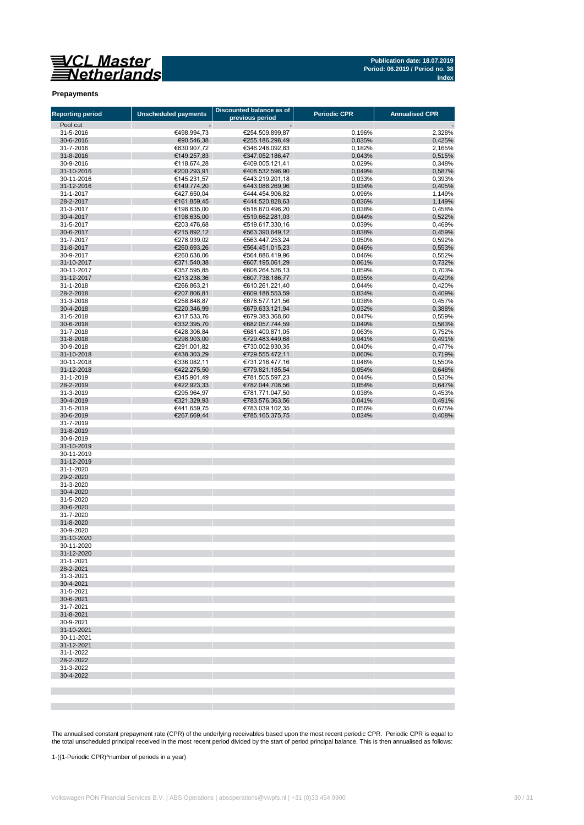

#### **Prepayments**

| <b>Reporting period</b>  | <b>Unscheduled payments</b> | Discounted balance as of           | <b>Periodic CPR</b> | <b>Annualised CPR</b> |
|--------------------------|-----------------------------|------------------------------------|---------------------|-----------------------|
| Pool cut                 |                             | previous period                    |                     |                       |
| 31-5-2016                | €498.994,73                 | €254.509.899,87                    | 0,196%              | 2,328%                |
| 30-6-2016                | €90.546,38                  | €255.186.298,49                    | 0,035%              | 0,425%                |
| 31-7-2016                | €630.907,72                 | €346.248.092,83                    | 0,182%              | 2,165%                |
| 31-8-2016                | €149.257,83                 | €347.052.186,47                    | 0,043%              | 0,515%                |
| 30-9-2016                | €118.674,28                 | €409.005.121,41                    | 0,029%              | 0.348%<br>0.587%      |
| 31-10-2016<br>30-11-2016 | €200.293,91<br>€145.231,57  | €408.532.596,90<br>€443.219.201,18 | 0,049%<br>0,033%    | 0,393%                |
| 31-12-2016               | €149.774,20                 | €443.088.269,96                    | 0,034%              | 0,405%                |
| 31-1-2017                | €427.650,04                 | €444.454.906,82                    | 0,096%              | 1,149%                |
| 28-2-2017                | €161.859,45                 | €444.520.828.63                    | 0,036%              | 1,149%                |
| 31-3-2017                | €198.635,00                 | €518.870.496.20                    | 0.038%              | 0.458%                |
| 30-4-2017                | €198.635,00                 | €519.662.281,03                    | 0,044%              | 0,522%                |
| 31-5-2017<br>30-6-2017   | €203.476,68<br>€215.892,12  | €519.617.330.16<br>€563.390.649,12 | 0,039%<br>0,038%    | 0,469%<br>0,459%      |
| 31-7-2017                | €278.939,02                 | €563.447.253,24                    | 0,050%              | 0,592%                |
| 31-8-2017                | €260.693.26                 | €564.451.015.23                    | 0,046%              | 0,553%                |
| 30-9-2017                | €260.638,06                 | €564.886.419,96                    | 0,046%              | 0,552%                |
| 31-10-2017               | €371.540,38                 | €607.195.061,29                    | 0,061%              | 0,732%                |
| 30-11-2017               | €357.595,85                 | €608.264.526,13                    | 0,059%              | 0,703%                |
| 31-12-2017               | €213.238,36                 | €607.738.186,77                    | 0,035%              | 0,420%                |
| 31-1-2018                | €266.863,21                 | €610.261.221,40                    | 0,044%              | 0,420%                |
| 28-2-2018<br>31-3-2018   | €207.806,81                 | €609.188.553,59<br>€678.577.121.56 | 0,034%              | 0,409%<br>0,457%      |
| 30-4-2018                | €258.848,87<br>€220.346,99  | €679.633.121,94                    | 0,038%<br>0,032%    | 0,388%                |
| 31-5-2018                | €317.533.76                 | €679.383.368.60                    | 0,047%              | 0,559%                |
| 30-6-2018                | €332.395,70                 | €682.057.744,59                    | 0.049%              | 0,583%                |
| 31-7-2018                | €428.306,84                 | €681.400.871,05                    | 0.063%              | 0,752%                |
| 31-8-2018                | €298.903,00                 | €729.483.449,68                    | 0,041%              | 0,491%                |
| 30-9-2018                | €291.001,82                 | €730.002.930,35                    | 0,040%              | 0,477%                |
| 31-10-2018               | €438.303,29                 | €729.555.472,11                    | 0,060%              | 0,719%                |
| 30-11-2018               | €336.082,11                 | €731.216.477.16                    | 0,046%              | 0.550%                |
| 31-12-2018<br>31-1-2019  | €422.275,50                 | €779.821.185,54<br>€781.505.597,23 | 0,054%              | 0,648%<br>0,530%      |
| 28-2-2019                | €345.901,49<br>€422.923,33  | €782.044.708,56                    | 0,044%<br>0,054%    | 0,647%                |
| 31-3-2019                | €295.964,97                 | €781.771.047,50                    | 0,038%              | 0,453%                |
| 30-4-2019                | €321.329,93                 | €783.576.363,56                    | 0,041%              | 0,491%                |
| 31-5-2019                | €441.659,75                 | €783.039.102,35                    | 0,056%              | 0,675%                |
| 30-6-2019                | €267.669,44                 | €785.165.375,75                    | 0,034%              | 0,408%                |
| 31-7-2019                |                             |                                    |                     |                       |
| 31-8-2019                |                             |                                    |                     |                       |
| 30-9-2019<br>31-10-2019  |                             |                                    |                     |                       |
| 30-11-2019               |                             |                                    |                     |                       |
| 31-12-2019               |                             |                                    |                     |                       |
| 31-1-2020                |                             |                                    |                     |                       |
| 29-2-2020                |                             |                                    |                     |                       |
| 31-3-2020                |                             |                                    |                     |                       |
| 30-4-2020                |                             |                                    |                     |                       |
| 31-5-2020                |                             |                                    |                     |                       |
| 30-6-2020<br>31-7-2020   |                             |                                    |                     |                       |
| 31-8-2020                |                             |                                    |                     |                       |
| 30-9-2020                |                             |                                    |                     |                       |
| 31-10-2020               |                             |                                    |                     |                       |
| 30-11-2020               |                             |                                    |                     |                       |
| 31-12-2020               |                             |                                    |                     |                       |
| 31-1-2021                |                             |                                    |                     |                       |
| 28-2-2021                |                             |                                    |                     |                       |
| 31-3-2021<br>30-4-2021   |                             |                                    |                     |                       |
| 31-5-2021                |                             |                                    |                     |                       |
| 30-6-2021                |                             |                                    |                     |                       |
| 31-7-2021                |                             |                                    |                     |                       |
| 31-8-2021                |                             |                                    |                     |                       |
| 30-9-2021                |                             |                                    |                     |                       |
| 31-10-2021               |                             |                                    |                     |                       |
| 30-11-2021               |                             |                                    |                     |                       |
| 31-12-2021<br>31-1-2022  |                             |                                    |                     |                       |
| 28-2-2022                |                             |                                    |                     |                       |
| 31-3-2022                |                             |                                    |                     |                       |
| 30-4-2022                |                             |                                    |                     |                       |
|                          |                             |                                    |                     |                       |
|                          |                             |                                    |                     |                       |
|                          |                             |                                    |                     |                       |

The annualised constant prepayment rate (CPR) of the underlying receivables based upon the most recent periodic CPR. Periodic CPR is equal to<br>the total unscheduled principal received in the most recent period divided by th

1-((1-Periodic CPR)^number of periods in a year)